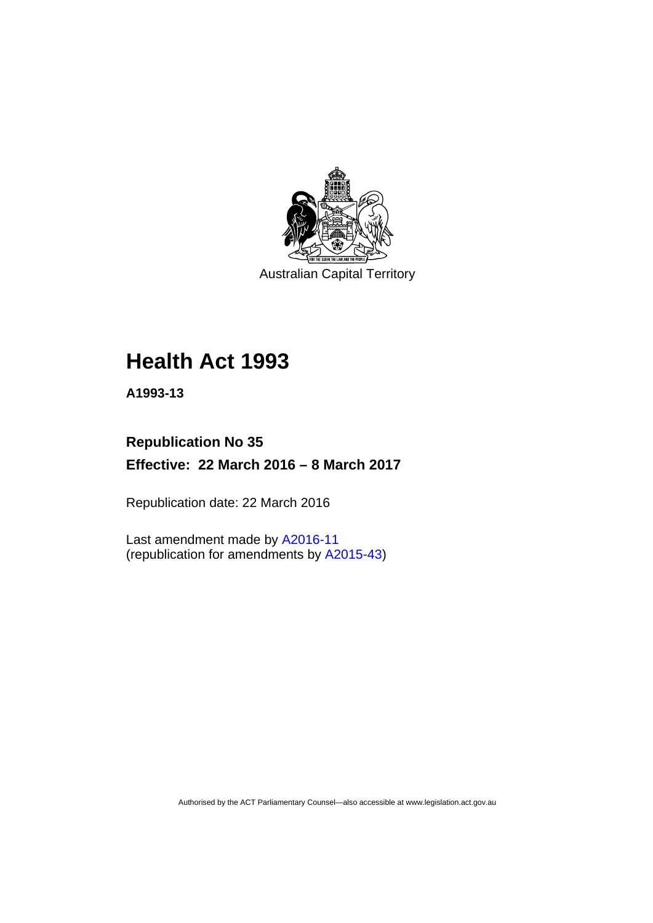

Australian Capital Territory

# **Health Act 1993**

**A1993-13** 

# **Republication No 35 Effective: 22 March 2016 – 8 March 2017**

Republication date: 22 March 2016

Last amendment made by [A2016-11](http://www.legislation.act.gov.au/a/2016-11) (republication for amendments by [A2015-43](http://www.legislation.act.gov.au/a/2015-43/default.asp))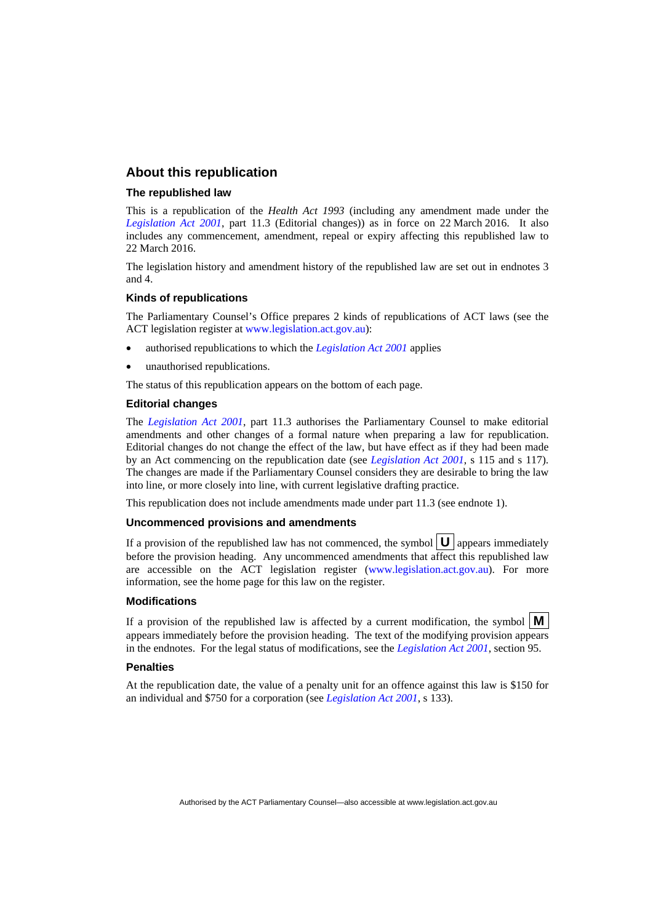#### **About this republication**

#### **The republished law**

This is a republication of the *Health Act 1993* (including any amendment made under the *[Legislation Act 2001](http://www.legislation.act.gov.au/a/2001-14)*, part 11.3 (Editorial changes)) as in force on 22 March 2016*.* It also includes any commencement, amendment, repeal or expiry affecting this republished law to 22 March 2016.

The legislation history and amendment history of the republished law are set out in endnotes 3 and 4.

#### **Kinds of republications**

The Parliamentary Counsel's Office prepares 2 kinds of republications of ACT laws (see the ACT legislation register at [www.legislation.act.gov.au](http://www.legislation.act.gov.au/)):

- authorised republications to which the *[Legislation Act 2001](http://www.legislation.act.gov.au/a/2001-14)* applies
- unauthorised republications.

The status of this republication appears on the bottom of each page.

#### **Editorial changes**

The *[Legislation Act 2001](http://www.legislation.act.gov.au/a/2001-14)*, part 11.3 authorises the Parliamentary Counsel to make editorial amendments and other changes of a formal nature when preparing a law for republication. Editorial changes do not change the effect of the law, but have effect as if they had been made by an Act commencing on the republication date (see *[Legislation Act 2001](http://www.legislation.act.gov.au/a/2001-14)*, s 115 and s 117). The changes are made if the Parliamentary Counsel considers they are desirable to bring the law into line, or more closely into line, with current legislative drafting practice.

This republication does not include amendments made under part 11.3 (see endnote 1).

#### **Uncommenced provisions and amendments**

If a provision of the republished law has not commenced, the symbol  $\mathbf{U}$  appears immediately before the provision heading. Any uncommenced amendments that affect this republished law are accessible on the ACT legislation register [\(www.legislation.act.gov.au\)](http://www.legislation.act.gov.au/). For more information, see the home page for this law on the register.

#### **Modifications**

If a provision of the republished law is affected by a current modification, the symbol  $\mathbf{M}$ appears immediately before the provision heading. The text of the modifying provision appears in the endnotes. For the legal status of modifications, see the *[Legislation Act 2001](http://www.legislation.act.gov.au/a/2001-14)*, section 95.

#### **Penalties**

At the republication date, the value of a penalty unit for an offence against this law is \$150 for an individual and \$750 for a corporation (see *[Legislation Act 2001](http://www.legislation.act.gov.au/a/2001-14)*, s 133).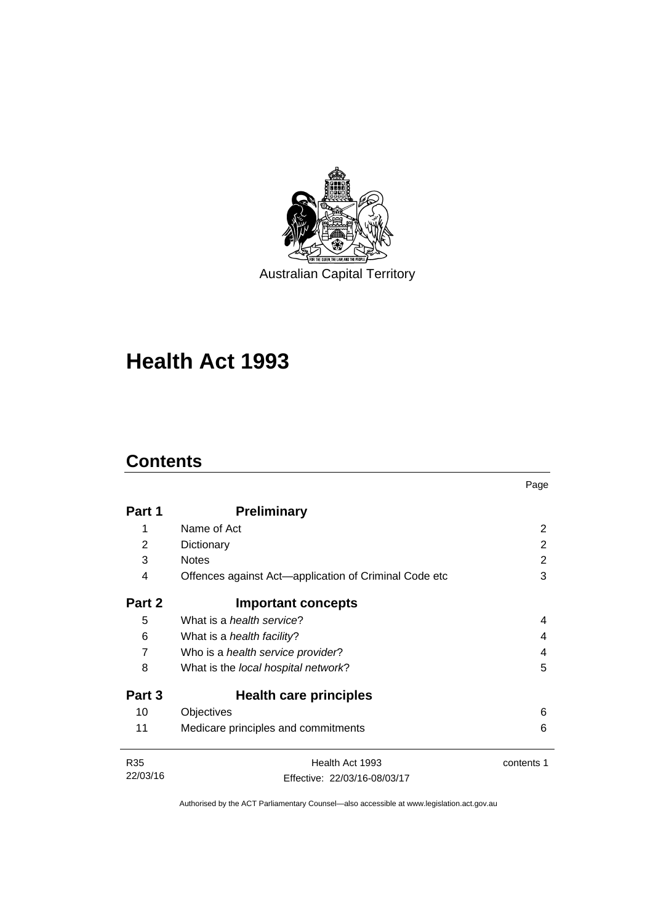

Australian Capital Territory

# **Health Act 1993**

# **Contents**

l,

|                 |                                                       | Page       |
|-----------------|-------------------------------------------------------|------------|
| Part 1          | <b>Preliminary</b>                                    |            |
| 1               | Name of Act                                           | 2          |
| 2               | Dictionary                                            | 2          |
| 3               | <b>Notes</b>                                          | 2          |
| 4               | Offences against Act-application of Criminal Code etc | 3          |
| Part 2          | <b>Important concepts</b>                             |            |
| 5               | What is a <i>health service</i> ?                     | 4          |
| 6               | What is a <i>health facility</i> ?                    | 4          |
| $\overline{7}$  | Who is a health service provider?                     | 4          |
| 8               | What is the local hospital network?                   | 5          |
| Part 3          | Health care principles                                |            |
| 10              | Objectives                                            | 6          |
| 11              | Medicare principles and commitments                   | 6          |
| R <sub>35</sub> | Health Act 1993                                       | contents 1 |
| 22/03/16        | Effective: 22/03/16-08/03/17                          |            |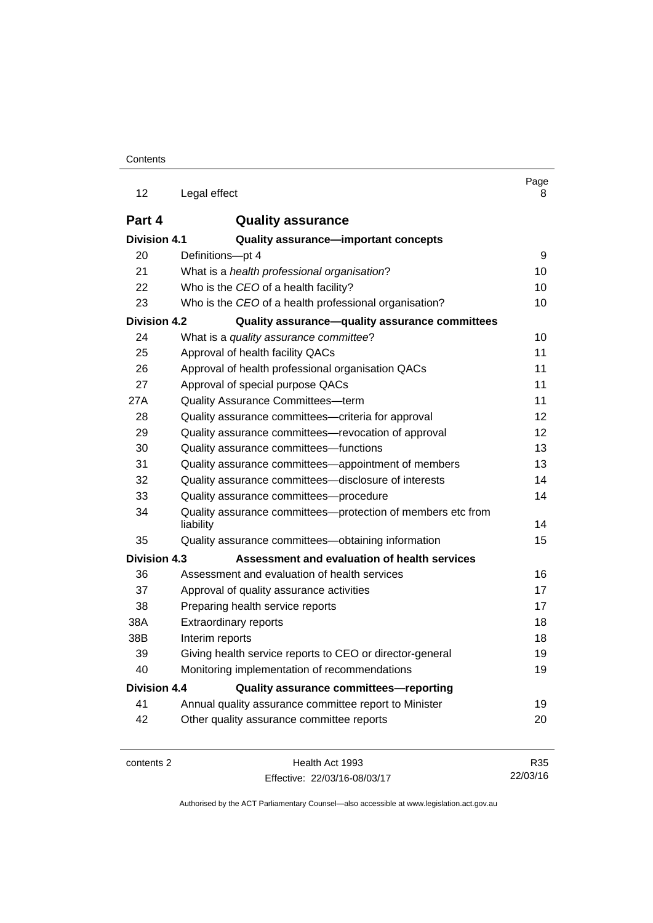| 12                  | Legal effect                                                             | Page<br>8 |
|---------------------|--------------------------------------------------------------------------|-----------|
| Part 4              | <b>Quality assurance</b>                                                 |           |
| <b>Division 4.1</b> | Quality assurance-important concepts                                     |           |
| 20                  | Definitions-pt 4                                                         | 9         |
| 21                  | What is a health professional organisation?                              | 10        |
| 22                  | Who is the CEO of a health facility?                                     | 10        |
| 23                  | Who is the CEO of a health professional organisation?                    | 10        |
| <b>Division 4.2</b> | Quality assurance-quality assurance committees                           |           |
| 24                  | What is a quality assurance committee?                                   | 10        |
| 25                  | Approval of health facility QACs                                         | 11        |
| 26                  | Approval of health professional organisation QACs                        | 11        |
| 27                  | Approval of special purpose QACs                                         | 11        |
| 27A                 | <b>Quality Assurance Committees-term</b>                                 | 11        |
| 28                  | Quality assurance committees-criteria for approval                       | 12        |
| 29                  | Quality assurance committees—revocation of approval                      | 12        |
| 30                  | Quality assurance committees-functions                                   | 13        |
| 31                  | Quality assurance committees—appointment of members                      | 13        |
| 32                  | Quality assurance committees-disclosure of interests                     | 14        |
| 33                  | Quality assurance committees-procedure                                   | 14        |
| 34                  | Quality assurance committees-protection of members etc from<br>liability | 14        |
| 35                  | Quality assurance committees-obtaining information                       | 15        |
| <b>Division 4.3</b> | Assessment and evaluation of health services                             |           |
| 36                  | Assessment and evaluation of health services                             | 16        |
| 37                  | Approval of quality assurance activities                                 | 17        |
| 38                  | Preparing health service reports                                         | 17        |
| 38A                 | <b>Extraordinary reports</b>                                             |           |
| 38B                 | Interim reports                                                          |           |
| 39                  | Giving health service reports to CEO or director-general                 | 19        |
| 40                  | Monitoring implementation of recommendations                             | 19        |
| Division 4.4        | Quality assurance committees-reporting                                   |           |
| 41                  | Annual quality assurance committee report to Minister                    | 19        |
| 42                  | Other quality assurance committee reports                                | 20        |
|                     |                                                                          |           |

contents 2 Health Act 1993 Effective: 22/03/16-08/03/17

R35 22/03/16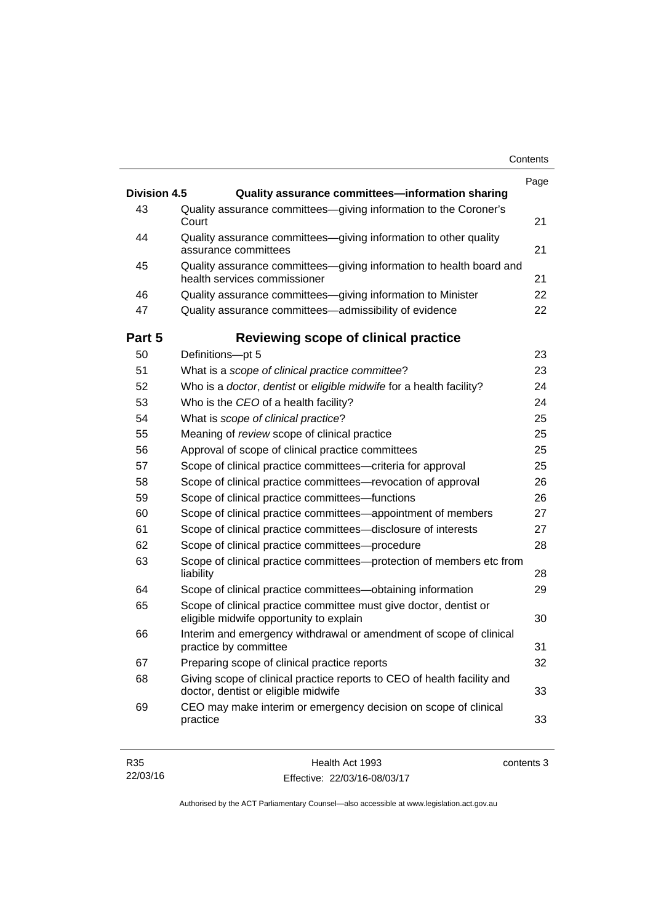| <b>Division 4.5</b> | Quality assurance committees-information sharing                                                               |
|---------------------|----------------------------------------------------------------------------------------------------------------|
| 43                  | Quality assurance committees-giving information to the Coroner's                                               |
|                     | Court                                                                                                          |
| 44                  | Quality assurance committees-giving information to other quality<br>assurance committees                       |
| 45                  | Quality assurance committees-giving information to health board and<br>health services commissioner            |
| 46                  | Quality assurance committees-giving information to Minister                                                    |
| 47                  | Quality assurance committees-admissibility of evidence                                                         |
| Part 5              | Reviewing scope of clinical practice                                                                           |
| 50                  | Definitions-pt 5                                                                                               |
| 51                  | What is a scope of clinical practice committee?                                                                |
| 52                  | Who is a doctor, dentist or eligible midwife for a health facility?                                            |
| 53                  | Who is the CEO of a health facility?                                                                           |
| 54                  | What is scope of clinical practice?                                                                            |
| 55                  | Meaning of review scope of clinical practice                                                                   |
| 56                  | Approval of scope of clinical practice committees                                                              |
| 57                  | Scope of clinical practice committees-criteria for approval                                                    |
| 58                  | Scope of clinical practice committees-revocation of approval                                                   |
| 59                  | Scope of clinical practice committees—functions                                                                |
| 60                  | Scope of clinical practice committees—appointment of members                                                   |
| 61                  | Scope of clinical practice committees-disclosure of interests                                                  |
| 62                  | Scope of clinical practice committees-procedure                                                                |
| 63                  | Scope of clinical practice committees—protection of members etc from<br>liability                              |
| 64                  | Scope of clinical practice committees—obtaining information                                                    |
| 65                  | Scope of clinical practice committee must give doctor, dentist or<br>eligible midwife opportunity to explain   |
| 66                  | Interim and emergency withdrawal or amendment of scope of clinical<br>practice by committee                    |
| 67                  | Preparing scope of clinical practice reports                                                                   |
| 68                  | Giving scope of clinical practice reports to CEO of health facility and<br>doctor, dentist or eligible midwife |
| 69                  | CEO may make interim or emergency decision on scope of clinical<br>practice                                    |

| R35      | Health Act 1993              | contents 3 |
|----------|------------------------------|------------|
| 22/03/16 | Effective: 22/03/16-08/03/17 |            |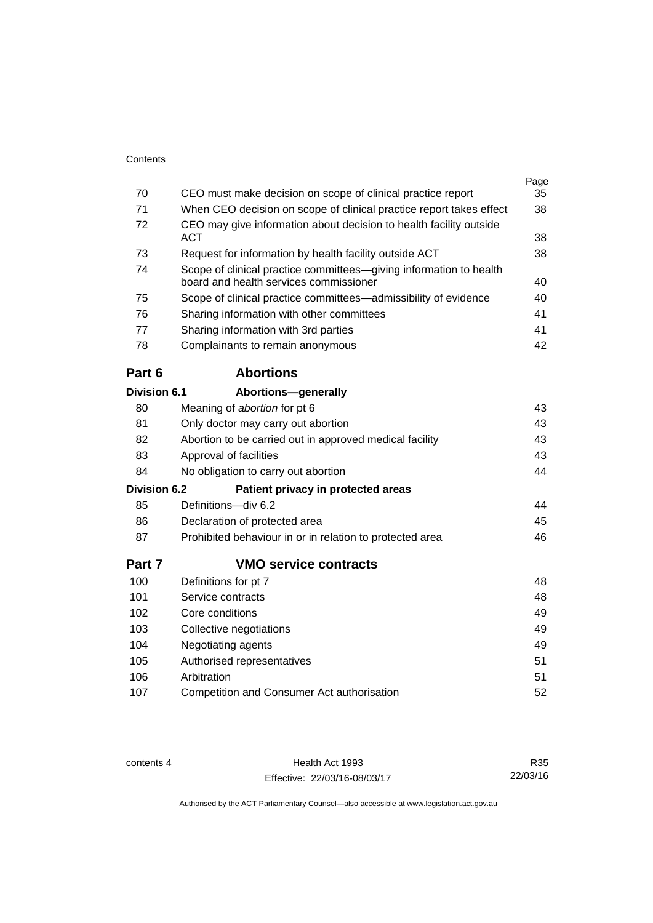| Contents     |                                                                     |      |
|--------------|---------------------------------------------------------------------|------|
|              |                                                                     | Page |
| 70           | CEO must make decision on scope of clinical practice report         | 35   |
| 71           | When CEO decision on scope of clinical practice report takes effect | 38   |
| 72           | CEO may give information about decision to health facility outside  |      |
|              | <b>ACT</b>                                                          | 38   |
| 73           | Request for information by health facility outside ACT              | 38   |
| 74           | Scope of clinical practice committees—giving information to health  |      |
|              | board and health services commissioner                              | 40   |
| 75           | Scope of clinical practice committees—admissibility of evidence     | 40   |
| 76           | Sharing information with other committees                           | 41   |
| 77           | Sharing information with 3rd parties                                | 41   |
| 78           | Complainants to remain anonymous                                    | 42   |
| Part 6       | <b>Abortions</b>                                                    |      |
| Division 6.1 | Abortions-generally                                                 |      |
| 80           | Meaning of abortion for pt 6                                        | 43   |
| 81           | Only doctor may carry out abortion                                  | 43   |
| 82           | Abortion to be carried out in approved medical facility             | 43   |
| 83           | Approval of facilities                                              | 43   |
| 84           | No obligation to carry out abortion                                 | 44   |
| Division 6.2 | Patient privacy in protected areas                                  |      |
|              |                                                                     |      |

| 85  | Definitions—div 6.2                                      | 44 |
|-----|----------------------------------------------------------|----|
| 86  | Declaration of protected area                            | 45 |
| -87 | Prohibited behaviour in or in relation to protected area | 46 |

# **Part 7 [VMO service contracts](#page-55-0)**

| 100 | Definitions for pt 7                       | 48 |
|-----|--------------------------------------------|----|
| 101 | Service contracts                          | 48 |
| 102 | Core conditions                            | 49 |
| 103 | Collective negotiations                    | 49 |
| 104 | Negotiating agents                         | 49 |
| 105 | Authorised representatives                 | 51 |
| 106 | Arbitration                                | 51 |
| 107 | Competition and Consumer Act authorisation | 52 |
|     |                                            |    |

contents 4 Health Act 1993 Effective: 22/03/16-08/03/17

R35 22/03/16

Page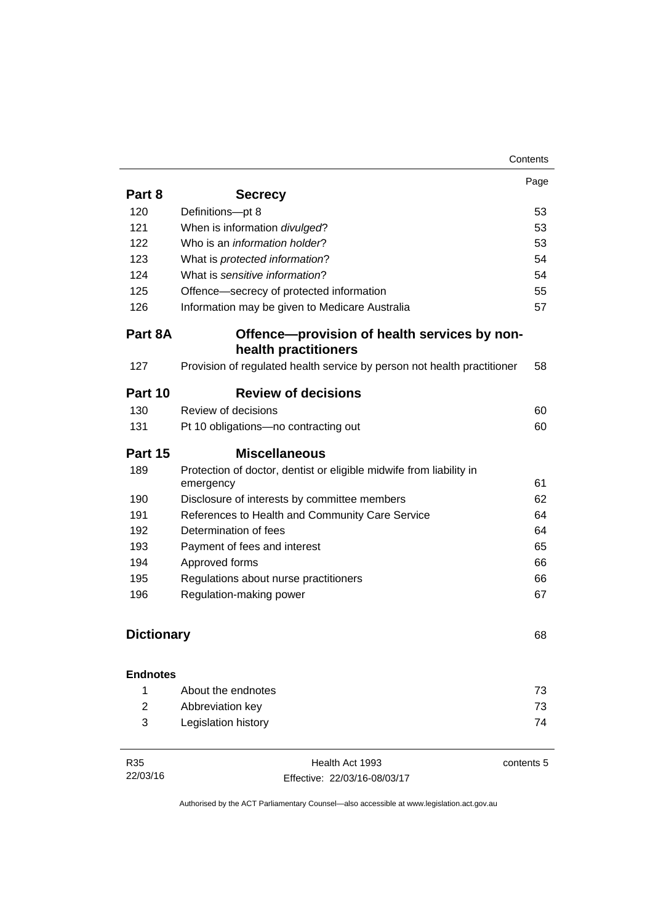|                   |                                                                         | Page |
|-------------------|-------------------------------------------------------------------------|------|
| Part 8            | <b>Secrecy</b>                                                          |      |
| 120               | Definitions-pt 8                                                        | 53   |
| 121               | When is information divulged?                                           | 53   |
| 122               | Who is an information holder?                                           | 53   |
| 123               | What is protected information?                                          | 54   |
| 124               | What is sensitive information?                                          | 54   |
| 125               | Offence-secrecy of protected information                                | 55   |
| 126               | Information may be given to Medicare Australia                          | 57   |
| Part 8A           | Offence-provision of health services by non-<br>health practitioners    |      |
| 127               | Provision of regulated health service by person not health practitioner | 58   |
| Part 10           | <b>Review of decisions</b>                                              |      |
| 130               | Review of decisions                                                     | 60   |
| 131               | Pt 10 obligations-no contracting out                                    | 60   |
| Part 15           | <b>Miscellaneous</b>                                                    |      |
| 189               | Protection of doctor, dentist or eligible midwife from liability in     |      |
|                   | emergency                                                               | 61   |
| 190               | Disclosure of interests by committee members                            | 62   |
| 191               | References to Health and Community Care Service                         | 64   |
| 192               | Determination of fees                                                   | 64   |
| 193               | Payment of fees and interest                                            | 65   |
| 194               | Approved forms                                                          | 66   |
| 195               | Regulations about nurse practitioners                                   | 66   |
| 196               | Regulation-making power                                                 | 67   |
| <b>Dictionary</b> |                                                                         | 68   |
| <b>Endnotes</b>   |                                                                         |      |
| 1                 | About the endnotes                                                      | 73   |
| $\overline{2}$    | Abbreviation key                                                        | 73   |
| 3                 | Legislation history                                                     | 74   |
|                   |                                                                         |      |

| R35      | Health Act 1993              | contents 5 |
|----------|------------------------------|------------|
| 22/03/16 | Effective: 22/03/16-08/03/17 |            |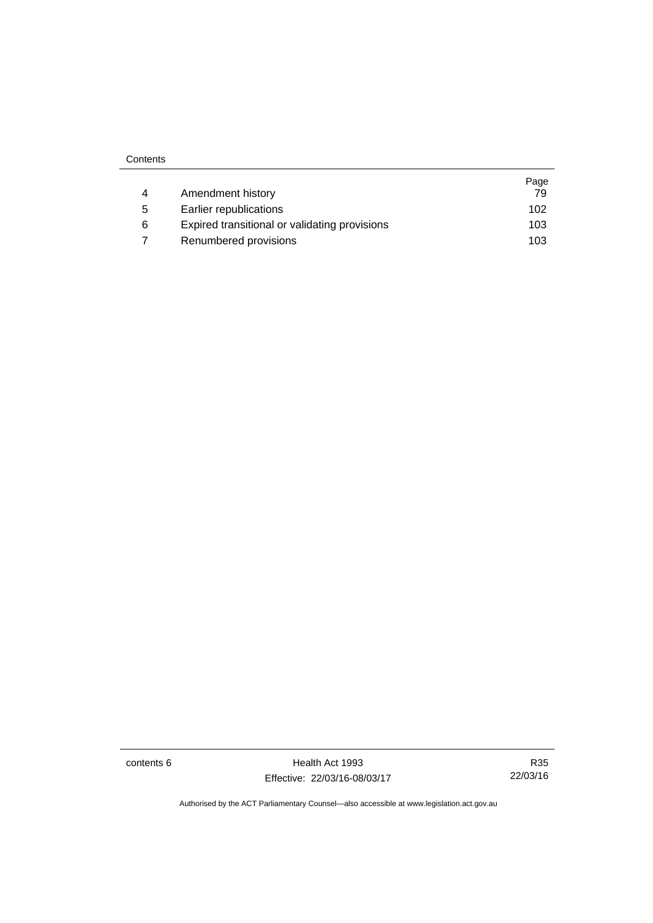| Contents |
|----------|
|----------|

|   |                                               | Page |
|---|-----------------------------------------------|------|
| 4 | Amendment history                             | 79   |
| 5 | Earlier republications                        | 102  |
| 6 | Expired transitional or validating provisions | 103  |
|   | Renumbered provisions                         | 103  |

contents 6 Health Act 1993 Effective: 22/03/16-08/03/17

R35 22/03/16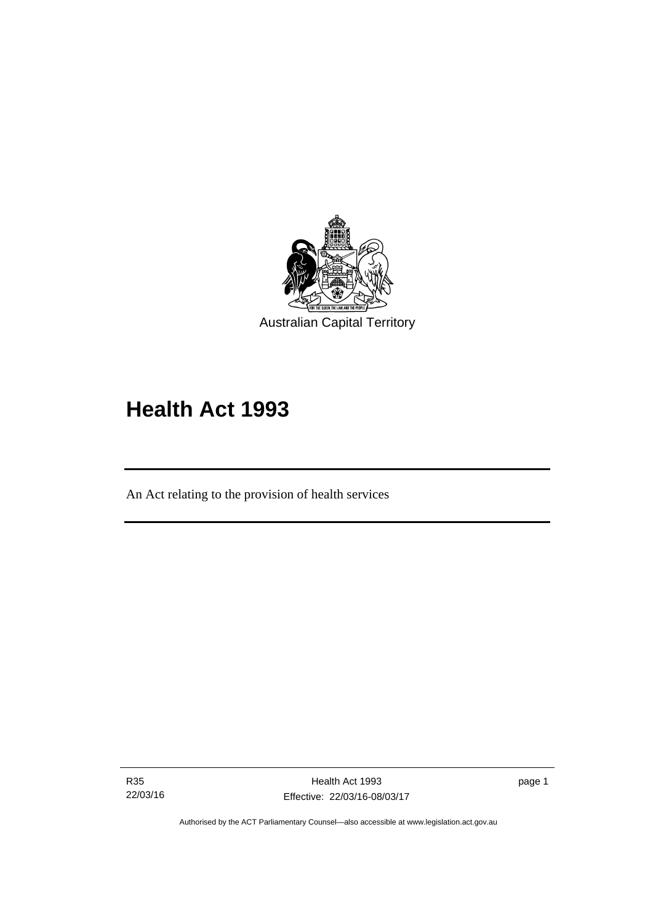

# **Health Act 1993**

An Act relating to the provision of health services

R35 22/03/16

l

page 1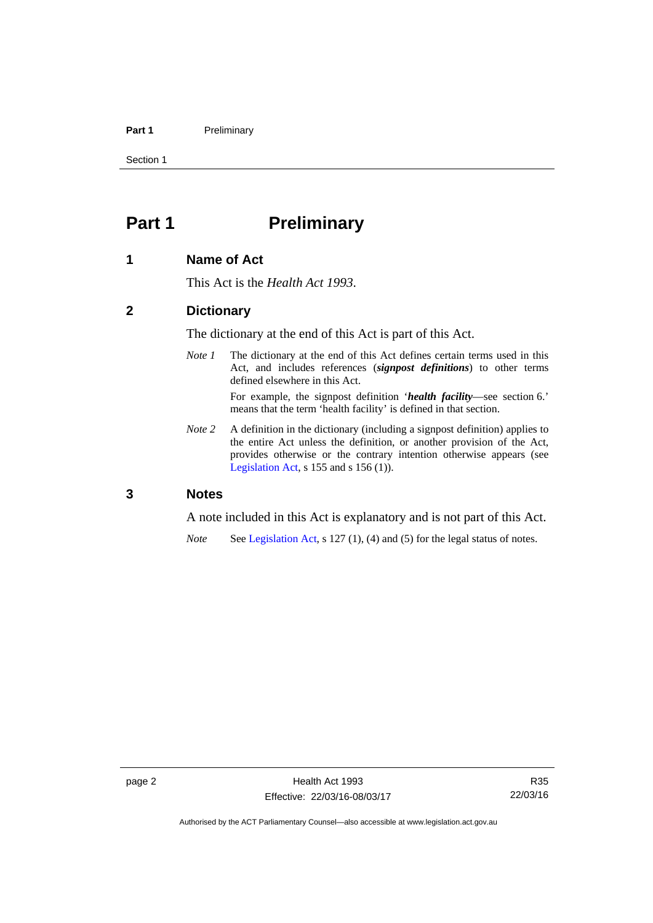#### Part 1 **Preliminary**

Section 1

# <span id="page-9-0"></span>**Part 1** Preliminary

#### <span id="page-9-1"></span>**1 Name of Act**

This Act is the *Health Act 1993*.

#### <span id="page-9-2"></span>**2 Dictionary**

The dictionary at the end of this Act is part of this Act.

*Note 1* The dictionary at the end of this Act defines certain terms used in this Act, and includes references (*signpost definitions*) to other terms defined elsewhere in this Act.

> For example, the signpost definition '*health facility*—see section 6.' means that the term 'health facility' is defined in that section.

*Note* 2 A definition in the dictionary (including a signpost definition) applies to the entire Act unless the definition, or another provision of the Act, provides otherwise or the contrary intention otherwise appears (see [Legislation Act,](http://www.legislation.act.gov.au/a/2001-14)  $s$  155 and  $s$  156 (1)).

#### <span id="page-9-3"></span>**3 Notes**

A note included in this Act is explanatory and is not part of this Act.

*Note* See [Legislation Act,](http://www.legislation.act.gov.au/a/2001-14) s 127 (1), (4) and (5) for the legal status of notes.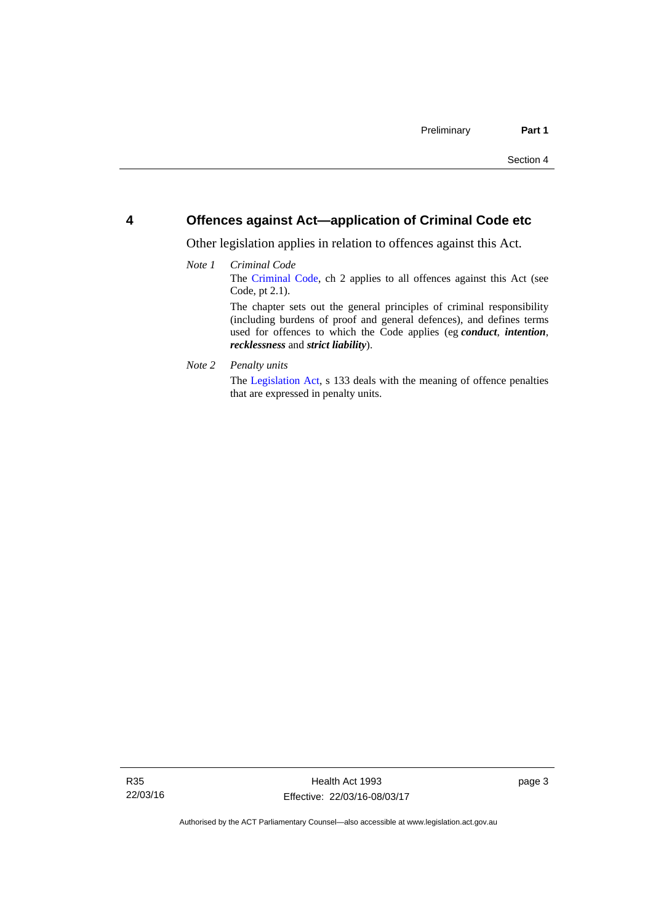#### <span id="page-10-0"></span>**4 Offences against Act—application of Criminal Code etc**

Other legislation applies in relation to offences against this Act.

#### *Note 1 Criminal Code* The [Criminal Code](http://www.legislation.act.gov.au/a/2002-51), ch 2 applies to all offences against this Act (see Code, pt 2.1). The chapter sets out the general principles of criminal responsibility (including burdens of proof and general defences), and defines terms used for offences to which the Code applies (eg *conduct*, *intention*, *recklessness* and *strict liability*).

*Note 2 Penalty units* 

The [Legislation Act](http://www.legislation.act.gov.au/a/2001-14), s 133 deals with the meaning of offence penalties that are expressed in penalty units.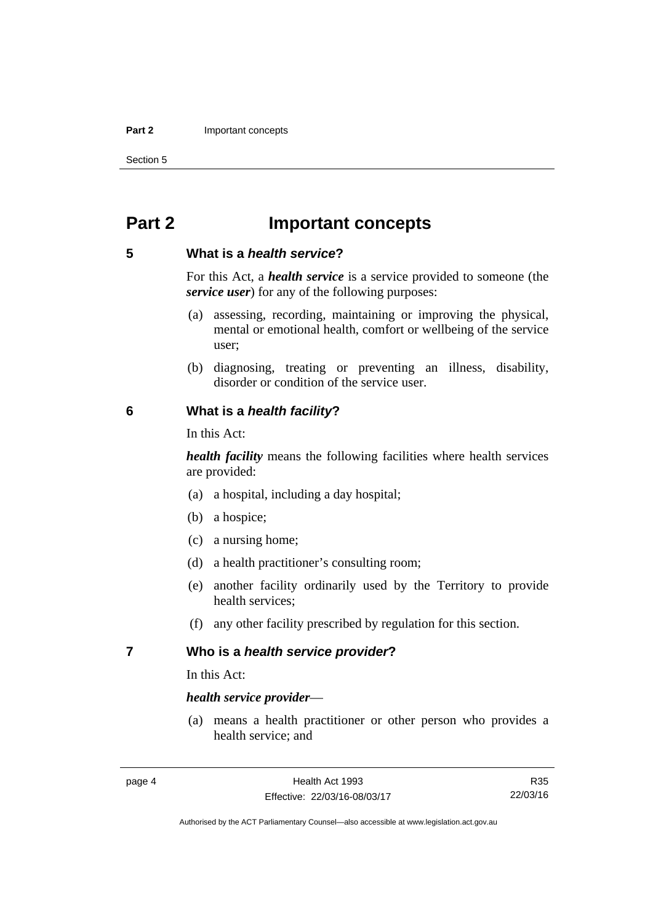#### **Part 2 Important concepts**

Section 5

# <span id="page-11-0"></span>**Part 2 Important concepts**

#### <span id="page-11-1"></span>**5 What is a** *health service***?**

For this Act, a *health service* is a service provided to someone (the *service user*) for any of the following purposes:

- (a) assessing, recording, maintaining or improving the physical, mental or emotional health, comfort or wellbeing of the service user;
- (b) diagnosing, treating or preventing an illness, disability, disorder or condition of the service user.

#### <span id="page-11-2"></span>**6 What is a** *health facility***?**

In this Act:

*health facility* means the following facilities where health services are provided:

- (a) a hospital, including a day hospital;
- (b) a hospice;
- (c) a nursing home;
- (d) a health practitioner's consulting room;
- (e) another facility ordinarily used by the Territory to provide health services;
- (f) any other facility prescribed by regulation for this section.

#### <span id="page-11-3"></span>**7 Who is a** *health service provider***?**

In this Act:

#### *health service provider*—

 (a) means a health practitioner or other person who provides a health service; and

R35 22/03/16

Authorised by the ACT Parliamentary Counsel—also accessible at www.legislation.act.gov.au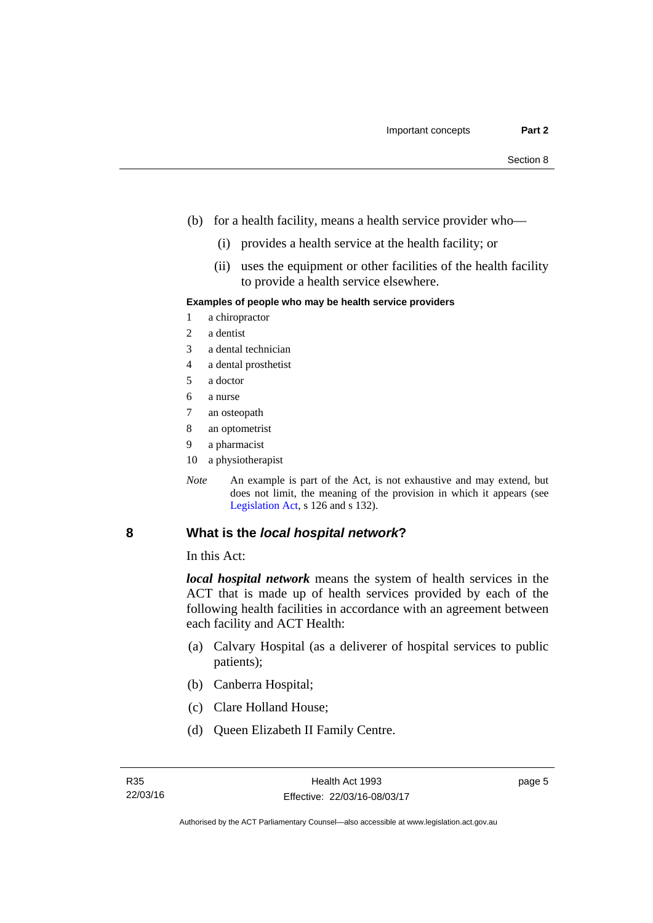- (b) for a health facility, means a health service provider who—
	- (i) provides a health service at the health facility; or
	- (ii) uses the equipment or other facilities of the health facility to provide a health service elsewhere.

#### **Examples of people who may be health service providers**

- 1 a chiropractor
- 2 a dentist
- 3 a dental technician
- 4 a dental prosthetist
- 5 a doctor
- 6 a nurse
- 7 an osteopath
- 8 an optometrist
- 9 a pharmacist
- 10 a physiotherapist
- *Note* An example is part of the Act, is not exhaustive and may extend, but does not limit, the meaning of the provision in which it appears (see [Legislation Act,](http://www.legislation.act.gov.au/a/2001-14) s 126 and s 132).

#### <span id="page-12-0"></span>**8 What is the** *local hospital network***?**

In this Act:

*local hospital network* means the system of health services in the ACT that is made up of health services provided by each of the following health facilities in accordance with an agreement between each facility and ACT Health:

- (a) Calvary Hospital (as a deliverer of hospital services to public patients);
- (b) Canberra Hospital;
- (c) Clare Holland House;
- (d) Queen Elizabeth II Family Centre.

page 5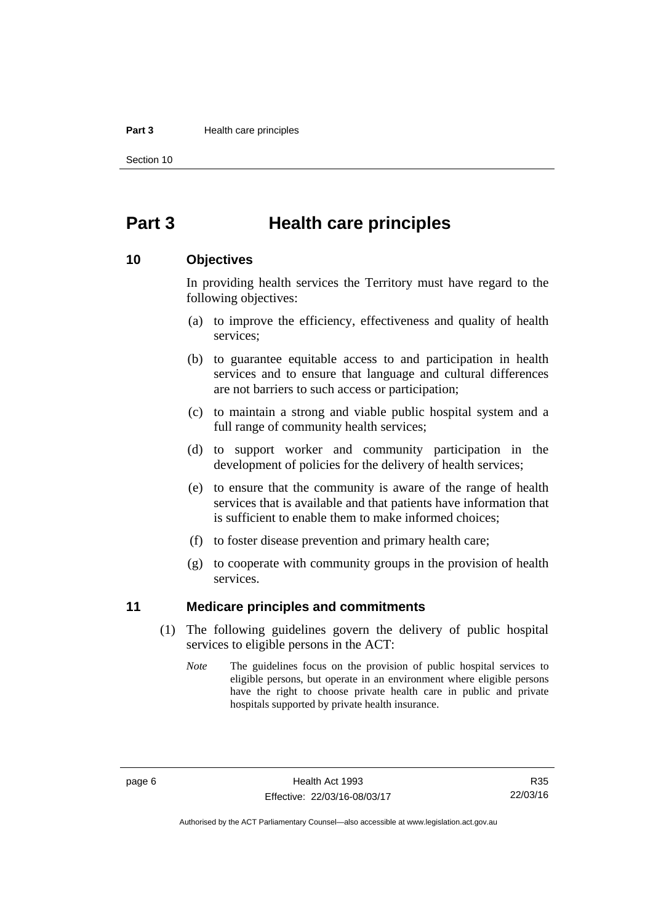#### **Part 3 Health care principles**

Section 10

# <span id="page-13-0"></span>**Part 3 Health care principles**

#### <span id="page-13-1"></span>**10 Objectives**

In providing health services the Territory must have regard to the following objectives:

- (a) to improve the efficiency, effectiveness and quality of health services;
- (b) to guarantee equitable access to and participation in health services and to ensure that language and cultural differences are not barriers to such access or participation;
- (c) to maintain a strong and viable public hospital system and a full range of community health services;
- (d) to support worker and community participation in the development of policies for the delivery of health services;
- (e) to ensure that the community is aware of the range of health services that is available and that patients have information that is sufficient to enable them to make informed choices;
- (f) to foster disease prevention and primary health care;
- (g) to cooperate with community groups in the provision of health services.

#### <span id="page-13-2"></span>**11 Medicare principles and commitments**

- (1) The following guidelines govern the delivery of public hospital services to eligible persons in the ACT:
	- *Note* The guidelines focus on the provision of public hospital services to eligible persons, but operate in an environment where eligible persons have the right to choose private health care in public and private hospitals supported by private health insurance.

Authorised by the ACT Parliamentary Counsel—also accessible at www.legislation.act.gov.au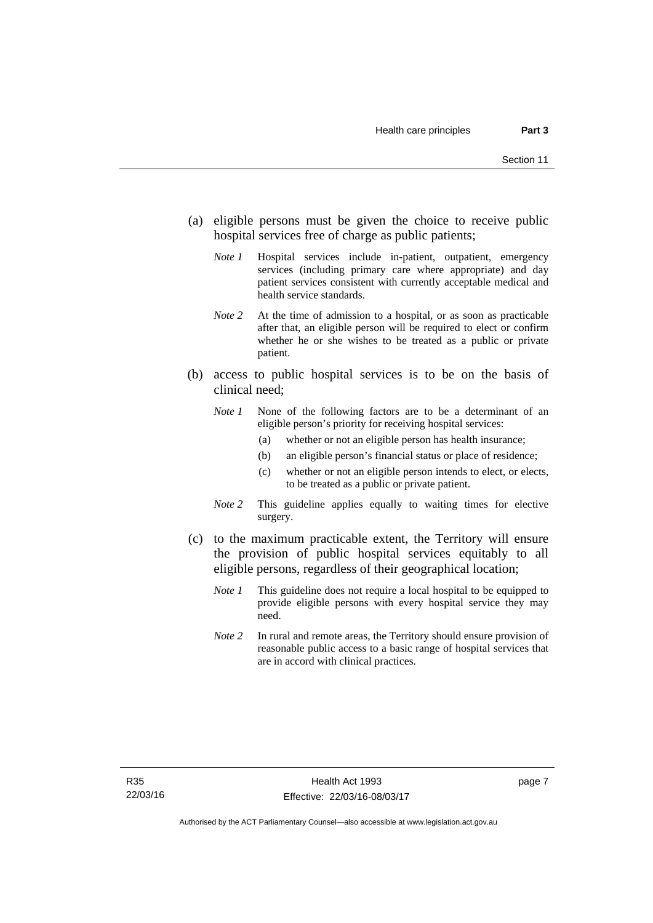- (a) eligible persons must be given the choice to receive public hospital services free of charge as public patients;
	- *Note 1* Hospital services include in-patient, outpatient, emergency services (including primary care where appropriate) and day patient services consistent with currently acceptable medical and health service standards.
	- *Note 2* At the time of admission to a hospital, or as soon as practicable after that, an eligible person will be required to elect or confirm whether he or she wishes to be treated as a public or private patient.
- (b) access to public hospital services is to be on the basis of clinical need;
	- *Note 1* None of the following factors are to be a determinant of an eligible person's priority for receiving hospital services:
		- (a) whether or not an eligible person has health insurance;
		- (b) an eligible person's financial status or place of residence;
		- (c) whether or not an eligible person intends to elect, or elects, to be treated as a public or private patient.
	- *Note 2* This guideline applies equally to waiting times for elective surgery.
- (c) to the maximum practicable extent, the Territory will ensure the provision of public hospital services equitably to all eligible persons, regardless of their geographical location;
	- *Note 1* This guideline does not require a local hospital to be equipped to provide eligible persons with every hospital service they may need.
	- *Note 2* In rural and remote areas, the Territory should ensure provision of reasonable public access to a basic range of hospital services that are in accord with clinical practices.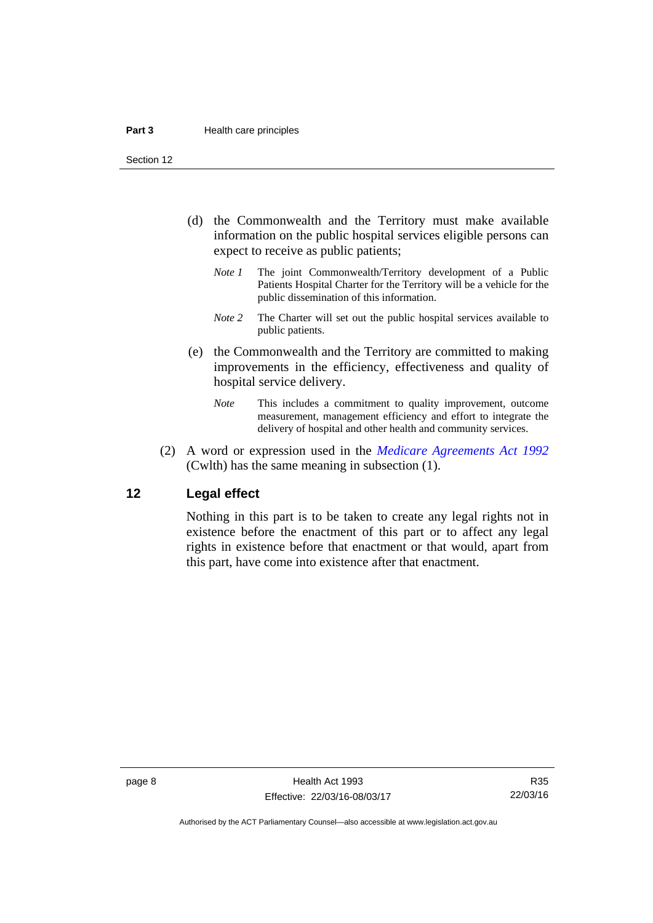Section 12

- (d) the Commonwealth and the Territory must make available information on the public hospital services eligible persons can expect to receive as public patients;
	- *Note 1* The joint Commonwealth/Territory development of a Public Patients Hospital Charter for the Territory will be a vehicle for the public dissemination of this information.
	- *Note 2* The Charter will set out the public hospital services available to public patients.
- (e) the Commonwealth and the Territory are committed to making improvements in the efficiency, effectiveness and quality of hospital service delivery.
	- *Note* This includes a commitment to quality improvement, outcome measurement, management efficiency and effort to integrate the delivery of hospital and other health and community services.
- (2) A word or expression used in the *[Medicare Agreements Act 1992](http://www.comlaw.gov.au/Details/C2006C00041)* (Cwlth) has the same meaning in subsection (1).

#### <span id="page-15-0"></span>**12 Legal effect**

Nothing in this part is to be taken to create any legal rights not in existence before the enactment of this part or to affect any legal rights in existence before that enactment or that would, apart from this part, have come into existence after that enactment.

R35 22/03/16

Authorised by the ACT Parliamentary Counsel—also accessible at www.legislation.act.gov.au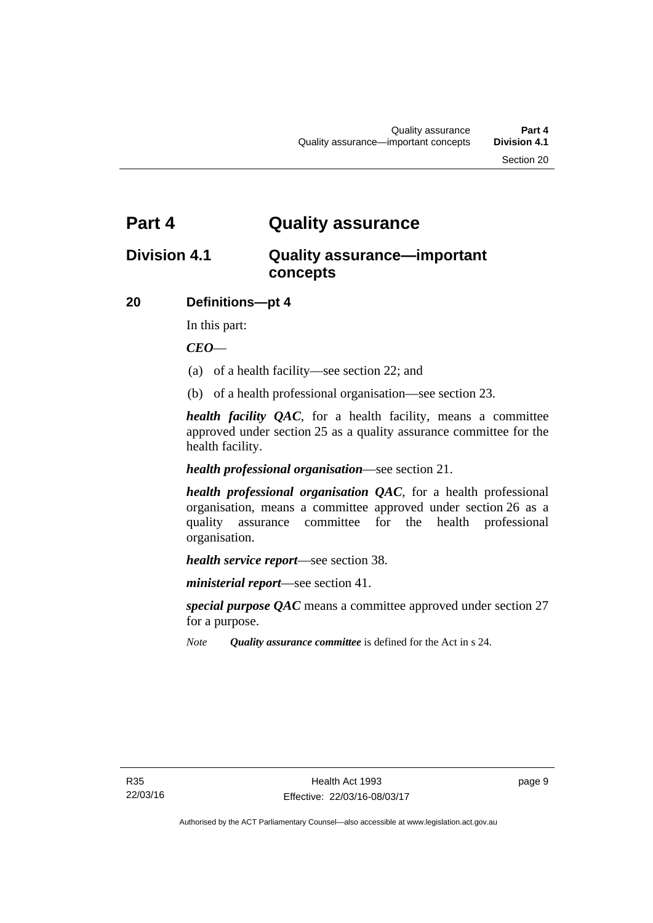# <span id="page-16-0"></span>**Part 4 Quality assurance**

# <span id="page-16-1"></span>**Division 4.1 Quality assurance—important concepts**

#### <span id="page-16-2"></span>**20 Definitions—pt 4**

In this part:

*CEO*—

- (a) of a health facility—see section 22; and
- (b) of a health professional organisation—see section 23.

*health facility QAC*, for a health facility, means a committee approved under section 25 as a quality assurance committee for the health facility.

#### *health professional organisation*—see section 21.

*health professional organisation QAC*, for a health professional organisation, means a committee approved under section 26 as a quality assurance committee for the health professional organisation.

*health service report*—see section 38.

*ministerial report*—see section 41.

*special purpose QAC* means a committee approved under section 27 for a purpose.

*Note Quality assurance committee* is defined for the Act in s 24.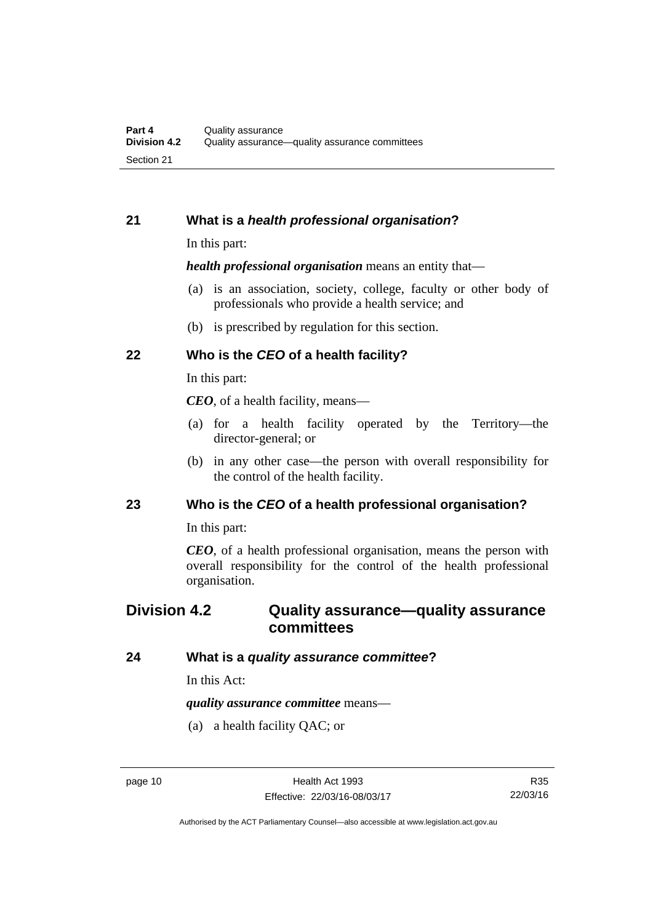#### <span id="page-17-0"></span>**21 What is a** *health professional organisation***?**

In this part:

*health professional organisation* means an entity that—

- (a) is an association, society, college, faculty or other body of professionals who provide a health service; and
- (b) is prescribed by regulation for this section.

#### <span id="page-17-1"></span>**22 Who is the** *CEO* **of a health facility?**

In this part:

*CEO*, of a health facility, means—

- (a) for a health facility operated by the Territory—the director-general; or
- (b) in any other case—the person with overall responsibility for the control of the health facility.

#### <span id="page-17-2"></span>**23 Who is the** *CEO* **of a health professional organisation?**

In this part:

*CEO*, of a health professional organisation, means the person with overall responsibility for the control of the health professional organisation.

## <span id="page-17-3"></span>**Division 4.2 Quality assurance—quality assurance committees**

#### <span id="page-17-4"></span>**24 What is a** *quality assurance committee***?**

In this Act:

*quality assurance committee* means—

(a) a health facility QAC; or

Authorised by the ACT Parliamentary Counsel—also accessible at www.legislation.act.gov.au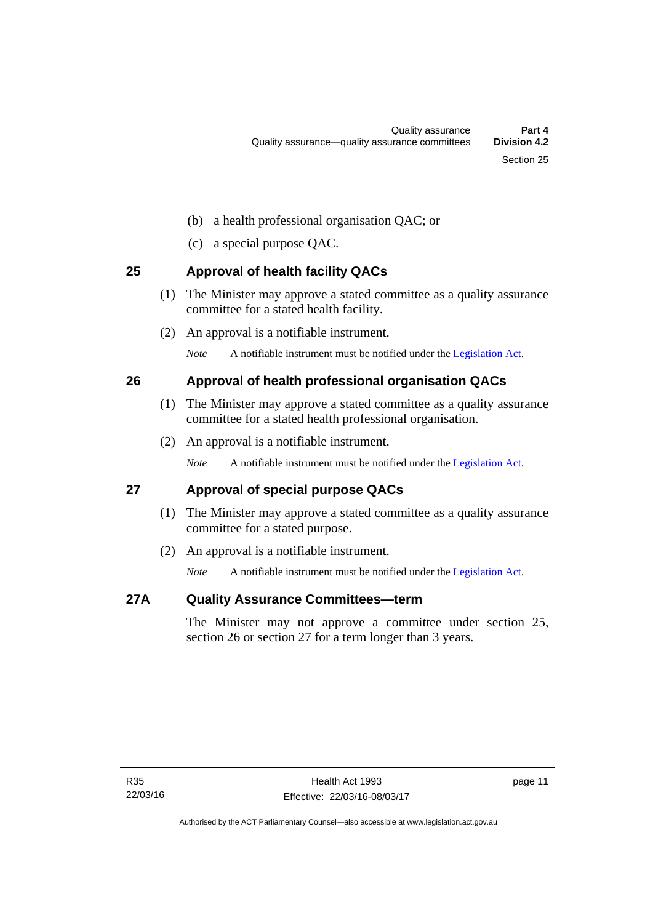- (b) a health professional organisation QAC; or
- (c) a special purpose QAC.

#### <span id="page-18-0"></span>**25 Approval of health facility QACs**

- (1) The Minister may approve a stated committee as a quality assurance committee for a stated health facility.
- (2) An approval is a notifiable instrument.

*Note* A notifiable instrument must be notified under the [Legislation Act](http://www.legislation.act.gov.au/a/2001-14).

#### <span id="page-18-1"></span>**26 Approval of health professional organisation QACs**

- (1) The Minister may approve a stated committee as a quality assurance committee for a stated health professional organisation.
- (2) An approval is a notifiable instrument.

*Note* A notifiable instrument must be notified under the [Legislation Act](http://www.legislation.act.gov.au/a/2001-14).

#### <span id="page-18-2"></span>**27 Approval of special purpose QACs**

- (1) The Minister may approve a stated committee as a quality assurance committee for a stated purpose.
- (2) An approval is a notifiable instrument.

*Note* A notifiable instrument must be notified under the [Legislation Act](http://www.legislation.act.gov.au/a/2001-14).

#### <span id="page-18-3"></span>**27A Quality Assurance Committees—term**

The Minister may not approve a committee under section 25, section 26 or section 27 for a term longer than 3 years.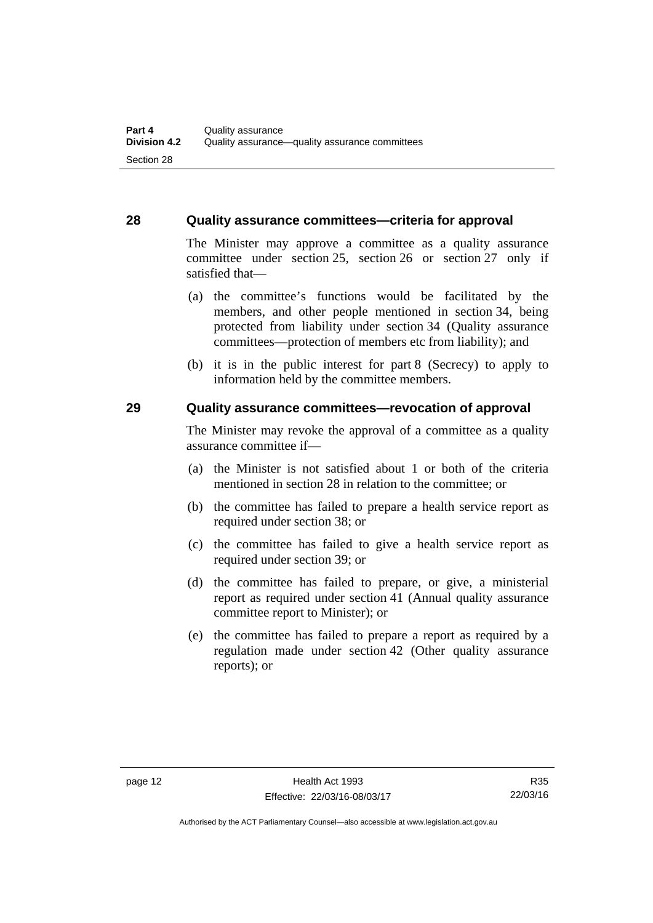#### <span id="page-19-0"></span>**28 Quality assurance committees—criteria for approval**

The Minister may approve a committee as a quality assurance committee under section 25, section 26 or section 27 only if satisfied that—

- (a) the committee's functions would be facilitated by the members, and other people mentioned in section 34, being protected from liability under section 34 (Quality assurance committees—protection of members etc from liability); and
- (b) it is in the public interest for part 8 (Secrecy) to apply to information held by the committee members.

#### <span id="page-19-1"></span>**29 Quality assurance committees—revocation of approval**

The Minister may revoke the approval of a committee as a quality assurance committee if—

- (a) the Minister is not satisfied about 1 or both of the criteria mentioned in section 28 in relation to the committee; or
- (b) the committee has failed to prepare a health service report as required under section 38; or
- (c) the committee has failed to give a health service report as required under section 39; or
- (d) the committee has failed to prepare, or give, a ministerial report as required under section 41 (Annual quality assurance committee report to Minister); or
- (e) the committee has failed to prepare a report as required by a regulation made under section 42 (Other quality assurance reports); or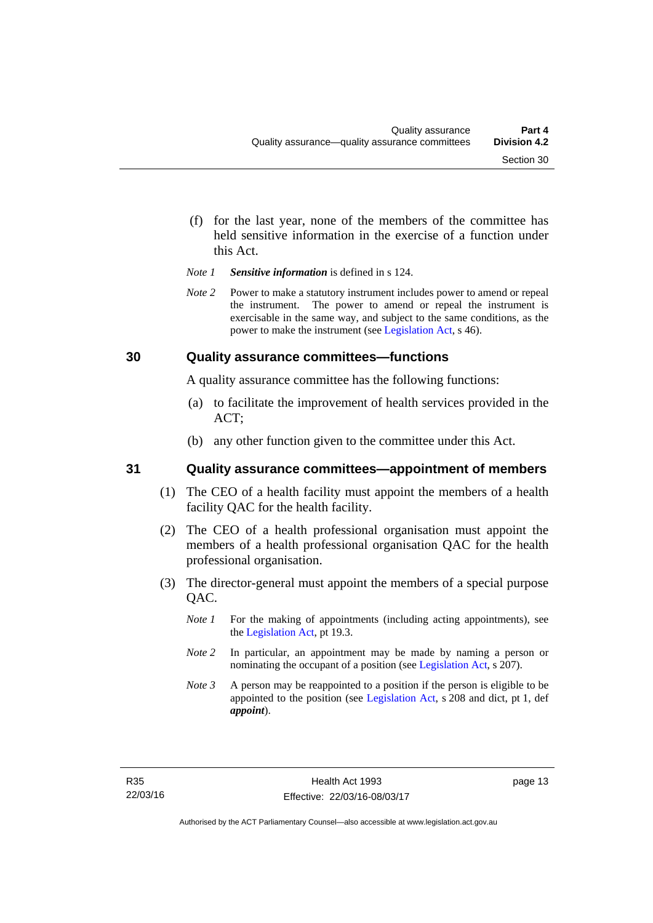- (f) for the last year, none of the members of the committee has held sensitive information in the exercise of a function under this Act.
- *Note 1 Sensitive information* is defined in s 124.
- *Note 2* Power to make a statutory instrument includes power to amend or repeal the instrument. The power to amend or repeal the instrument is exercisable in the same way, and subject to the same conditions, as the power to make the instrument (see [Legislation Act,](http://www.legislation.act.gov.au/a/2001-14) s 46).

#### <span id="page-20-0"></span>**30 Quality assurance committees—functions**

A quality assurance committee has the following functions:

- (a) to facilitate the improvement of health services provided in the ACT;
- (b) any other function given to the committee under this Act.

#### <span id="page-20-1"></span>**31 Quality assurance committees—appointment of members**

- (1) The CEO of a health facility must appoint the members of a health facility QAC for the health facility.
- (2) The CEO of a health professional organisation must appoint the members of a health professional organisation QAC for the health professional organisation.
- (3) The director-general must appoint the members of a special purpose QAC.
	- *Note 1* For the making of appointments (including acting appointments), see the [Legislation Act,](http://www.legislation.act.gov.au/a/2001-14) pt 19.3.
	- *Note 2* In particular, an appointment may be made by naming a person or nominating the occupant of a position (see [Legislation Act](http://www.legislation.act.gov.au/a/2001-14), s 207).
	- *Note 3* A person may be reappointed to a position if the person is eligible to be appointed to the position (see [Legislation Act](http://www.legislation.act.gov.au/a/2001-14), s 208 and dict, pt 1, def *appoint*).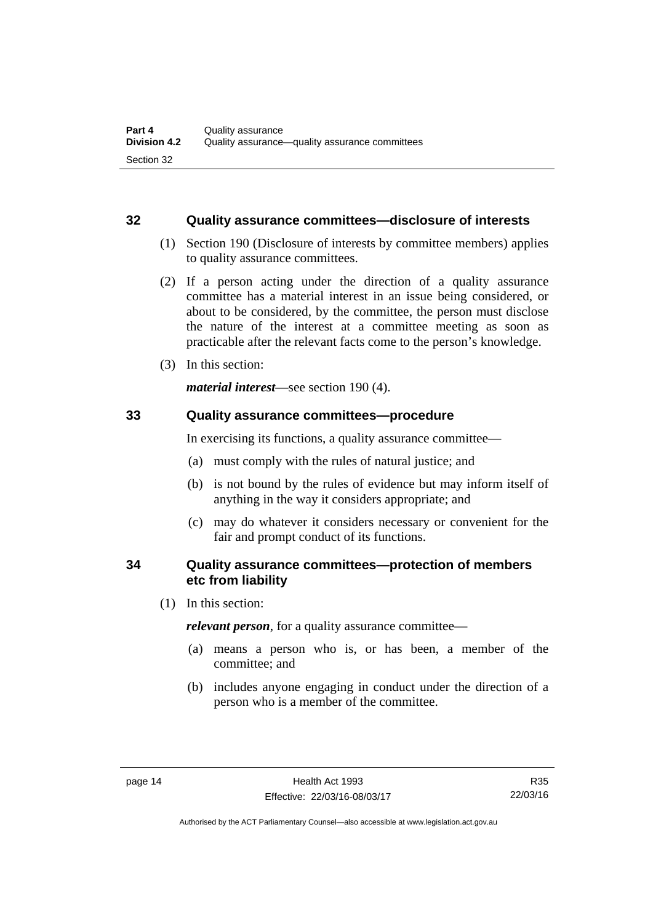#### <span id="page-21-0"></span>**32 Quality assurance committees—disclosure of interests**

- (1) Section 190 (Disclosure of interests by committee members) applies to quality assurance committees.
- (2) If a person acting under the direction of a quality assurance committee has a material interest in an issue being considered, or about to be considered, by the committee, the person must disclose the nature of the interest at a committee meeting as soon as practicable after the relevant facts come to the person's knowledge.
- (3) In this section:

*material interest*—see section 190 (4).

#### <span id="page-21-1"></span>**33 Quality assurance committees—procedure**

In exercising its functions, a quality assurance committee—

- (a) must comply with the rules of natural justice; and
- (b) is not bound by the rules of evidence but may inform itself of anything in the way it considers appropriate; and
- (c) may do whatever it considers necessary or convenient for the fair and prompt conduct of its functions.

#### <span id="page-21-2"></span>**34 Quality assurance committees—protection of members etc from liability**

(1) In this section:

*relevant person*, for a quality assurance committee—

- (a) means a person who is, or has been, a member of the committee; and
- (b) includes anyone engaging in conduct under the direction of a person who is a member of the committee.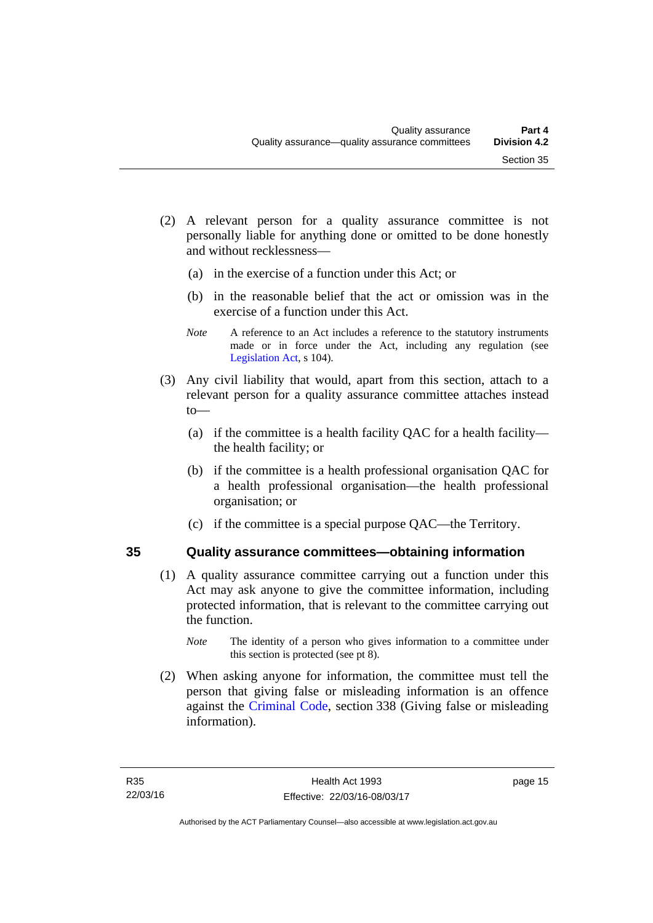- (2) A relevant person for a quality assurance committee is not personally liable for anything done or omitted to be done honestly and without recklessness—
	- (a) in the exercise of a function under this Act; or
	- (b) in the reasonable belief that the act or omission was in the exercise of a function under this Act.
	- *Note* A reference to an Act includes a reference to the statutory instruments made or in force under the Act, including any regulation (see [Legislation Act,](http://www.legislation.act.gov.au/a/2001-14) s 104).
- (3) Any civil liability that would, apart from this section, attach to a relevant person for a quality assurance committee attaches instead to—
	- (a) if the committee is a health facility QAC for a health facility the health facility; or
	- (b) if the committee is a health professional organisation QAC for a health professional organisation—the health professional organisation; or
	- (c) if the committee is a special purpose QAC—the Territory.

#### <span id="page-22-0"></span>**35 Quality assurance committees—obtaining information**

- (1) A quality assurance committee carrying out a function under this Act may ask anyone to give the committee information, including protected information, that is relevant to the committee carrying out the function.
	- *Note* The identity of a person who gives information to a committee under this section is protected (see pt 8).
- (2) When asking anyone for information, the committee must tell the person that giving false or misleading information is an offence against the [Criminal Code](http://www.legislation.act.gov.au/a/2002-51), section 338 (Giving false or misleading information).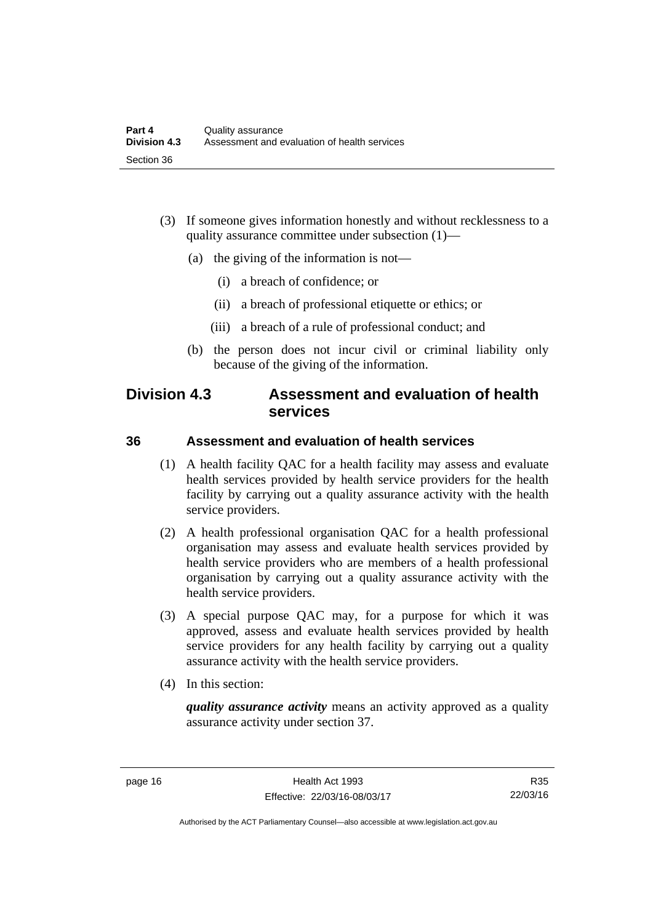- (3) If someone gives information honestly and without recklessness to a quality assurance committee under subsection (1)—
	- (a) the giving of the information is not—
		- (i) a breach of confidence; or
		- (ii) a breach of professional etiquette or ethics; or
		- (iii) a breach of a rule of professional conduct; and
	- (b) the person does not incur civil or criminal liability only because of the giving of the information.

## <span id="page-23-0"></span>**Division 4.3 Assessment and evaluation of health services**

#### <span id="page-23-1"></span>**36 Assessment and evaluation of health services**

- (1) A health facility QAC for a health facility may assess and evaluate health services provided by health service providers for the health facility by carrying out a quality assurance activity with the health service providers.
- (2) A health professional organisation QAC for a health professional organisation may assess and evaluate health services provided by health service providers who are members of a health professional organisation by carrying out a quality assurance activity with the health service providers.
- (3) A special purpose QAC may, for a purpose for which it was approved, assess and evaluate health services provided by health service providers for any health facility by carrying out a quality assurance activity with the health service providers.
- (4) In this section:

*quality assurance activity* means an activity approved as a quality assurance activity under section 37.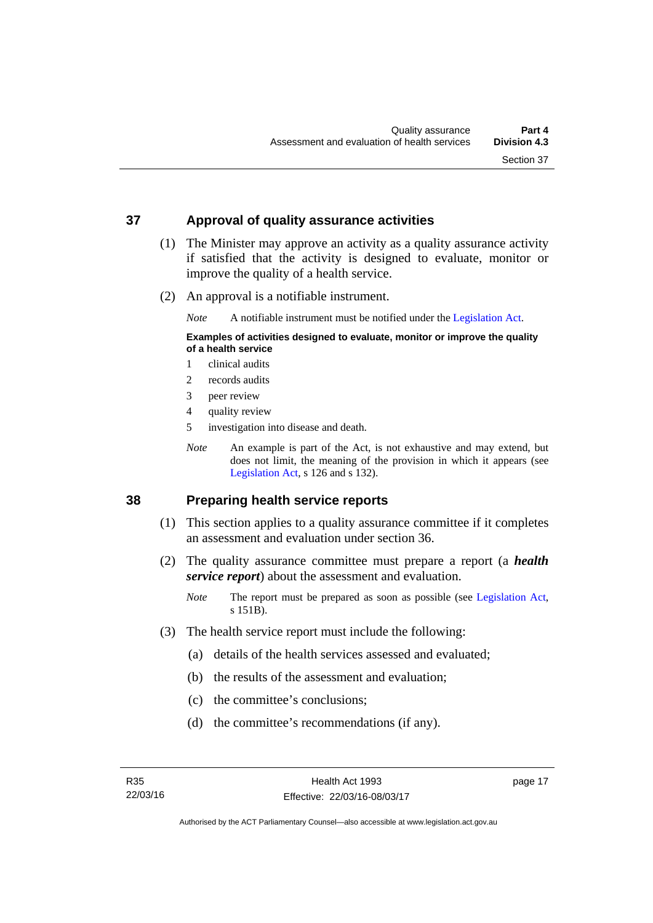#### <span id="page-24-0"></span>**37 Approval of quality assurance activities**

- (1) The Minister may approve an activity as a quality assurance activity if satisfied that the activity is designed to evaluate, monitor or improve the quality of a health service.
- (2) An approval is a notifiable instrument.

*Note* A notifiable instrument must be notified under the [Legislation Act](http://www.legislation.act.gov.au/a/2001-14).

#### **Examples of activities designed to evaluate, monitor or improve the quality of a health service**

- 1 clinical audits
- 2 records audits
- 3 peer review
- 4 quality review
- 5 investigation into disease and death.
- *Note* An example is part of the Act, is not exhaustive and may extend, but does not limit, the meaning of the provision in which it appears (see [Legislation Act,](http://www.legislation.act.gov.au/a/2001-14) s 126 and s 132).

#### <span id="page-24-1"></span>**38 Preparing health service reports**

- (1) This section applies to a quality assurance committee if it completes an assessment and evaluation under section 36.
- (2) The quality assurance committee must prepare a report (a *health service report*) about the assessment and evaluation.
	- *Note* The report must be prepared as soon as possible (see [Legislation Act,](http://www.legislation.act.gov.au/a/2001-14) s 151B).
- (3) The health service report must include the following:
	- (a) details of the health services assessed and evaluated;
	- (b) the results of the assessment and evaluation;
	- (c) the committee's conclusions;
	- (d) the committee's recommendations (if any).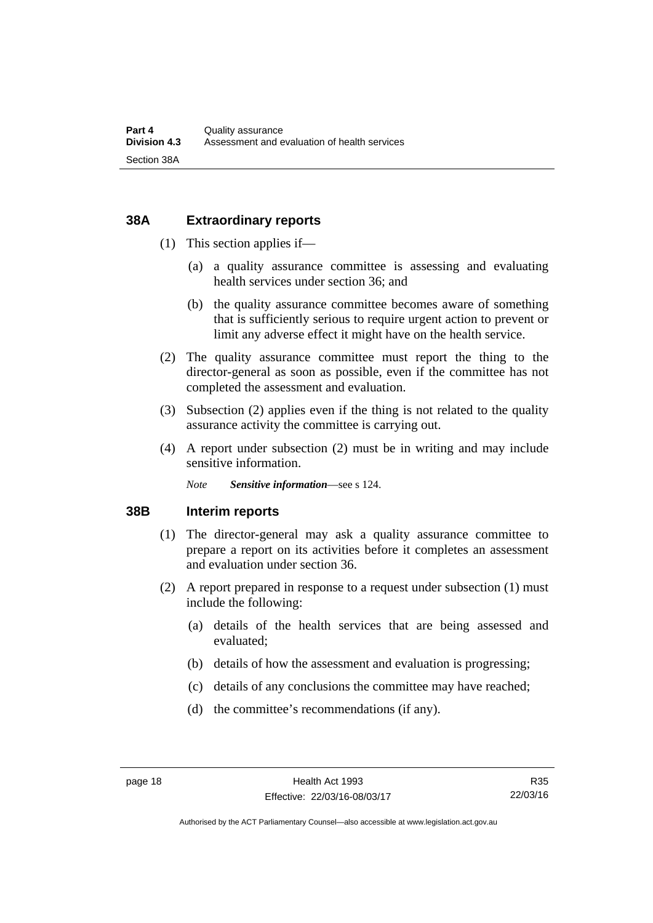#### <span id="page-25-0"></span>**38A Extraordinary reports**

- (1) This section applies if—
	- (a) a quality assurance committee is assessing and evaluating health services under section 36; and
	- (b) the quality assurance committee becomes aware of something that is sufficiently serious to require urgent action to prevent or limit any adverse effect it might have on the health service.
- (2) The quality assurance committee must report the thing to the director-general as soon as possible, even if the committee has not completed the assessment and evaluation.
- (3) Subsection (2) applies even if the thing is not related to the quality assurance activity the committee is carrying out.
- (4) A report under subsection (2) must be in writing and may include sensitive information.

*Note Sensitive information*—see s 124.

#### <span id="page-25-1"></span>**38B Interim reports**

- (1) The director-general may ask a quality assurance committee to prepare a report on its activities before it completes an assessment and evaluation under section 36.
- (2) A report prepared in response to a request under subsection (1) must include the following:
	- (a) details of the health services that are being assessed and evaluated;
	- (b) details of how the assessment and evaluation is progressing;
	- (c) details of any conclusions the committee may have reached;
	- (d) the committee's recommendations (if any).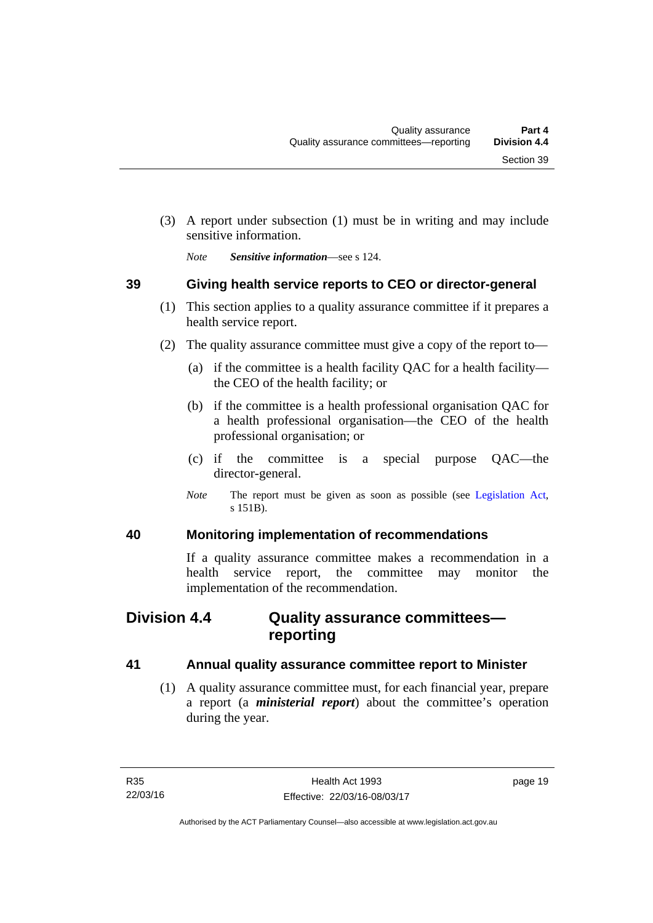(3) A report under subsection (1) must be in writing and may include sensitive information.

*Note Sensitive information*—see s 124.

#### <span id="page-26-0"></span>**39 Giving health service reports to CEO or director-general**

- (1) This section applies to a quality assurance committee if it prepares a health service report.
- (2) The quality assurance committee must give a copy of the report to—
	- (a) if the committee is a health facility QAC for a health facility the CEO of the health facility; or
	- (b) if the committee is a health professional organisation QAC for a health professional organisation—the CEO of the health professional organisation; or
	- (c) if the committee is a special purpose QAC—the director-general.
	- *Note* The report must be given as soon as possible (see [Legislation Act,](http://www.legislation.act.gov.au/a/2001-14) s 151B).

#### <span id="page-26-1"></span>**40 Monitoring implementation of recommendations**

If a quality assurance committee makes a recommendation in a health service report, the committee may monitor the implementation of the recommendation.

# <span id="page-26-2"></span>**Division 4.4 Quality assurance committees reporting**

#### <span id="page-26-3"></span>**41 Annual quality assurance committee report to Minister**

 (1) A quality assurance committee must, for each financial year, prepare a report (a *ministerial report*) about the committee's operation during the year.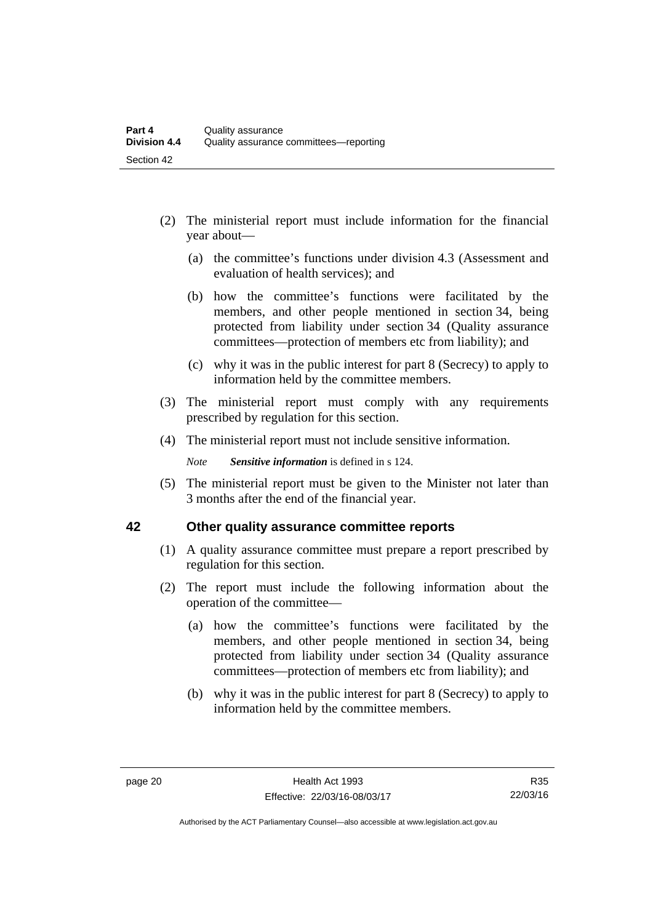- (2) The ministerial report must include information for the financial year about—
	- (a) the committee's functions under division 4.3 (Assessment and evaluation of health services); and
	- (b) how the committee's functions were facilitated by the members, and other people mentioned in section 34, being protected from liability under section 34 (Quality assurance committees—protection of members etc from liability); and
	- (c) why it was in the public interest for part 8 (Secrecy) to apply to information held by the committee members.
- (3) The ministerial report must comply with any requirements prescribed by regulation for this section.
- (4) The ministerial report must not include sensitive information.

*Note Sensitive information* is defined in s 124.

 (5) The ministerial report must be given to the Minister not later than 3 months after the end of the financial year.

#### <span id="page-27-0"></span>**42 Other quality assurance committee reports**

- (1) A quality assurance committee must prepare a report prescribed by regulation for this section.
- (2) The report must include the following information about the operation of the committee—
	- (a) how the committee's functions were facilitated by the members, and other people mentioned in section 34, being protected from liability under section 34 (Quality assurance committees—protection of members etc from liability); and
	- (b) why it was in the public interest for part 8 (Secrecy) to apply to information held by the committee members.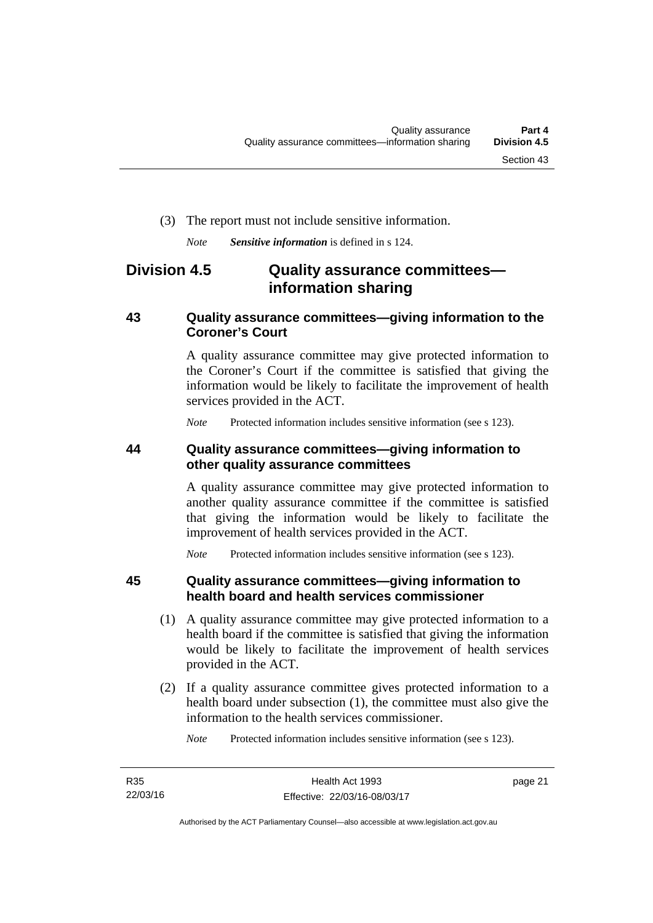#### (3) The report must not include sensitive information.

*Note Sensitive information* is defined in s 124.

# <span id="page-28-0"></span>**Division 4.5 Quality assurance committees information sharing**

#### <span id="page-28-1"></span>**43 Quality assurance committees—giving information to the Coroner's Court**

A quality assurance committee may give protected information to the Coroner's Court if the committee is satisfied that giving the information would be likely to facilitate the improvement of health services provided in the ACT.

*Note* Protected information includes sensitive information (see s 123).

#### <span id="page-28-2"></span>**44 Quality assurance committees—giving information to other quality assurance committees**

A quality assurance committee may give protected information to another quality assurance committee if the committee is satisfied that giving the information would be likely to facilitate the improvement of health services provided in the ACT.

*Note* Protected information includes sensitive information (see s 123).

#### <span id="page-28-3"></span>**45 Quality assurance committees—giving information to health board and health services commissioner**

- (1) A quality assurance committee may give protected information to a health board if the committee is satisfied that giving the information would be likely to facilitate the improvement of health services provided in the ACT.
- (2) If a quality assurance committee gives protected information to a health board under subsection (1), the committee must also give the information to the health services commissioner.

*Note* Protected information includes sensitive information (see s 123).

page 21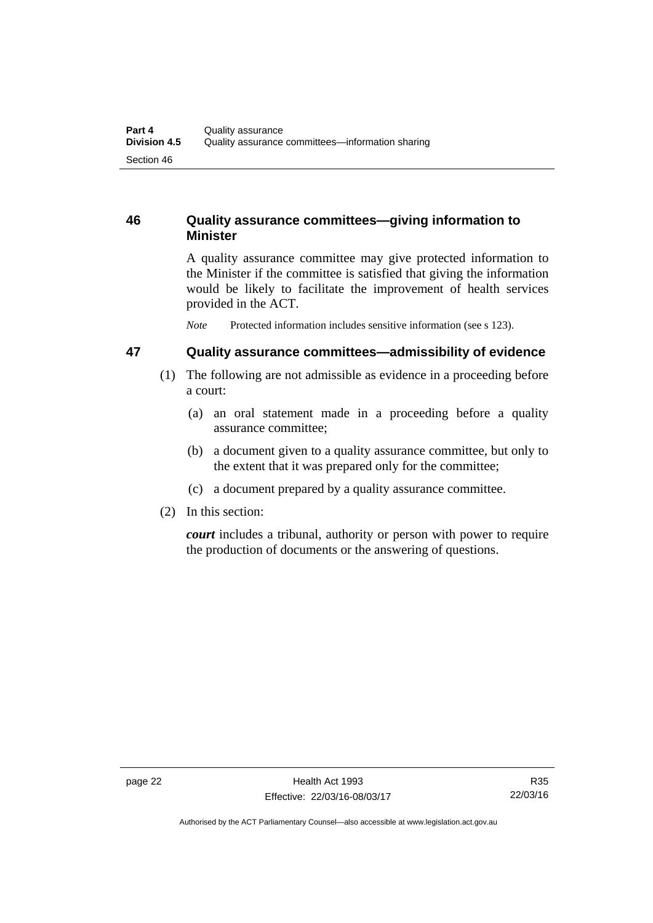#### <span id="page-29-0"></span>**46 Quality assurance committees—giving information to Minister**

A quality assurance committee may give protected information to the Minister if the committee is satisfied that giving the information would be likely to facilitate the improvement of health services provided in the ACT.

*Note* Protected information includes sensitive information (see s 123).

#### <span id="page-29-1"></span>**47 Quality assurance committees—admissibility of evidence**

- (1) The following are not admissible as evidence in a proceeding before a court:
	- (a) an oral statement made in a proceeding before a quality assurance committee;
	- (b) a document given to a quality assurance committee, but only to the extent that it was prepared only for the committee;
	- (c) a document prepared by a quality assurance committee.
- (2) In this section:

*court* includes a tribunal, authority or person with power to require the production of documents or the answering of questions.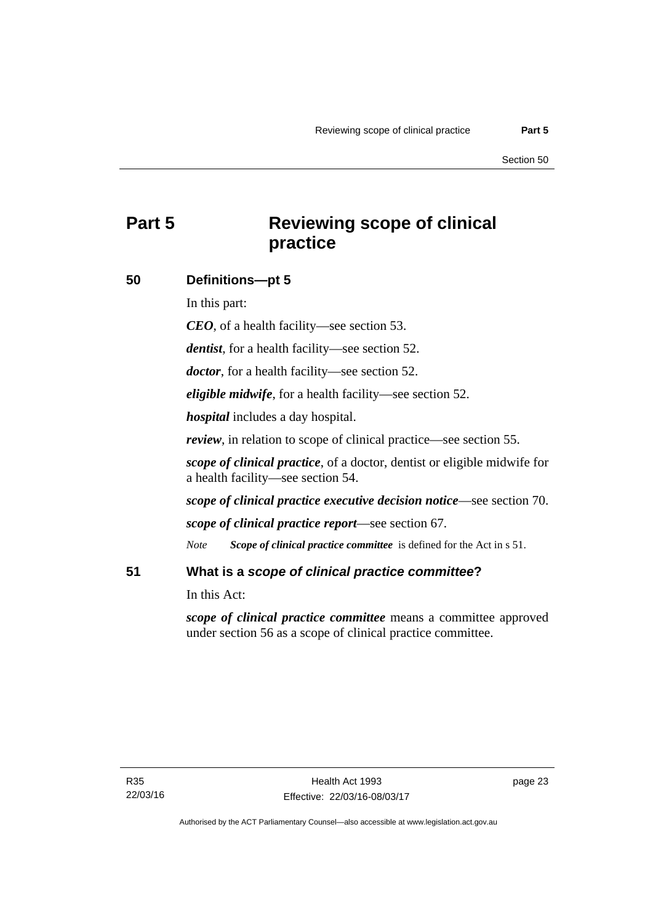# <span id="page-30-0"></span>**Part 5 Reviewing scope of clinical practice**

#### <span id="page-30-1"></span>**50 Definitions—pt 5**

In this part:

*CEO*, of a health facility—see section 53.

*dentist*, for a health facility—see section 52.

*doctor*, for a health facility—see section 52.

*eligible midwife*, for a health facility—see section 52.

*hospital* includes a day hospital.

*review*, in relation to scope of clinical practice—see section 55.

*scope of clinical practice*, of a doctor, dentist or eligible midwife for a health facility—see section 54.

*scope of clinical practice executive decision notice*—see section 70.

*scope of clinical practice report*—see section 67.

*Note Scope of clinical practice committee* is defined for the Act in s 51.

#### <span id="page-30-2"></span>**51 What is a** *scope of clinical practice committee***?**

In this Act:

*scope of clinical practice committee* means a committee approved under section 56 as a scope of clinical practice committee.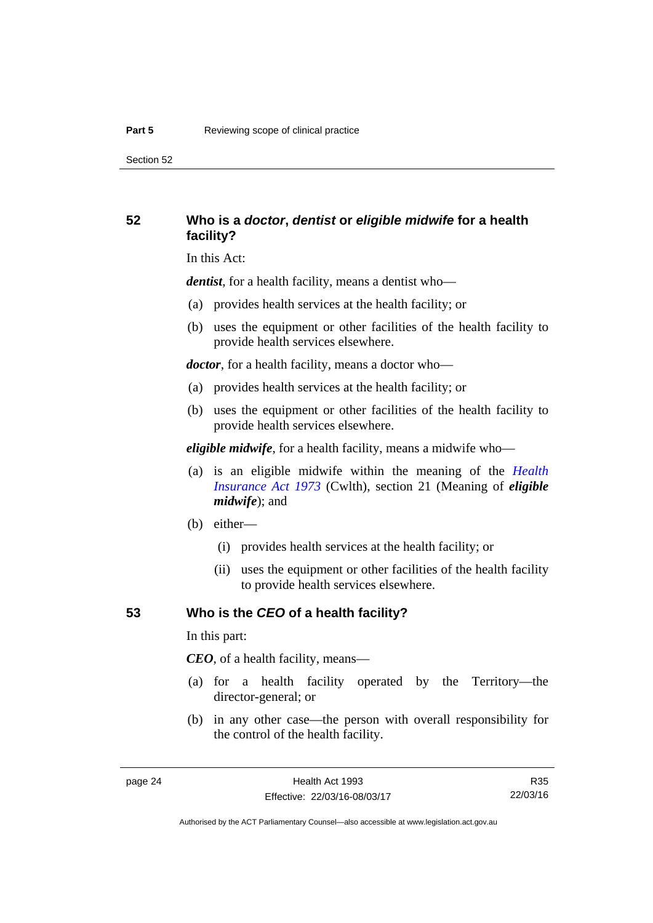Section 52

#### <span id="page-31-0"></span>**52 Who is a** *doctor***,** *dentist* **or** *eligible midwife* **for a health facility?**

In this Act:

*dentist*, for a health facility, means a dentist who—

- (a) provides health services at the health facility; or
- (b) uses the equipment or other facilities of the health facility to provide health services elsewhere.

*doctor*, for a health facility, means a doctor who—

- (a) provides health services at the health facility; or
- (b) uses the equipment or other facilities of the health facility to provide health services elsewhere.

*eligible midwife*, for a health facility, means a midwife who—

- (a) is an eligible midwife within the meaning of the *[Health](http://www.comlaw.gov.au/Series/C2004A00101)  [Insurance Act 1973](http://www.comlaw.gov.au/Series/C2004A00101)* (Cwlth), section 21 (Meaning of *eligible midwife*); and
- (b) either—
	- (i) provides health services at the health facility; or
	- (ii) uses the equipment or other facilities of the health facility to provide health services elsewhere.

#### <span id="page-31-1"></span>**53 Who is the** *CEO* **of a health facility?**

In this part:

*CEO*, of a health facility, means—

- (a) for a health facility operated by the Territory—the director-general; or
- (b) in any other case—the person with overall responsibility for the control of the health facility.

R35 22/03/16

Authorised by the ACT Parliamentary Counsel—also accessible at www.legislation.act.gov.au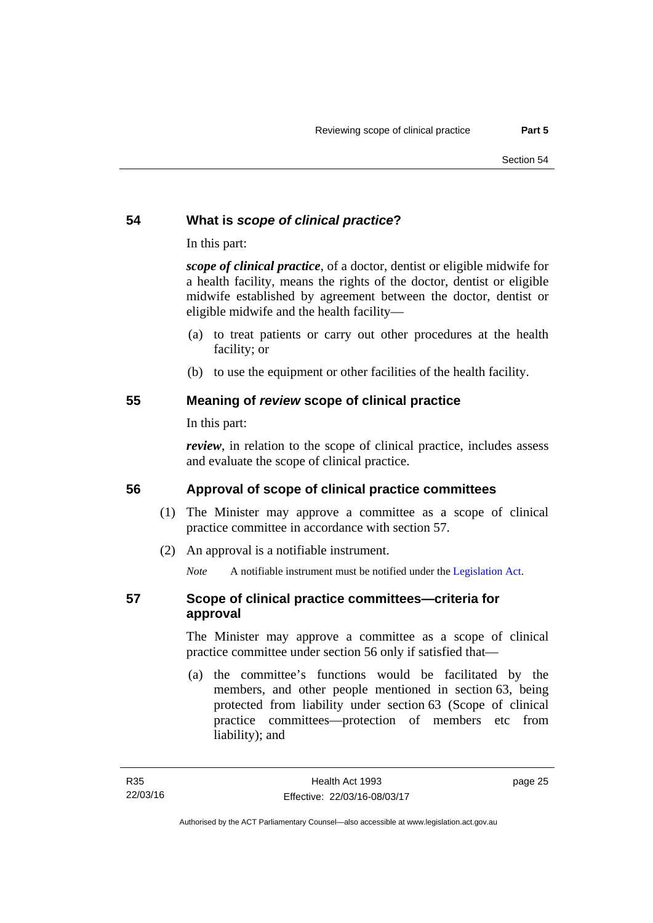#### <span id="page-32-0"></span>**54 What is** *scope of clinical practice***?**

In this part:

*scope of clinical practice*, of a doctor, dentist or eligible midwife for a health facility, means the rights of the doctor, dentist or eligible midwife established by agreement between the doctor, dentist or eligible midwife and the health facility—

- (a) to treat patients or carry out other procedures at the health facility; or
- (b) to use the equipment or other facilities of the health facility.

#### <span id="page-32-1"></span>**55 Meaning of** *review* **scope of clinical practice**

In this part:

*review*, in relation to the scope of clinical practice, includes assess and evaluate the scope of clinical practice.

### <span id="page-32-2"></span>**56 Approval of scope of clinical practice committees**

- (1) The Minister may approve a committee as a scope of clinical practice committee in accordance with section 57.
- (2) An approval is a notifiable instrument.

*Note* A notifiable instrument must be notified under the [Legislation Act](http://www.legislation.act.gov.au/a/2001-14).

#### <span id="page-32-3"></span>**57 Scope of clinical practice committees—criteria for approval**

The Minister may approve a committee as a scope of clinical practice committee under section 56 only if satisfied that—

 (a) the committee's functions would be facilitated by the members, and other people mentioned in section 63, being protected from liability under section 63 (Scope of clinical practice committees—protection of members etc from liability); and

page 25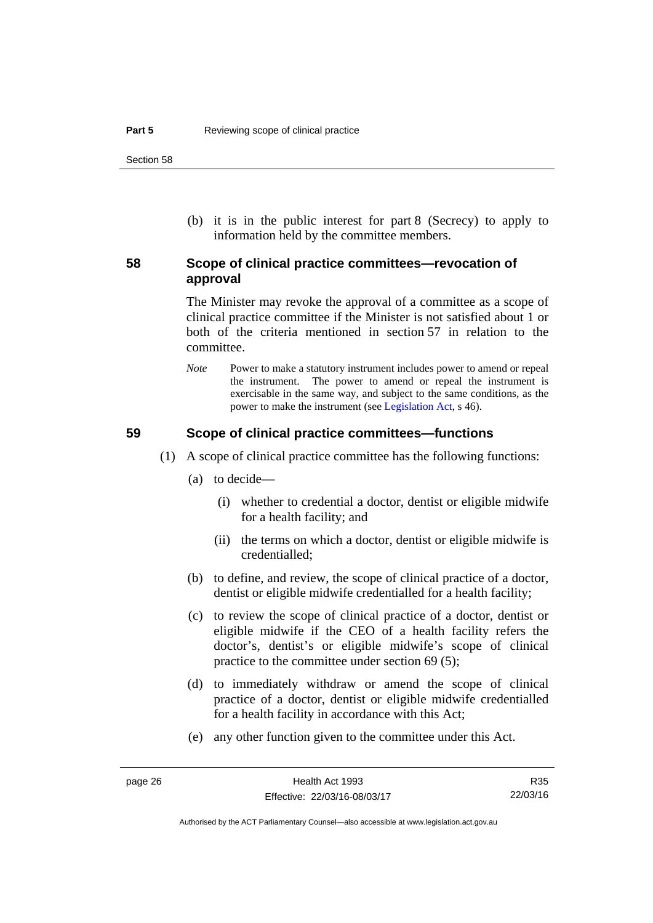(b) it is in the public interest for part 8 (Secrecy) to apply to information held by the committee members.

#### <span id="page-33-0"></span>**58 Scope of clinical practice committees—revocation of approval**

The Minister may revoke the approval of a committee as a scope of clinical practice committee if the Minister is not satisfied about 1 or both of the criteria mentioned in section 57 in relation to the committee.

*Note* Power to make a statutory instrument includes power to amend or repeal the instrument. The power to amend or repeal the instrument is exercisable in the same way, and subject to the same conditions, as the power to make the instrument (see [Legislation Act,](http://www.legislation.act.gov.au/a/2001-14) s 46).

#### <span id="page-33-1"></span>**59 Scope of clinical practice committees—functions**

- (1) A scope of clinical practice committee has the following functions:
	- (a) to decide—
		- (i) whether to credential a doctor, dentist or eligible midwife for a health facility; and
		- (ii) the terms on which a doctor, dentist or eligible midwife is credentialled;
	- (b) to define, and review, the scope of clinical practice of a doctor, dentist or eligible midwife credentialled for a health facility;
	- (c) to review the scope of clinical practice of a doctor, dentist or eligible midwife if the CEO of a health facility refers the doctor's, dentist's or eligible midwife's scope of clinical practice to the committee under section 69 (5);
	- (d) to immediately withdraw or amend the scope of clinical practice of a doctor, dentist or eligible midwife credentialled for a health facility in accordance with this Act;
	- (e) any other function given to the committee under this Act.

R35 22/03/16

Authorised by the ACT Parliamentary Counsel—also accessible at www.legislation.act.gov.au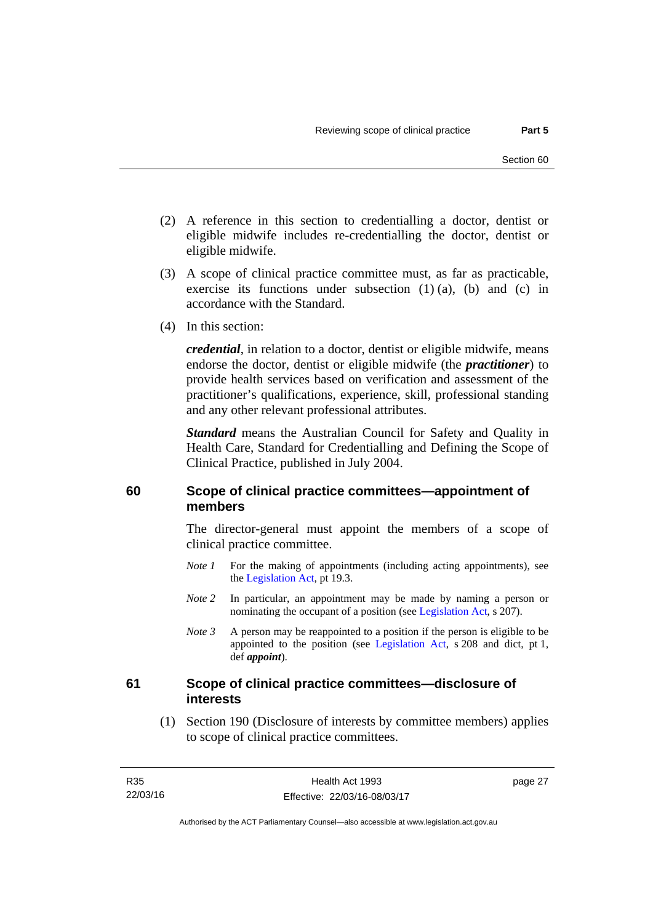- (2) A reference in this section to credentialling a doctor, dentist or eligible midwife includes re-credentialling the doctor, dentist or eligible midwife.
- (3) A scope of clinical practice committee must, as far as practicable, exercise its functions under subsection (1) (a), (b) and (c) in accordance with the Standard.
- (4) In this section:

*credential*, in relation to a doctor, dentist or eligible midwife, means endorse the doctor, dentist or eligible midwife (the *practitioner*) to provide health services based on verification and assessment of the practitioner's qualifications, experience, skill, professional standing and any other relevant professional attributes.

*Standard* means the Australian Council for Safety and Quality in Health Care, Standard for Credentialling and Defining the Scope of Clinical Practice, published in July 2004.

#### <span id="page-34-0"></span>**60 Scope of clinical practice committees—appointment of members**

The director-general must appoint the members of a scope of clinical practice committee.

- *Note 1* For the making of appointments (including acting appointments), see the [Legislation Act,](http://www.legislation.act.gov.au/a/2001-14) pt 19.3.
- *Note 2* In particular, an appointment may be made by naming a person or nominating the occupant of a position (see [Legislation Act](http://www.legislation.act.gov.au/a/2001-14), s 207).
- *Note 3* A person may be reappointed to a position if the person is eligible to be appointed to the position (see [Legislation Act,](http://www.legislation.act.gov.au/a/2001-14) s 208 and dict, pt 1, def *appoint*).

#### <span id="page-34-1"></span>**61 Scope of clinical practice committees—disclosure of interests**

 (1) Section 190 (Disclosure of interests by committee members) applies to scope of clinical practice committees.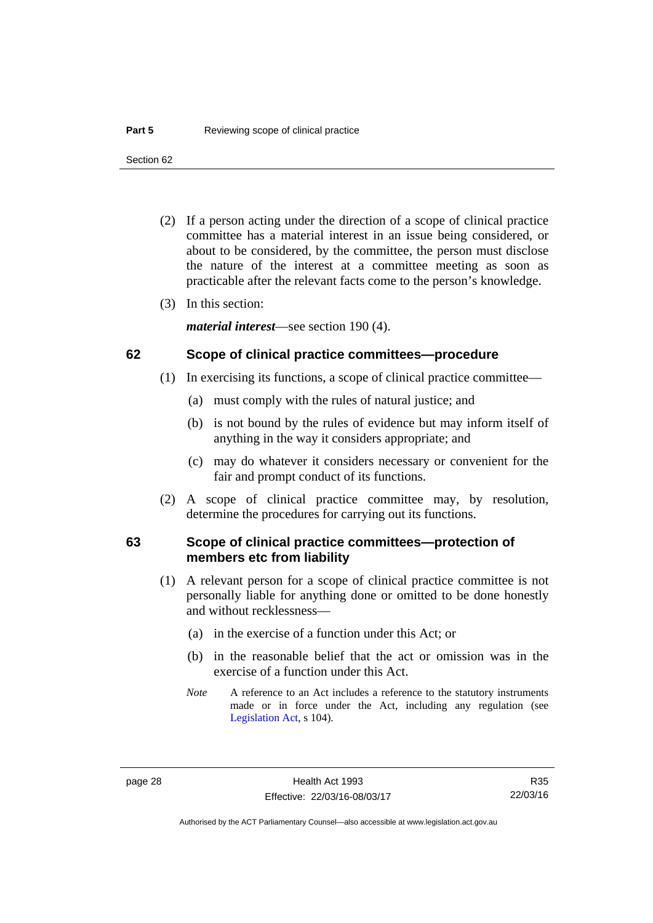Section 62

- (2) If a person acting under the direction of a scope of clinical practice committee has a material interest in an issue being considered, or about to be considered, by the committee, the person must disclose the nature of the interest at a committee meeting as soon as practicable after the relevant facts come to the person's knowledge.
- (3) In this section:

*material interest*—see section 190 (4).

#### <span id="page-35-0"></span>**62 Scope of clinical practice committees—procedure**

- (1) In exercising its functions, a scope of clinical practice committee—
	- (a) must comply with the rules of natural justice; and
	- (b) is not bound by the rules of evidence but may inform itself of anything in the way it considers appropriate; and
	- (c) may do whatever it considers necessary or convenient for the fair and prompt conduct of its functions.
- (2) A scope of clinical practice committee may, by resolution, determine the procedures for carrying out its functions.

#### <span id="page-35-1"></span>**63 Scope of clinical practice committees—protection of members etc from liability**

- (1) A relevant person for a scope of clinical practice committee is not personally liable for anything done or omitted to be done honestly and without recklessness—
	- (a) in the exercise of a function under this Act; or
	- (b) in the reasonable belief that the act or omission was in the exercise of a function under this Act.
	- *Note* A reference to an Act includes a reference to the statutory instruments made or in force under the Act, including any regulation (see [Legislation Act,](http://www.legislation.act.gov.au/a/2001-14) s 104).

R35 22/03/16

Authorised by the ACT Parliamentary Counsel—also accessible at www.legislation.act.gov.au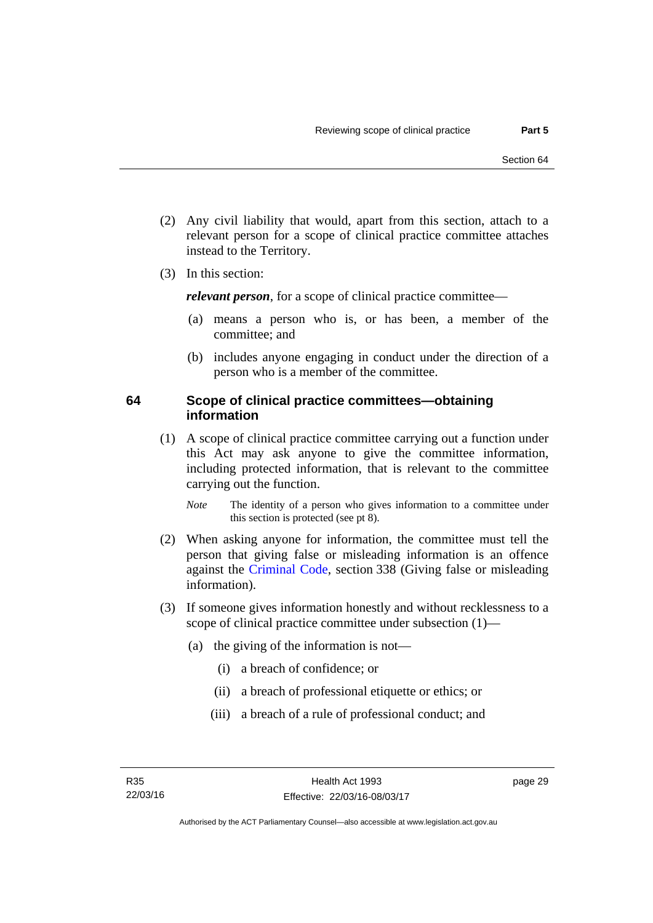- (2) Any civil liability that would, apart from this section, attach to a relevant person for a scope of clinical practice committee attaches instead to the Territory.
- (3) In this section:

*relevant person*, for a scope of clinical practice committee—

- (a) means a person who is, or has been, a member of the committee; and
- (b) includes anyone engaging in conduct under the direction of a person who is a member of the committee.

#### **64 Scope of clinical practice committees—obtaining information**

 (1) A scope of clinical practice committee carrying out a function under this Act may ask anyone to give the committee information, including protected information, that is relevant to the committee carrying out the function.

*Note* The identity of a person who gives information to a committee under this section is protected (see pt 8).

- (2) When asking anyone for information, the committee must tell the person that giving false or misleading information is an offence against the [Criminal Code](http://www.legislation.act.gov.au/a/2002-51), section 338 (Giving false or misleading information).
- (3) If someone gives information honestly and without recklessness to a scope of clinical practice committee under subsection (1)—
	- (a) the giving of the information is not—
		- (i) a breach of confidence; or
		- (ii) a breach of professional etiquette or ethics; or
		- (iii) a breach of a rule of professional conduct; and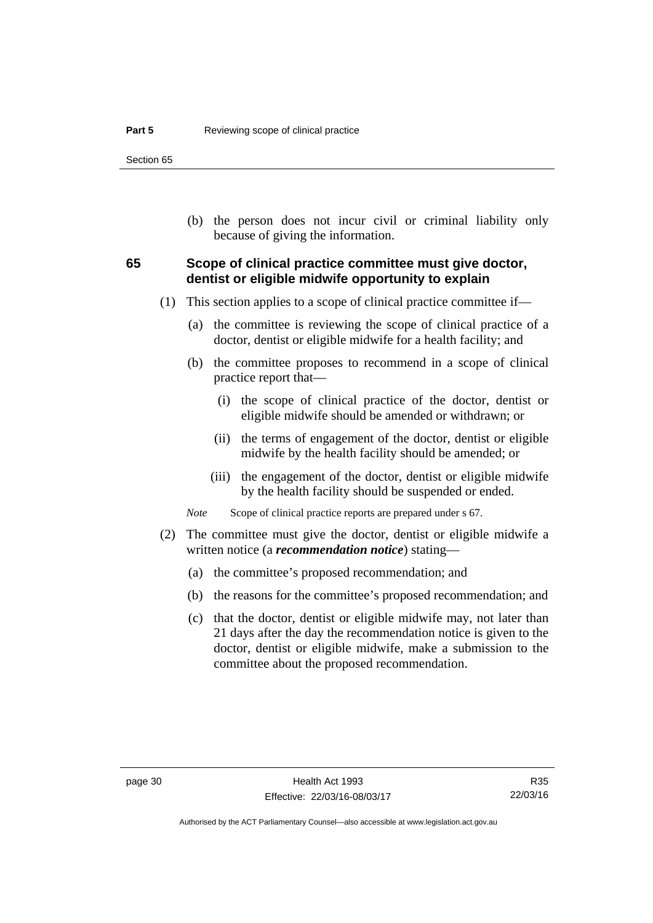Section 65

 (b) the person does not incur civil or criminal liability only because of giving the information.

#### **65 Scope of clinical practice committee must give doctor, dentist or eligible midwife opportunity to explain**

- (1) This section applies to a scope of clinical practice committee if—
	- (a) the committee is reviewing the scope of clinical practice of a doctor, dentist or eligible midwife for a health facility; and
	- (b) the committee proposes to recommend in a scope of clinical practice report that—
		- (i) the scope of clinical practice of the doctor, dentist or eligible midwife should be amended or withdrawn; or
		- (ii) the terms of engagement of the doctor, dentist or eligible midwife by the health facility should be amended; or
		- (iii) the engagement of the doctor, dentist or eligible midwife by the health facility should be suspended or ended.

*Note* Scope of clinical practice reports are prepared under s 67.

- (2) The committee must give the doctor, dentist or eligible midwife a written notice (a *recommendation notice*) stating—
	- (a) the committee's proposed recommendation; and
	- (b) the reasons for the committee's proposed recommendation; and
	- (c) that the doctor, dentist or eligible midwife may, not later than 21 days after the day the recommendation notice is given to the doctor, dentist or eligible midwife, make a submission to the committee about the proposed recommendation.

R35 22/03/16

Authorised by the ACT Parliamentary Counsel—also accessible at www.legislation.act.gov.au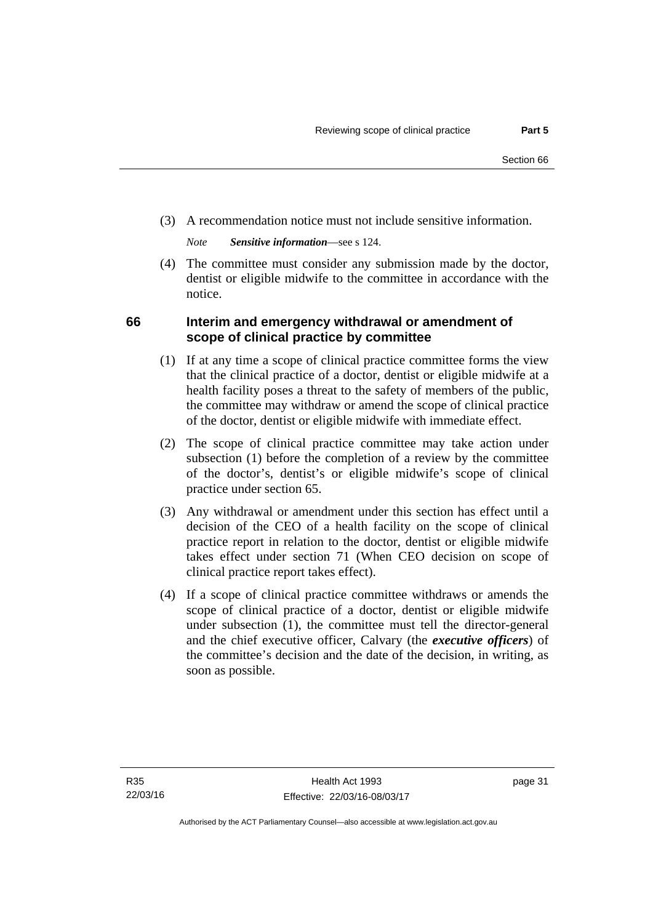(3) A recommendation notice must not include sensitive information.

*Note Sensitive information*—see s 124.

 (4) The committee must consider any submission made by the doctor, dentist or eligible midwife to the committee in accordance with the notice.

# **66 Interim and emergency withdrawal or amendment of scope of clinical practice by committee**

- (1) If at any time a scope of clinical practice committee forms the view that the clinical practice of a doctor, dentist or eligible midwife at a health facility poses a threat to the safety of members of the public, the committee may withdraw or amend the scope of clinical practice of the doctor, dentist or eligible midwife with immediate effect.
- (2) The scope of clinical practice committee may take action under subsection (1) before the completion of a review by the committee of the doctor's, dentist's or eligible midwife's scope of clinical practice under section 65.
- (3) Any withdrawal or amendment under this section has effect until a decision of the CEO of a health facility on the scope of clinical practice report in relation to the doctor, dentist or eligible midwife takes effect under section 71 (When CEO decision on scope of clinical practice report takes effect).
- (4) If a scope of clinical practice committee withdraws or amends the scope of clinical practice of a doctor, dentist or eligible midwife under subsection (1), the committee must tell the director-general and the chief executive officer, Calvary (the *executive officers*) of the committee's decision and the date of the decision, in writing, as soon as possible.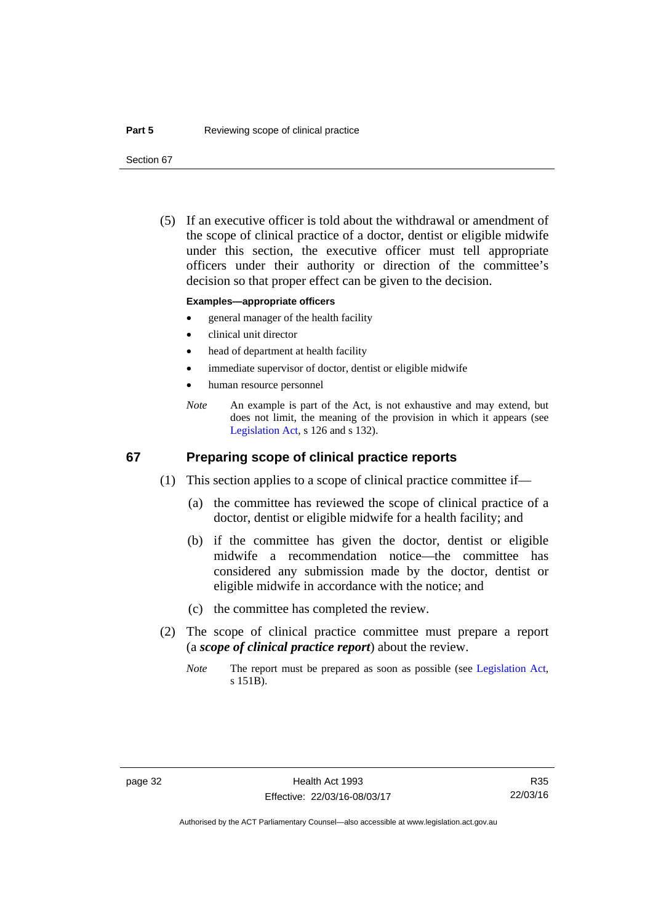Section 67

 (5) If an executive officer is told about the withdrawal or amendment of the scope of clinical practice of a doctor, dentist or eligible midwife under this section, the executive officer must tell appropriate officers under their authority or direction of the committee's decision so that proper effect can be given to the decision.

#### **Examples—appropriate officers**

- general manager of the health facility
- clinical unit director
- head of department at health facility
- immediate supervisor of doctor, dentist or eligible midwife
- human resource personnel
- *Note* An example is part of the Act, is not exhaustive and may extend, but does not limit, the meaning of the provision in which it appears (see [Legislation Act,](http://www.legislation.act.gov.au/a/2001-14) s 126 and s 132).

#### **67 Preparing scope of clinical practice reports**

- (1) This section applies to a scope of clinical practice committee if—
	- (a) the committee has reviewed the scope of clinical practice of a doctor, dentist or eligible midwife for a health facility; and
	- (b) if the committee has given the doctor, dentist or eligible midwife a recommendation notice—the committee has considered any submission made by the doctor, dentist or eligible midwife in accordance with the notice; and
	- (c) the committee has completed the review.
- (2) The scope of clinical practice committee must prepare a report (a *scope of clinical practice report*) about the review.
	- *Note* The report must be prepared as soon as possible (see [Legislation Act,](http://www.legislation.act.gov.au/a/2001-14) s 151B).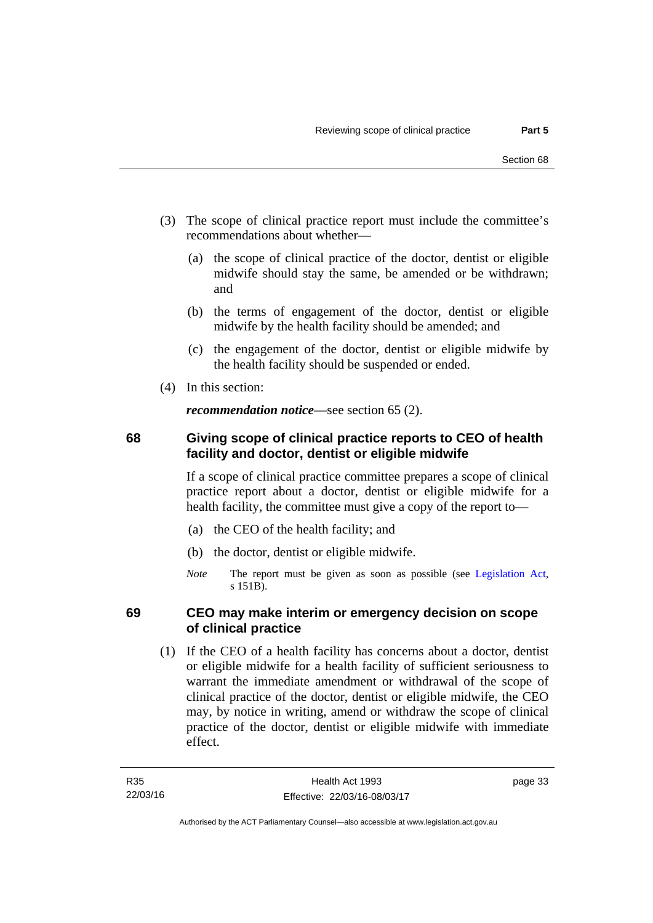- (3) The scope of clinical practice report must include the committee's recommendations about whether—
	- (a) the scope of clinical practice of the doctor, dentist or eligible midwife should stay the same, be amended or be withdrawn; and
	- (b) the terms of engagement of the doctor, dentist or eligible midwife by the health facility should be amended; and
	- (c) the engagement of the doctor, dentist or eligible midwife by the health facility should be suspended or ended.
- (4) In this section:

*recommendation notice*—see section 65 (2).

# **68 Giving scope of clinical practice reports to CEO of health facility and doctor, dentist or eligible midwife**

If a scope of clinical practice committee prepares a scope of clinical practice report about a doctor, dentist or eligible midwife for a health facility, the committee must give a copy of the report to—

- (a) the CEO of the health facility; and
- (b) the doctor, dentist or eligible midwife.
- *Note* The report must be given as soon as possible (see [Legislation Act,](http://www.legislation.act.gov.au/a/2001-14) s 151B).

## **69 CEO may make interim or emergency decision on scope of clinical practice**

 (1) If the CEO of a health facility has concerns about a doctor, dentist or eligible midwife for a health facility of sufficient seriousness to warrant the immediate amendment or withdrawal of the scope of clinical practice of the doctor, dentist or eligible midwife, the CEO may, by notice in writing, amend or withdraw the scope of clinical practice of the doctor, dentist or eligible midwife with immediate effect.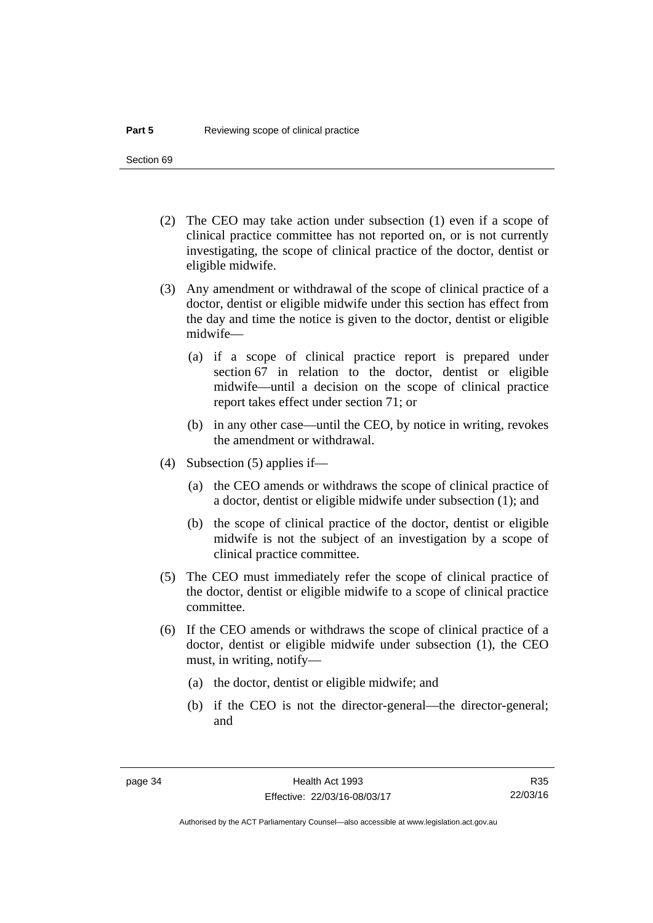Section 69

- (2) The CEO may take action under subsection (1) even if a scope of clinical practice committee has not reported on, or is not currently investigating, the scope of clinical practice of the doctor, dentist or eligible midwife.
- (3) Any amendment or withdrawal of the scope of clinical practice of a doctor, dentist or eligible midwife under this section has effect from the day and time the notice is given to the doctor, dentist or eligible midwife—
	- (a) if a scope of clinical practice report is prepared under section 67 in relation to the doctor, dentist or eligible midwife—until a decision on the scope of clinical practice report takes effect under section 71; or
	- (b) in any other case—until the CEO, by notice in writing, revokes the amendment or withdrawal.
- (4) Subsection (5) applies if—
	- (a) the CEO amends or withdraws the scope of clinical practice of a doctor, dentist or eligible midwife under subsection (1); and
	- (b) the scope of clinical practice of the doctor, dentist or eligible midwife is not the subject of an investigation by a scope of clinical practice committee.
- (5) The CEO must immediately refer the scope of clinical practice of the doctor, dentist or eligible midwife to a scope of clinical practice committee.
- (6) If the CEO amends or withdraws the scope of clinical practice of a doctor, dentist or eligible midwife under subsection (1), the CEO must, in writing, notify—
	- (a) the doctor, dentist or eligible midwife; and
	- (b) if the CEO is not the director-general—the director-general; and

Authorised by the ACT Parliamentary Counsel—also accessible at www.legislation.act.gov.au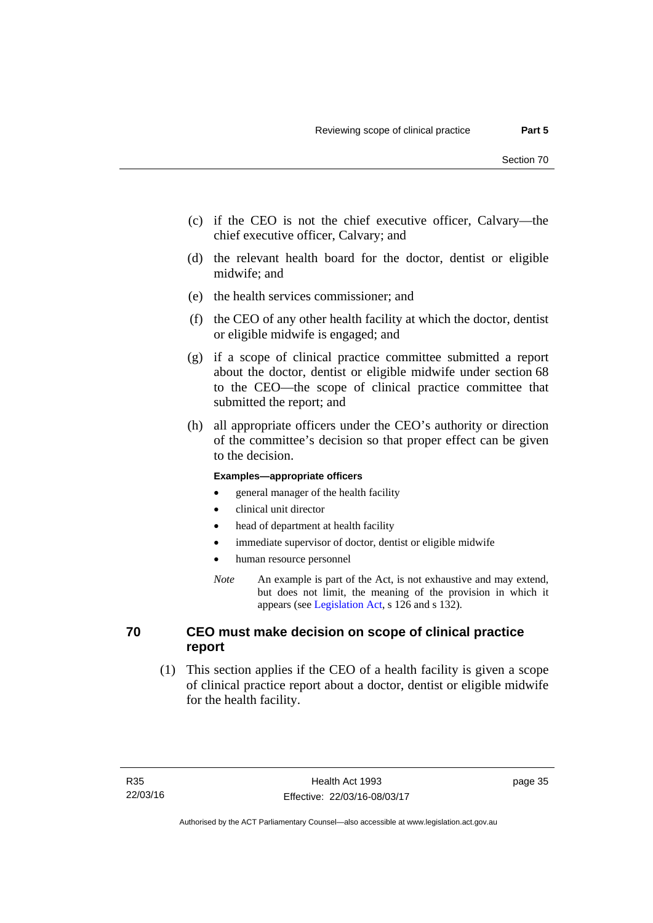- (c) if the CEO is not the chief executive officer, Calvary—the chief executive officer, Calvary; and
- (d) the relevant health board for the doctor, dentist or eligible midwife; and
- (e) the health services commissioner; and
- (f) the CEO of any other health facility at which the doctor, dentist or eligible midwife is engaged; and
- (g) if a scope of clinical practice committee submitted a report about the doctor, dentist or eligible midwife under section 68 to the CEO—the scope of clinical practice committee that submitted the report; and
- (h) all appropriate officers under the CEO's authority or direction of the committee's decision so that proper effect can be given to the decision.

#### **Examples—appropriate officers**

- general manager of the health facility
- clinical unit director
- head of department at health facility
- immediate supervisor of doctor, dentist or eligible midwife
- human resource personnel
- *Note* An example is part of the Act, is not exhaustive and may extend, but does not limit, the meaning of the provision in which it appears (see [Legislation Act,](http://www.legislation.act.gov.au/a/2001-14) s 126 and s 132).

#### **70 CEO must make decision on scope of clinical practice report**

 (1) This section applies if the CEO of a health facility is given a scope of clinical practice report about a doctor, dentist or eligible midwife for the health facility.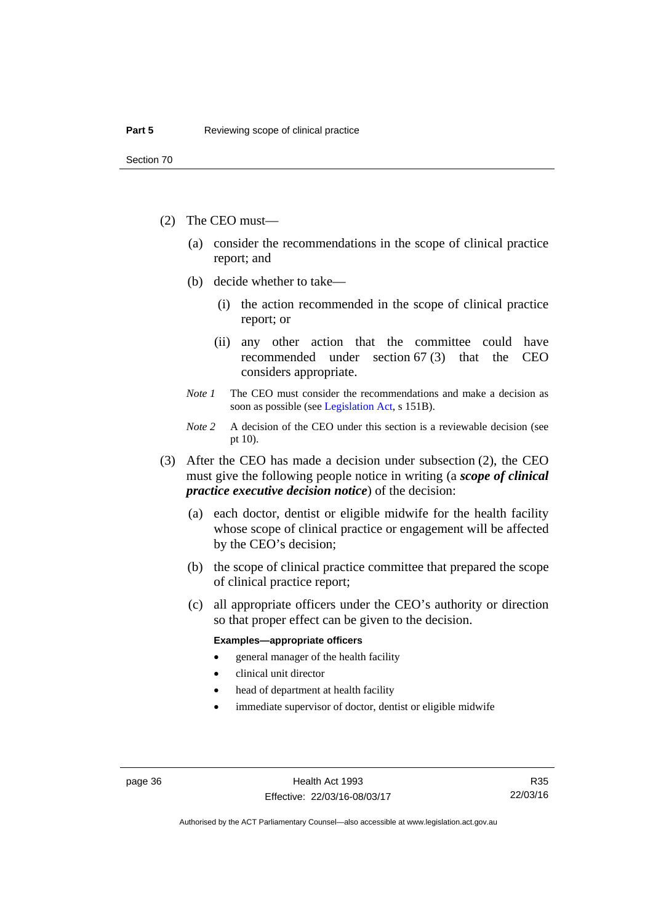- (2) The CEO must—
	- (a) consider the recommendations in the scope of clinical practice report; and
	- (b) decide whether to take—
		- (i) the action recommended in the scope of clinical practice report; or
		- (ii) any other action that the committee could have recommended under section 67 (3) that the CEO considers appropriate.
	- *Note 1* The CEO must consider the recommendations and make a decision as soon as possible (see [Legislation Act](http://www.legislation.act.gov.au/a/2001-14), s 151B).
	- *Note* 2 A decision of the CEO under this section is a reviewable decision (see pt 10).
- (3) After the CEO has made a decision under subsection (2), the CEO must give the following people notice in writing (a *scope of clinical practice executive decision notice*) of the decision:
	- (a) each doctor, dentist or eligible midwife for the health facility whose scope of clinical practice or engagement will be affected by the CEO's decision;
	- (b) the scope of clinical practice committee that prepared the scope of clinical practice report;
	- (c) all appropriate officers under the CEO's authority or direction so that proper effect can be given to the decision.

#### **Examples—appropriate officers**

- general manager of the health facility
- clinical unit director
- head of department at health facility
- immediate supervisor of doctor, dentist or eligible midwife

R35 22/03/16

Authorised by the ACT Parliamentary Counsel—also accessible at www.legislation.act.gov.au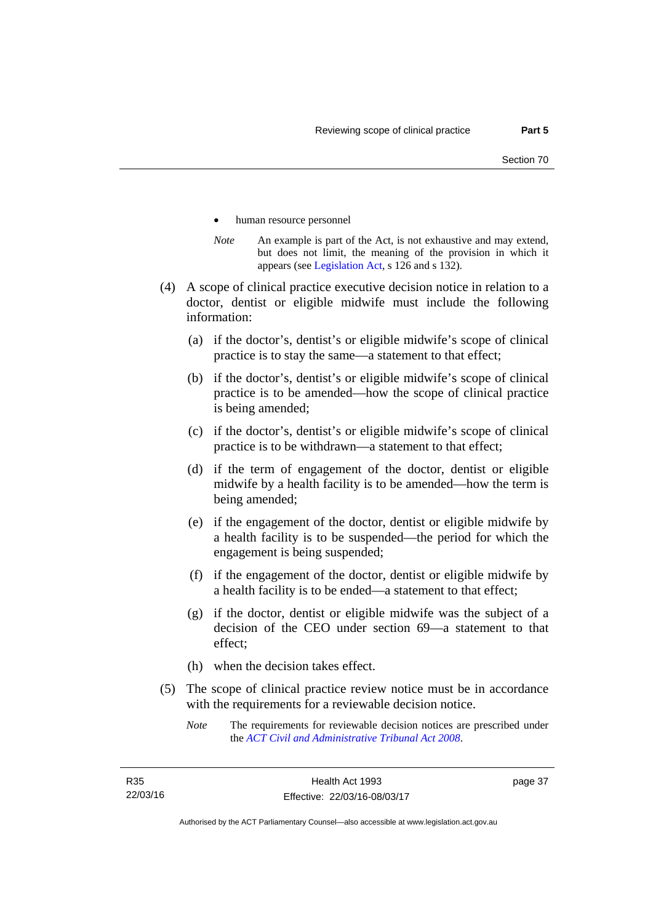- human resource personnel
- *Note* An example is part of the Act, is not exhaustive and may extend, but does not limit, the meaning of the provision in which it appears (see [Legislation Act,](http://www.legislation.act.gov.au/a/2001-14) s 126 and s 132).
- (4) A scope of clinical practice executive decision notice in relation to a doctor, dentist or eligible midwife must include the following information:
	- (a) if the doctor's, dentist's or eligible midwife's scope of clinical practice is to stay the same—a statement to that effect;
	- (b) if the doctor's, dentist's or eligible midwife's scope of clinical practice is to be amended—how the scope of clinical practice is being amended;
	- (c) if the doctor's, dentist's or eligible midwife's scope of clinical practice is to be withdrawn—a statement to that effect;
	- (d) if the term of engagement of the doctor, dentist or eligible midwife by a health facility is to be amended—how the term is being amended;
	- (e) if the engagement of the doctor, dentist or eligible midwife by a health facility is to be suspended—the period for which the engagement is being suspended;
	- (f) if the engagement of the doctor, dentist or eligible midwife by a health facility is to be ended—a statement to that effect;
	- (g) if the doctor, dentist or eligible midwife was the subject of a decision of the CEO under section 69—a statement to that effect;
	- (h) when the decision takes effect.
- (5) The scope of clinical practice review notice must be in accordance with the requirements for a reviewable decision notice.
	- *Note* The requirements for reviewable decision notices are prescribed under the *[ACT Civil and Administrative Tribunal Act 2008](http://www.legislation.act.gov.au/a/2008-35)*.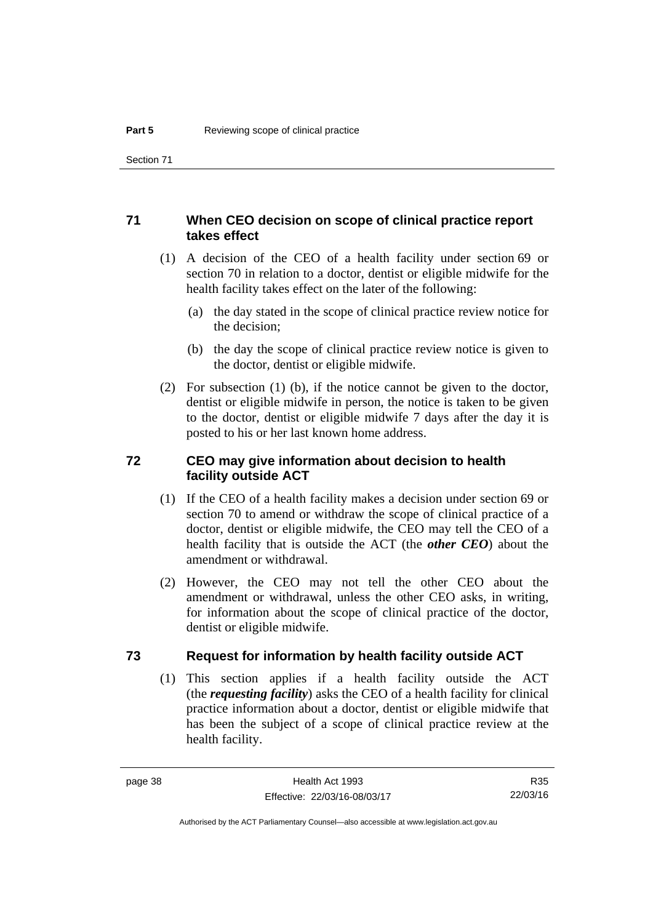#### **71 When CEO decision on scope of clinical practice report takes effect**

- (1) A decision of the CEO of a health facility under section 69 or section 70 in relation to a doctor, dentist or eligible midwife for the health facility takes effect on the later of the following:
	- (a) the day stated in the scope of clinical practice review notice for the decision;
	- (b) the day the scope of clinical practice review notice is given to the doctor, dentist or eligible midwife.
- (2) For subsection (1) (b), if the notice cannot be given to the doctor, dentist or eligible midwife in person, the notice is taken to be given to the doctor, dentist or eligible midwife 7 days after the day it is posted to his or her last known home address.

#### **72 CEO may give information about decision to health facility outside ACT**

- (1) If the CEO of a health facility makes a decision under section 69 or section 70 to amend or withdraw the scope of clinical practice of a doctor, dentist or eligible midwife, the CEO may tell the CEO of a health facility that is outside the ACT (the *other CEO*) about the amendment or withdrawal.
- (2) However, the CEO may not tell the other CEO about the amendment or withdrawal, unless the other CEO asks, in writing, for information about the scope of clinical practice of the doctor, dentist or eligible midwife.

#### **73 Request for information by health facility outside ACT**

(1) This section applies if a health facility outside the ACT (the *requesting facility*) asks the CEO of a health facility for clinical practice information about a doctor, dentist or eligible midwife that has been the subject of a scope of clinical practice review at the health facility.

R35 22/03/16

Authorised by the ACT Parliamentary Counsel—also accessible at www.legislation.act.gov.au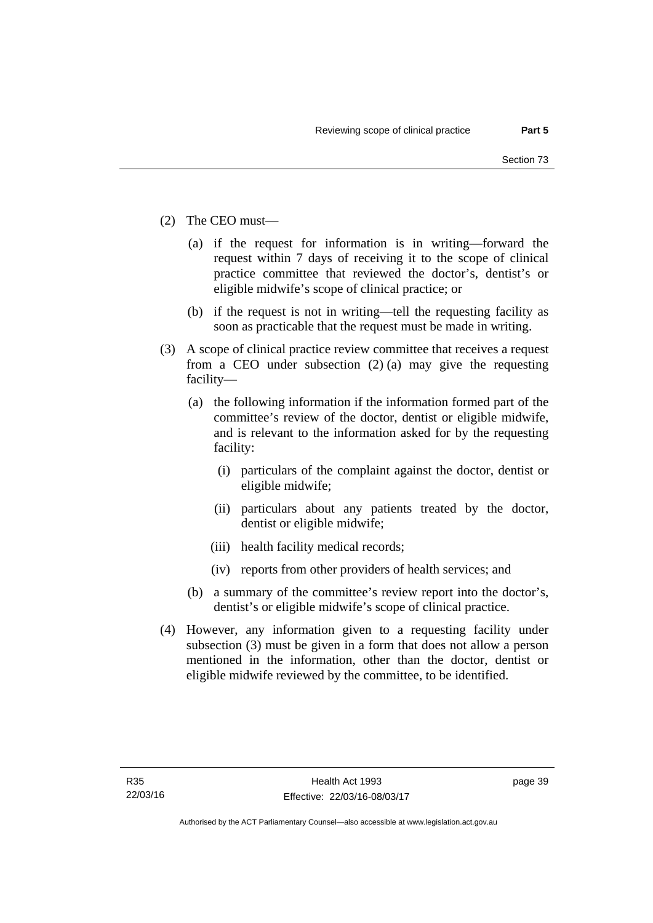- (2) The CEO must—
	- (a) if the request for information is in writing—forward the request within 7 days of receiving it to the scope of clinical practice committee that reviewed the doctor's, dentist's or eligible midwife's scope of clinical practice; or
	- (b) if the request is not in writing—tell the requesting facility as soon as practicable that the request must be made in writing.
- (3) A scope of clinical practice review committee that receives a request from a CEO under subsection (2) (a) may give the requesting facility—
	- (a) the following information if the information formed part of the committee's review of the doctor, dentist or eligible midwife, and is relevant to the information asked for by the requesting facility:
		- (i) particulars of the complaint against the doctor, dentist or eligible midwife;
		- (ii) particulars about any patients treated by the doctor, dentist or eligible midwife;
		- (iii) health facility medical records;
		- (iv) reports from other providers of health services; and
	- (b) a summary of the committee's review report into the doctor's, dentist's or eligible midwife's scope of clinical practice.
- (4) However, any information given to a requesting facility under subsection (3) must be given in a form that does not allow a person mentioned in the information, other than the doctor, dentist or eligible midwife reviewed by the committee, to be identified.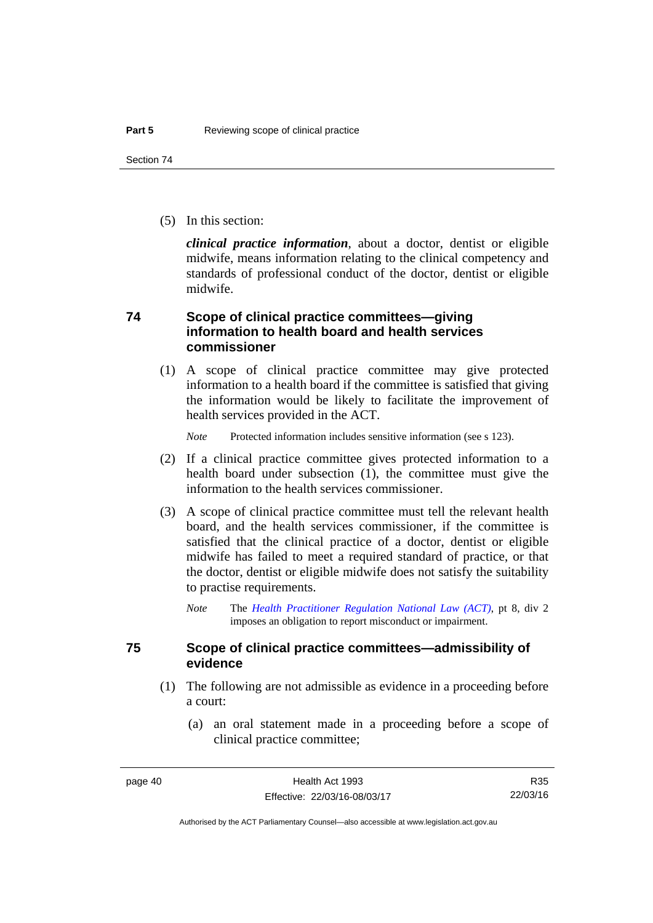(5) In this section:

*clinical practice information*, about a doctor, dentist or eligible midwife, means information relating to the clinical competency and standards of professional conduct of the doctor, dentist or eligible midwife.

### **74 Scope of clinical practice committees—giving information to health board and health services commissioner**

(1) A scope of clinical practice committee may give protected information to a health board if the committee is satisfied that giving the information would be likely to facilitate the improvement of health services provided in the ACT.

*Note* Protected information includes sensitive information (see s 123).

- (2) If a clinical practice committee gives protected information to a health board under subsection (1), the committee must give the information to the health services commissioner.
- (3) A scope of clinical practice committee must tell the relevant health board, and the health services commissioner, if the committee is satisfied that the clinical practice of a doctor, dentist or eligible midwife has failed to meet a required standard of practice, or that the doctor, dentist or eligible midwife does not satisfy the suitability to practise requirements.
	- *Note* The *[Health Practitioner Regulation National Law \(ACT\)](http://www.legislation.act.gov.au/a/db_39269/default.asp)*, pt 8, div 2 imposes an obligation to report misconduct or impairment.

#### **75 Scope of clinical practice committees—admissibility of evidence**

- (1) The following are not admissible as evidence in a proceeding before a court:
	- (a) an oral statement made in a proceeding before a scope of clinical practice committee;

R35 22/03/16

Authorised by the ACT Parliamentary Counsel—also accessible at www.legislation.act.gov.au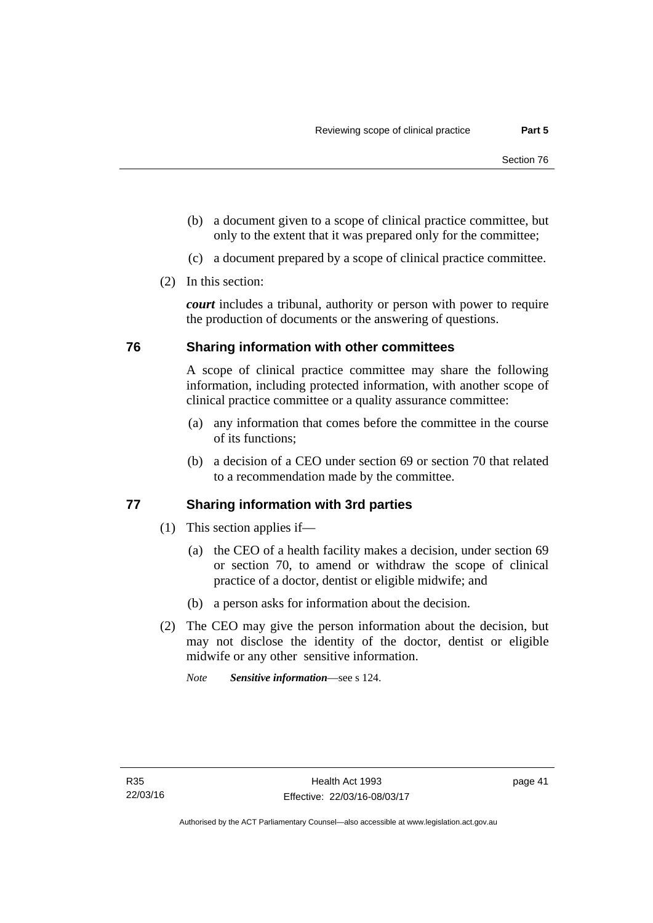- (b) a document given to a scope of clinical practice committee, but only to the extent that it was prepared only for the committee;
- (c) a document prepared by a scope of clinical practice committee.
- (2) In this section:

*court* includes a tribunal, authority or person with power to require the production of documents or the answering of questions.

#### **76 Sharing information with other committees**

A scope of clinical practice committee may share the following information, including protected information, with another scope of clinical practice committee or a quality assurance committee:

- (a) any information that comes before the committee in the course of its functions;
- (b) a decision of a CEO under section 69 or section 70 that related to a recommendation made by the committee.

#### **77 Sharing information with 3rd parties**

- (1) This section applies if—
	- (a) the CEO of a health facility makes a decision, under section 69 or section 70, to amend or withdraw the scope of clinical practice of a doctor, dentist or eligible midwife; and
	- (b) a person asks for information about the decision.
- (2) The CEO may give the person information about the decision, but may not disclose the identity of the doctor, dentist or eligible midwife or any other sensitive information.

*Note Sensitive information*—see s 124.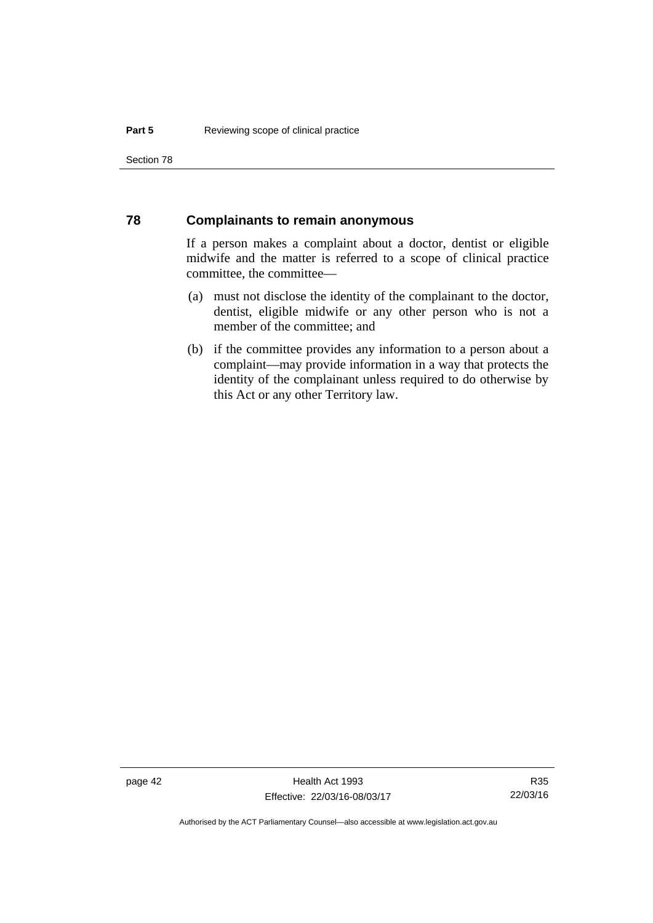Section 78

#### **78 Complainants to remain anonymous**

If a person makes a complaint about a doctor, dentist or eligible midwife and the matter is referred to a scope of clinical practice committee, the committee—

- (a) must not disclose the identity of the complainant to the doctor, dentist, eligible midwife or any other person who is not a member of the committee; and
- (b) if the committee provides any information to a person about a complaint—may provide information in a way that protects the identity of the complainant unless required to do otherwise by this Act or any other Territory law.

page 42 Health Act 1993 Effective: 22/03/16-08/03/17

R35 22/03/16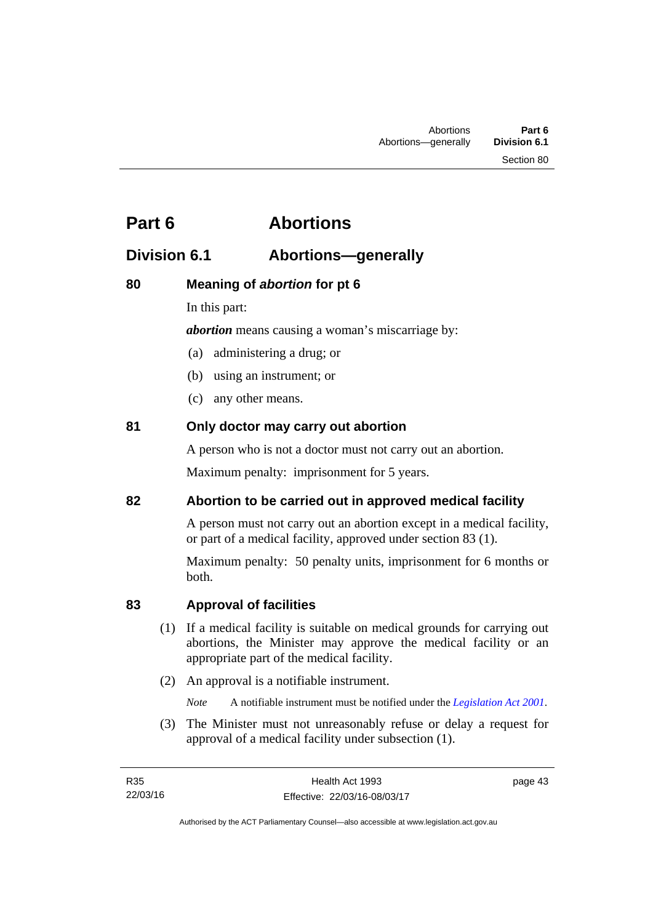# **Part 6 Abortions**

# **Division 6.1 Abortions—generally**

# **80 Meaning of** *abortion* **for pt 6**

In this part:

*abortion* means causing a woman's miscarriage by:

- (a) administering a drug; or
- (b) using an instrument; or
- (c) any other means.

# **81 Only doctor may carry out abortion**

A person who is not a doctor must not carry out an abortion.

Maximum penalty: imprisonment for 5 years.

## **82 Abortion to be carried out in approved medical facility**

A person must not carry out an abortion except in a medical facility, or part of a medical facility, approved under section 83 (1).

Maximum penalty: 50 penalty units, imprisonment for 6 months or both.

# **83 Approval of facilities**

- (1) If a medical facility is suitable on medical grounds for carrying out abortions, the Minister may approve the medical facility or an appropriate part of the medical facility.
- (2) An approval is a notifiable instrument.

*Note* A notifiable instrument must be notified under the *[Legislation Act 2001](http://www.legislation.act.gov.au/a/2001-14)*.

 (3) The Minister must not unreasonably refuse or delay a request for approval of a medical facility under subsection (1).

page 43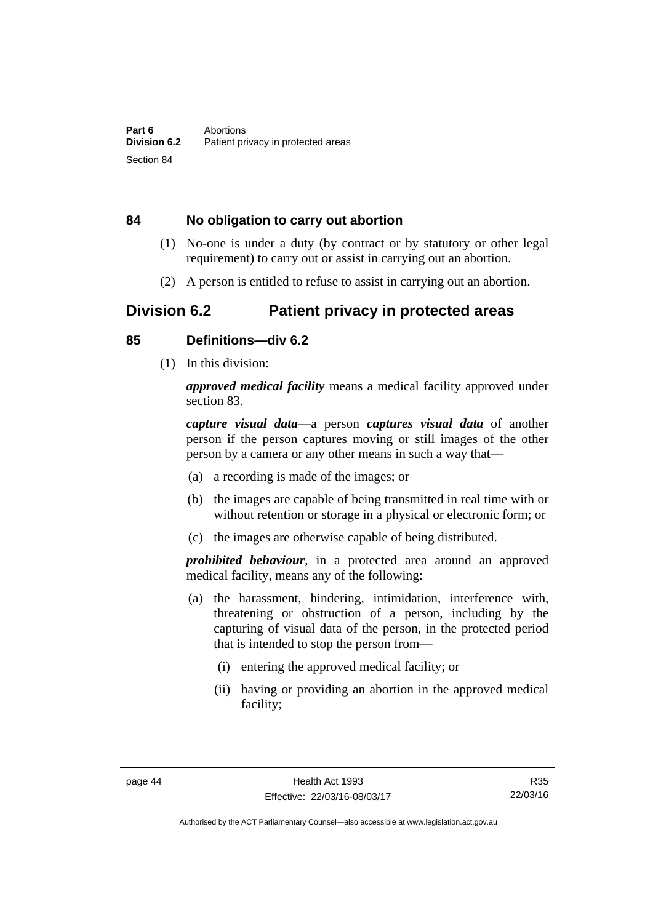#### **84 No obligation to carry out abortion**

- (1) No-one is under a duty (by contract or by statutory or other legal requirement) to carry out or assist in carrying out an abortion.
- (2) A person is entitled to refuse to assist in carrying out an abortion.

# **Division 6.2 Patient privacy in protected areas**

#### **85 Definitions—div 6.2**

(1) In this division:

*approved medical facility* means a medical facility approved under section 83.

*capture visual data*—a person *captures visual data* of another person if the person captures moving or still images of the other person by a camera or any other means in such a way that—

- (a) a recording is made of the images; or
- (b) the images are capable of being transmitted in real time with or without retention or storage in a physical or electronic form; or
- (c) the images are otherwise capable of being distributed.

*prohibited behaviour*, in a protected area around an approved medical facility, means any of the following:

- (a) the harassment, hindering, intimidation, interference with, threatening or obstruction of a person, including by the capturing of visual data of the person, in the protected period that is intended to stop the person from—
	- (i) entering the approved medical facility; or
	- (ii) having or providing an abortion in the approved medical facility;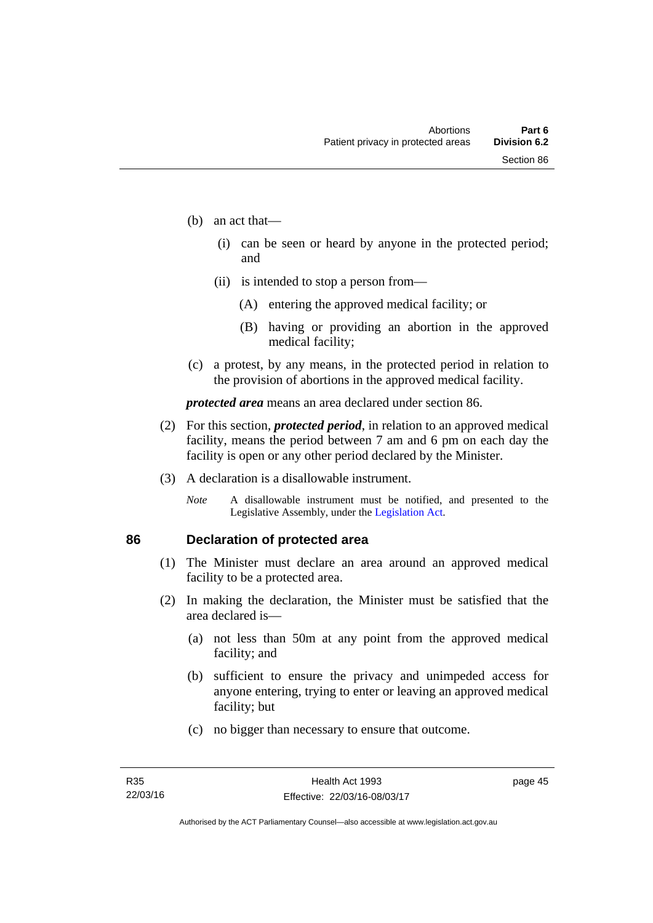- (b) an act that—
	- (i) can be seen or heard by anyone in the protected period; and
	- (ii) is intended to stop a person from—
		- (A) entering the approved medical facility; or
		- (B) having or providing an abortion in the approved medical facility;
- (c) a protest, by any means, in the protected period in relation to the provision of abortions in the approved medical facility.

*protected area* means an area declared under section 86.

- (2) For this section, *protected period*, in relation to an approved medical facility, means the period between 7 am and 6 pm on each day the facility is open or any other period declared by the Minister.
- (3) A declaration is a disallowable instrument.
	- *Note* A disallowable instrument must be notified, and presented to the Legislative Assembly, under the [Legislation Act.](http://www.legislation.act.gov.au/a/2001-14)

# **86 Declaration of protected area**

- (1) The Minister must declare an area around an approved medical facility to be a protected area.
- (2) In making the declaration, the Minister must be satisfied that the area declared is—
	- (a) not less than 50m at any point from the approved medical facility; and
	- (b) sufficient to ensure the privacy and unimpeded access for anyone entering, trying to enter or leaving an approved medical facility; but
	- (c) no bigger than necessary to ensure that outcome.

page 45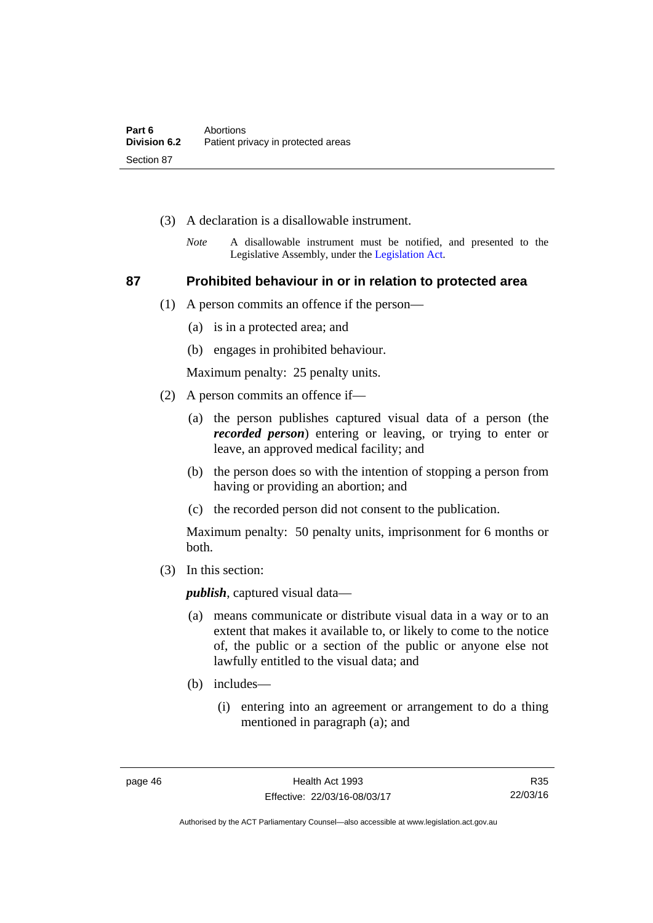- (3) A declaration is a disallowable instrument.
	- *Note* A disallowable instrument must be notified, and presented to the Legislative Assembly, under the [Legislation Act.](http://www.legislation.act.gov.au/a/2001-14)

#### **87 Prohibited behaviour in or in relation to protected area**

- (1) A person commits an offence if the person—
	- (a) is in a protected area; and
	- (b) engages in prohibited behaviour.

Maximum penalty: 25 penalty units.

- (2) A person commits an offence if—
	- (a) the person publishes captured visual data of a person (the *recorded person*) entering or leaving, or trying to enter or leave, an approved medical facility; and
	- (b) the person does so with the intention of stopping a person from having or providing an abortion; and
	- (c) the recorded person did not consent to the publication.

Maximum penalty: 50 penalty units, imprisonment for 6 months or both.

(3) In this section:

*publish*, captured visual data—

- (a) means communicate or distribute visual data in a way or to an extent that makes it available to, or likely to come to the notice of, the public or a section of the public or anyone else not lawfully entitled to the visual data; and
- (b) includes—
	- (i) entering into an agreement or arrangement to do a thing mentioned in paragraph (a); and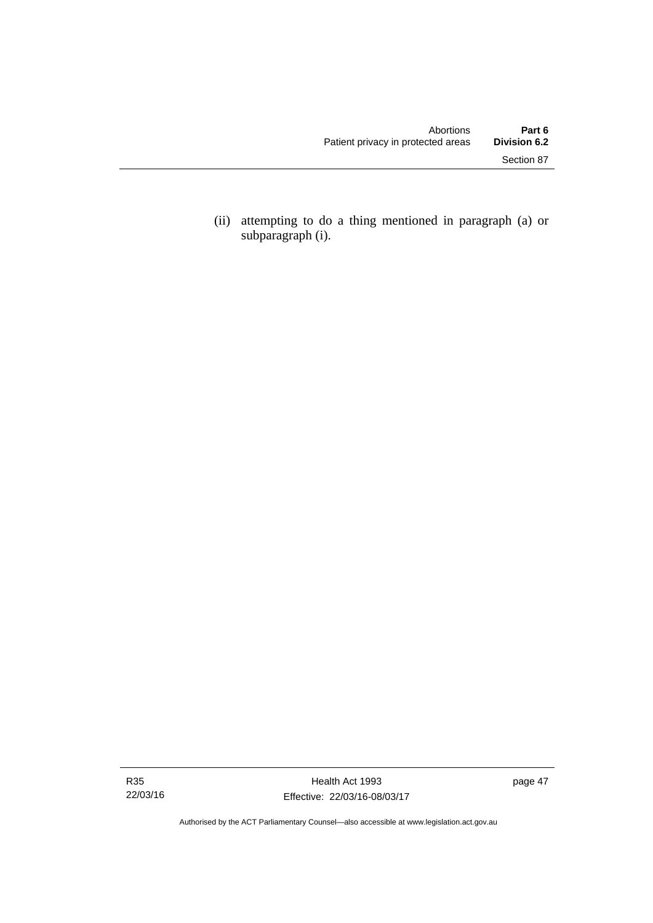(ii) attempting to do a thing mentioned in paragraph (a) or subparagraph (i).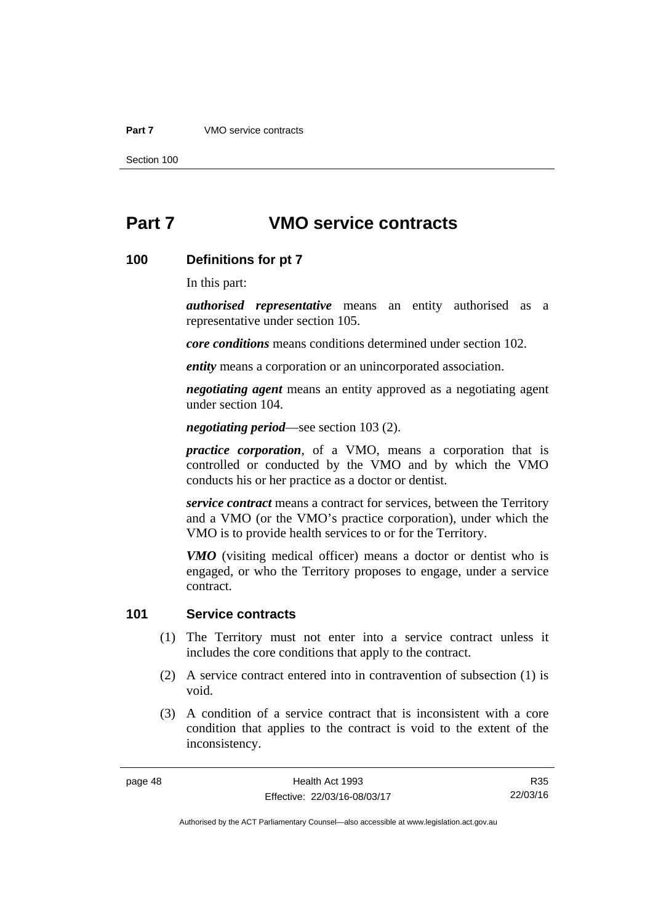#### **Part 7** VMO service contracts

Section 100

# **Part 7 VMO service contracts**

#### **100 Definitions for pt 7**

In this part:

*authorised representative* means an entity authorised as a representative under section 105.

*core conditions* means conditions determined under section 102.

*entity* means a corporation or an unincorporated association.

*negotiating agent* means an entity approved as a negotiating agent under section 104.

*negotiating period*—see section 103 (2).

*practice corporation*, of a VMO, means a corporation that is controlled or conducted by the VMO and by which the VMO conducts his or her practice as a doctor or dentist.

*service contract* means a contract for services, between the Territory and a VMO (or the VMO's practice corporation), under which the VMO is to provide health services to or for the Territory.

*VMO* (visiting medical officer) means a doctor or dentist who is engaged, or who the Territory proposes to engage, under a service contract.

#### **101 Service contracts**

- (1) The Territory must not enter into a service contract unless it includes the core conditions that apply to the contract.
- (2) A service contract entered into in contravention of subsection (1) is void.
- (3) A condition of a service contract that is inconsistent with a core condition that applies to the contract is void to the extent of the inconsistency.

R35 22/03/16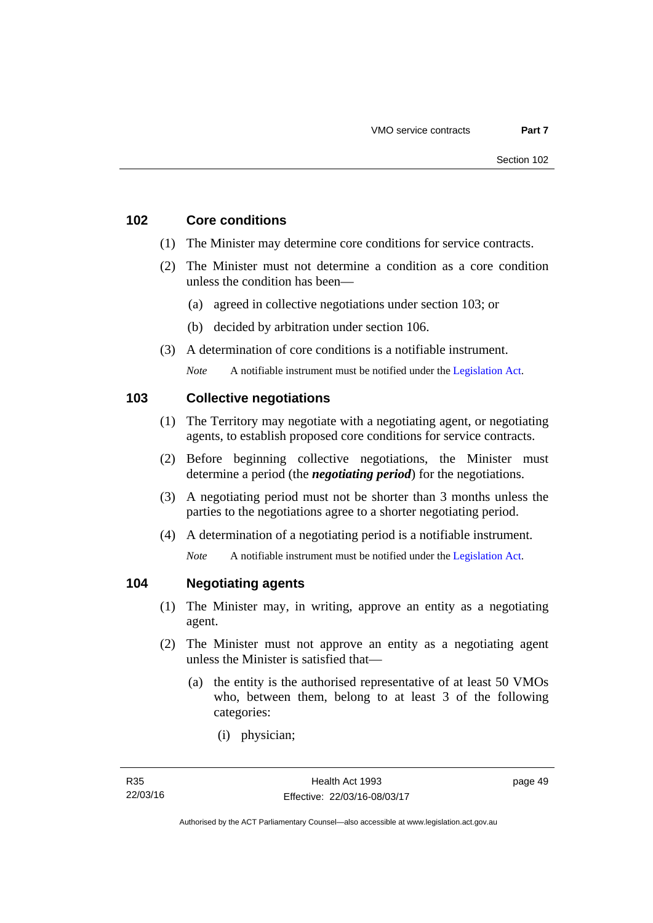#### **102 Core conditions**

- (1) The Minister may determine core conditions for service contracts.
- (2) The Minister must not determine a condition as a core condition unless the condition has been—
	- (a) agreed in collective negotiations under section 103; or
	- (b) decided by arbitration under section 106.
- (3) A determination of core conditions is a notifiable instrument.

*Note* A notifiable instrument must be notified under the [Legislation Act](http://www.legislation.act.gov.au/a/2001-14).

#### **103 Collective negotiations**

- (1) The Territory may negotiate with a negotiating agent, or negotiating agents, to establish proposed core conditions for service contracts.
- (2) Before beginning collective negotiations, the Minister must determine a period (the *negotiating period*) for the negotiations.
- (3) A negotiating period must not be shorter than 3 months unless the parties to the negotiations agree to a shorter negotiating period.
- (4) A determination of a negotiating period is a notifiable instrument.

*Note* A notifiable instrument must be notified under the [Legislation Act](http://www.legislation.act.gov.au/a/2001-14).

#### **104 Negotiating agents**

- (1) The Minister may, in writing, approve an entity as a negotiating agent.
- (2) The Minister must not approve an entity as a negotiating agent unless the Minister is satisfied that—
	- (a) the entity is the authorised representative of at least 50 VMOs who, between them, belong to at least 3 of the following categories:
		- (i) physician;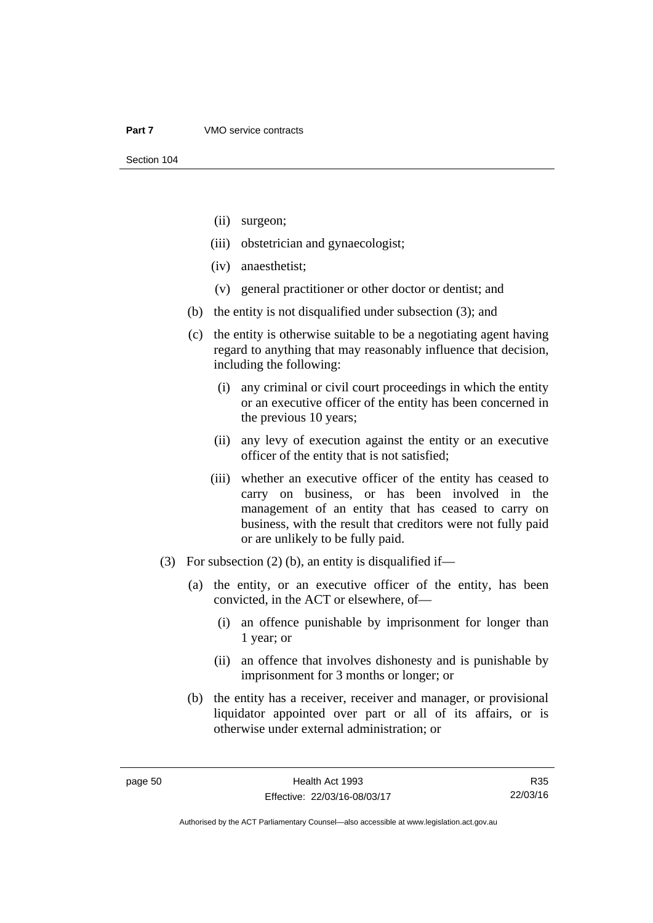- (ii) surgeon;
- (iii) obstetrician and gynaecologist;
- (iv) anaesthetist;
- (v) general practitioner or other doctor or dentist; and
- (b) the entity is not disqualified under subsection (3); and
- (c) the entity is otherwise suitable to be a negotiating agent having regard to anything that may reasonably influence that decision, including the following:
	- (i) any criminal or civil court proceedings in which the entity or an executive officer of the entity has been concerned in the previous 10 years;
	- (ii) any levy of execution against the entity or an executive officer of the entity that is not satisfied;
	- (iii) whether an executive officer of the entity has ceased to carry on business, or has been involved in the management of an entity that has ceased to carry on business, with the result that creditors were not fully paid or are unlikely to be fully paid.
- (3) For subsection (2) (b), an entity is disqualified if—
	- (a) the entity, or an executive officer of the entity, has been convicted, in the ACT or elsewhere, of—
		- (i) an offence punishable by imprisonment for longer than 1 year; or
		- (ii) an offence that involves dishonesty and is punishable by imprisonment for 3 months or longer; or
	- (b) the entity has a receiver, receiver and manager, or provisional liquidator appointed over part or all of its affairs, or is otherwise under external administration; or

R35 22/03/16

Authorised by the ACT Parliamentary Counsel—also accessible at www.legislation.act.gov.au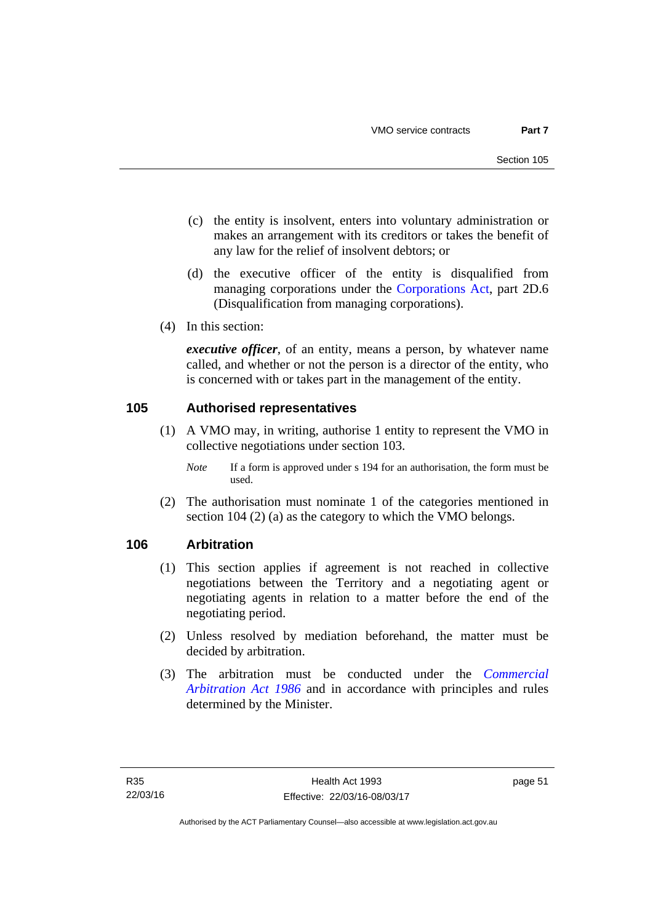- (c) the entity is insolvent, enters into voluntary administration or makes an arrangement with its creditors or takes the benefit of any law for the relief of insolvent debtors; or
- (d) the executive officer of the entity is disqualified from managing corporations under the [Corporations Act](http://www.comlaw.gov.au/Series/C2004A00818), part 2D.6 (Disqualification from managing corporations).
- (4) In this section:

*executive officer*, of an entity, means a person, by whatever name called, and whether or not the person is a director of the entity, who is concerned with or takes part in the management of the entity.

#### **105 Authorised representatives**

- (1) A VMO may, in writing, authorise 1 entity to represent the VMO in collective negotiations under section 103.
	- *Note* If a form is approved under s 194 for an authorisation, the form must be used.
- (2) The authorisation must nominate 1 of the categories mentioned in section 104 (2) (a) as the category to which the VMO belongs.

## **106 Arbitration**

- (1) This section applies if agreement is not reached in collective negotiations between the Territory and a negotiating agent or negotiating agents in relation to a matter before the end of the negotiating period.
- (2) Unless resolved by mediation beforehand, the matter must be decided by arbitration.
- (3) The arbitration must be conducted under the *[Commercial](http://www.legislation.act.gov.au/a/1986-84)  [Arbitration Act 1986](http://www.legislation.act.gov.au/a/1986-84)* and in accordance with principles and rules determined by the Minister.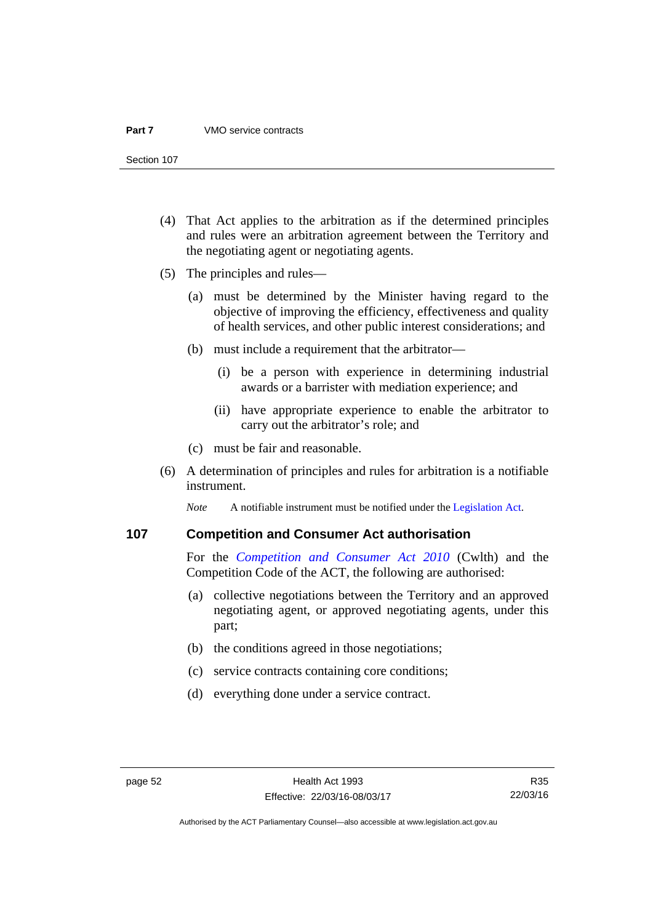#### **Part 7** VMO service contracts

Section 107

- (4) That Act applies to the arbitration as if the determined principles and rules were an arbitration agreement between the Territory and the negotiating agent or negotiating agents.
- (5) The principles and rules—
	- (a) must be determined by the Minister having regard to the objective of improving the efficiency, effectiveness and quality of health services, and other public interest considerations; and
	- (b) must include a requirement that the arbitrator—
		- (i) be a person with experience in determining industrial awards or a barrister with mediation experience; and
		- (ii) have appropriate experience to enable the arbitrator to carry out the arbitrator's role; and
	- (c) must be fair and reasonable.
- (6) A determination of principles and rules for arbitration is a notifiable instrument.

*Note* A notifiable instrument must be notified under the [Legislation Act](http://www.legislation.act.gov.au/a/2001-14).

#### **107 Competition and Consumer Act authorisation**

For the *[Competition and Consumer Act 2010](http://www.comlaw.gov.au/Details/C2013C00004)* (Cwlth) and the Competition Code of the ACT, the following are authorised:

- (a) collective negotiations between the Territory and an approved negotiating agent, or approved negotiating agents, under this part;
- (b) the conditions agreed in those negotiations;
- (c) service contracts containing core conditions;
- (d) everything done under a service contract.

Authorised by the ACT Parliamentary Counsel—also accessible at www.legislation.act.gov.au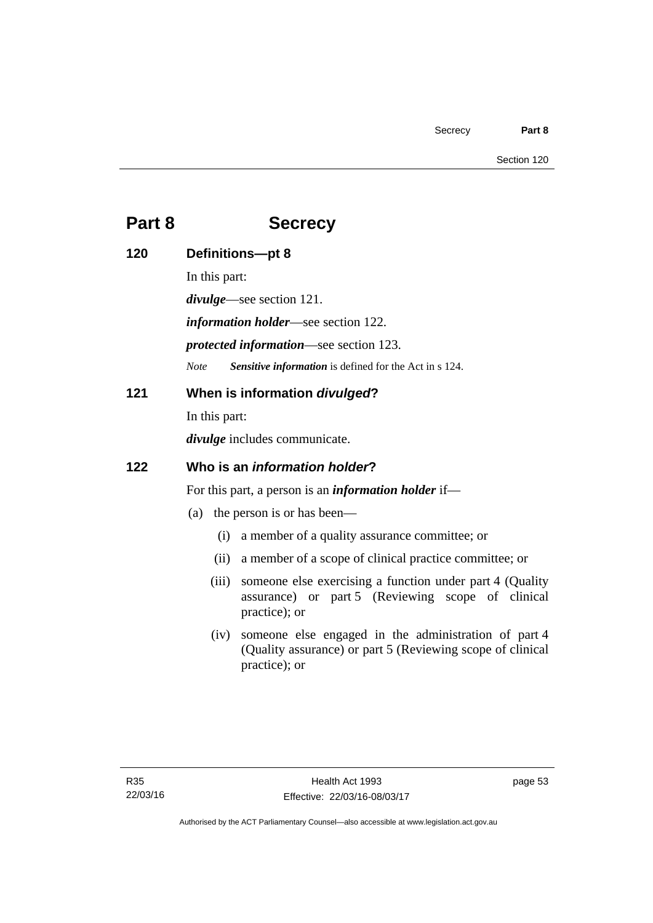#### Section 120

# **Part 8 Secrecy**

| 120 | Definitions-pt 8                                                                                                                  |                                                                                                                                     |
|-----|-----------------------------------------------------------------------------------------------------------------------------------|-------------------------------------------------------------------------------------------------------------------------------------|
|     | In this part:                                                                                                                     |                                                                                                                                     |
|     | <i>divulge</i> —see section 121.<br><i>information holder</i> —see section 122.<br><i>protected information</i> —see section 123. |                                                                                                                                     |
|     |                                                                                                                                   |                                                                                                                                     |
|     |                                                                                                                                   |                                                                                                                                     |
| 121 | When is information divulged?                                                                                                     |                                                                                                                                     |
|     | In this part:                                                                                                                     |                                                                                                                                     |
|     | <i>divulge</i> includes communicate.                                                                                              |                                                                                                                                     |
| 122 | Who is an <i>information holder</i> ?                                                                                             |                                                                                                                                     |
|     | For this part, a person is an <i>information holder</i> if—                                                                       |                                                                                                                                     |
|     |                                                                                                                                   | (a) the person is or has been—                                                                                                      |
|     | (i)                                                                                                                               | a member of a quality assurance committee; or                                                                                       |
|     | (ii)                                                                                                                              | a member of a scope of clinical practice committee; or                                                                              |
|     | (iii)                                                                                                                             | someone else exercising a function under part 4 (Quality<br>assurance) or part 5 (Reviewing scope of clinical<br>practice); or      |
|     | (iv)                                                                                                                              | someone else engaged in the administration of part 4<br>(Quality assurance) or part 5 (Reviewing scope of clinical<br>practice); or |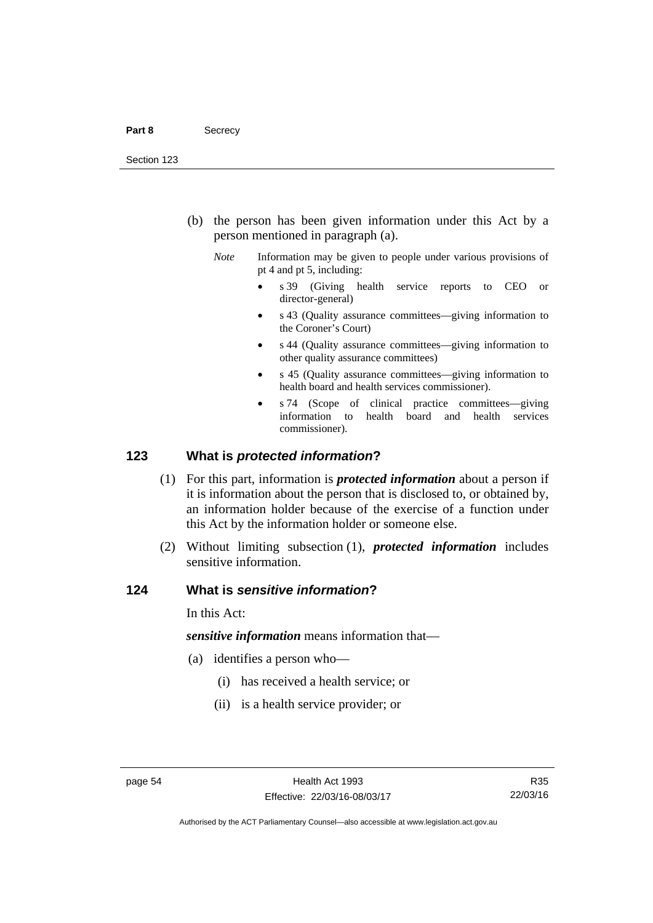- (b) the person has been given information under this Act by a person mentioned in paragraph (a).
	- *Note* Information may be given to people under various provisions of pt 4 and pt 5, including:
		- s 39 (Giving health service reports to CEO or director-general)
		- s 43 (Quality assurance committees—giving information to the Coroner's Court)
		- s 44 (Quality assurance committees—giving information to other quality assurance committees)
		- s 45 (Quality assurance committees—giving information to health board and health services commissioner).
		- s 74 (Scope of clinical practice committees—giving information to health board and health services commissioner).

#### **123 What is** *protected information***?**

- (1) For this part, information is *protected information* about a person if it is information about the person that is disclosed to, or obtained by, an information holder because of the exercise of a function under this Act by the information holder or someone else.
- (2) Without limiting subsection (1), *protected information* includes sensitive information.

#### **124 What is** *sensitive information***?**

In this Act:

*sensitive information* means information that—

- (a) identifies a person who—
	- (i) has received a health service; or
	- (ii) is a health service provider; or

R35 22/03/16

Authorised by the ACT Parliamentary Counsel—also accessible at www.legislation.act.gov.au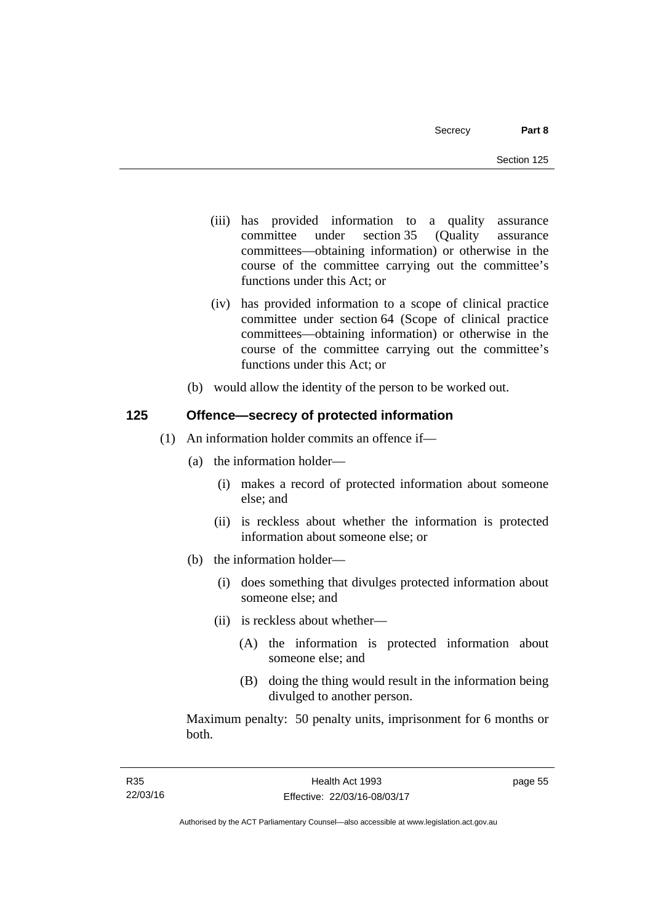- (iii) has provided information to a quality assurance committee under section 35 (Quality assurance committees—obtaining information) or otherwise in the course of the committee carrying out the committee's functions under this Act; or
- (iv) has provided information to a scope of clinical practice committee under section 64 (Scope of clinical practice committees—obtaining information) or otherwise in the course of the committee carrying out the committee's functions under this Act; or
- (b) would allow the identity of the person to be worked out.

## **125 Offence—secrecy of protected information**

- (1) An information holder commits an offence if—
	- (a) the information holder—
		- (i) makes a record of protected information about someone else; and
		- (ii) is reckless about whether the information is protected information about someone else; or
	- (b) the information holder—
		- (i) does something that divulges protected information about someone else; and
		- (ii) is reckless about whether—
			- (A) the information is protected information about someone else; and
			- (B) doing the thing would result in the information being divulged to another person.

Maximum penalty: 50 penalty units, imprisonment for 6 months or both.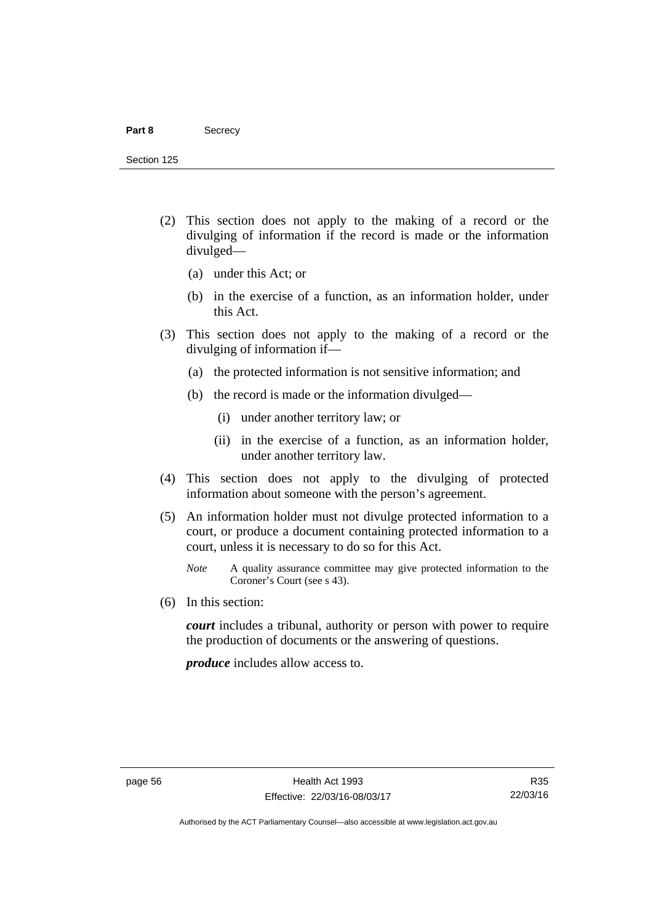#### Part 8 **Secrecy**

Section 125

- (2) This section does not apply to the making of a record or the divulging of information if the record is made or the information divulged—
	- (a) under this Act; or
	- (b) in the exercise of a function, as an information holder, under this Act.
- (3) This section does not apply to the making of a record or the divulging of information if—
	- (a) the protected information is not sensitive information; and
	- (b) the record is made or the information divulged—
		- (i) under another territory law; or
		- (ii) in the exercise of a function, as an information holder, under another territory law.
- (4) This section does not apply to the divulging of protected information about someone with the person's agreement.
- (5) An information holder must not divulge protected information to a court, or produce a document containing protected information to a court, unless it is necessary to do so for this Act.
	- *Note* A quality assurance committee may give protected information to the Coroner's Court (see s 43).
- (6) In this section:

*court* includes a tribunal, authority or person with power to require the production of documents or the answering of questions.

*produce* includes allow access to.

Authorised by the ACT Parliamentary Counsel—also accessible at www.legislation.act.gov.au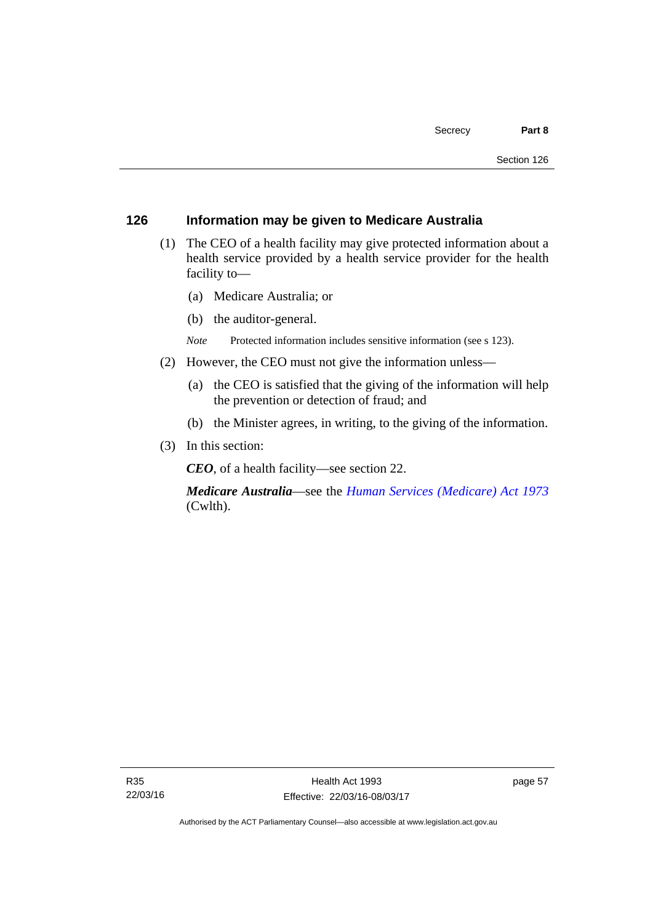#### **126 Information may be given to Medicare Australia**

- (1) The CEO of a health facility may give protected information about a health service provided by a health service provider for the health facility to—
	- (a) Medicare Australia; or
	- (b) the auditor-general.
	- *Note* Protected information includes sensitive information (see s 123).
- (2) However, the CEO must not give the information unless—
	- (a) the CEO is satisfied that the giving of the information will help the prevention or detection of fraud; and
	- (b) the Minister agrees, in writing, to the giving of the information.
- (3) In this section:

*CEO*, of a health facility—see section 22.

*Medicare Australia*—see the *[Human Services \(Medicare\) Act 1973](http://www.comlaw.gov.au/Details/C2012C00755)*  (Cwlth).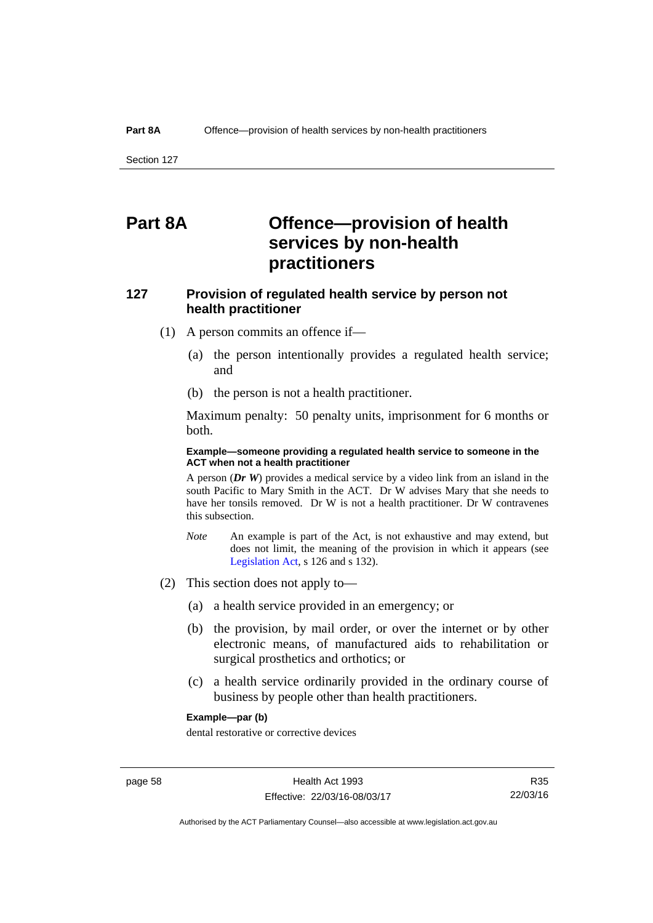Section 127

# **Part 8A Offence—provision of health services by non-health practitioners**

# **127 Provision of regulated health service by person not health practitioner**

- (1) A person commits an offence if—
	- (a) the person intentionally provides a regulated health service; and
	- (b) the person is not a health practitioner.

Maximum penalty: 50 penalty units, imprisonment for 6 months or both.

#### **Example—someone providing a regulated health service to someone in the ACT when not a health practitioner**

A person (*Dr W*) provides a medical service by a video link from an island in the south Pacific to Mary Smith in the ACT. Dr W advises Mary that she needs to have her tonsils removed. Dr W is not a health practitioner. Dr W contravenes this subsection.

- *Note* An example is part of the Act, is not exhaustive and may extend, but does not limit, the meaning of the provision in which it appears (see [Legislation Act,](http://www.legislation.act.gov.au/a/2001-14) s 126 and s 132).
- (2) This section does not apply to—
	- (a) a health service provided in an emergency; or
	- (b) the provision, by mail order, or over the internet or by other electronic means, of manufactured aids to rehabilitation or surgical prosthetics and orthotics; or
	- (c) a health service ordinarily provided in the ordinary course of business by people other than health practitioners.

#### **Example—par (b)**

dental restorative or corrective devices

R35 22/03/16

Authorised by the ACT Parliamentary Counsel—also accessible at www.legislation.act.gov.au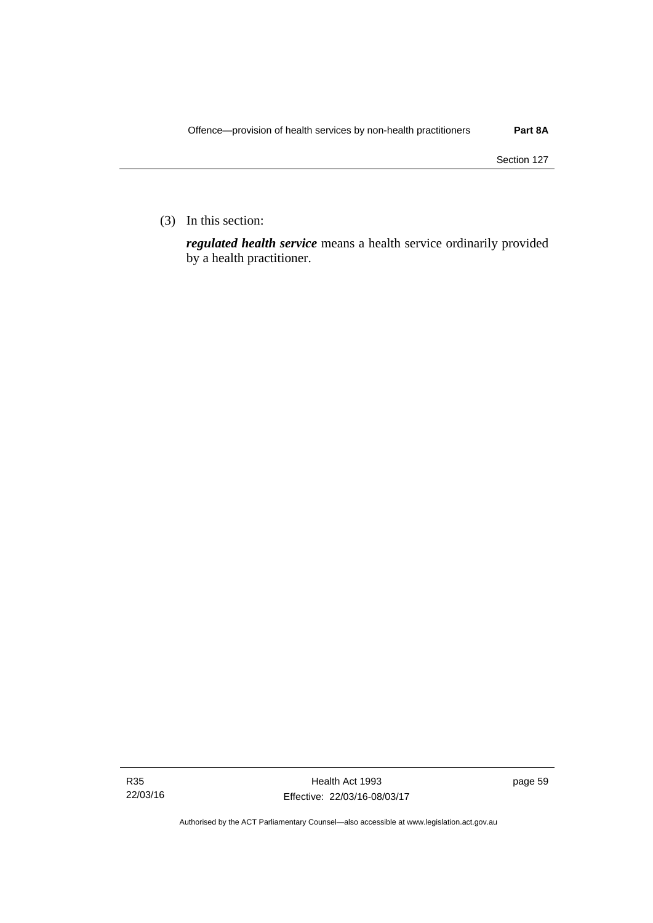(3) In this section:

*regulated health service* means a health service ordinarily provided by a health practitioner.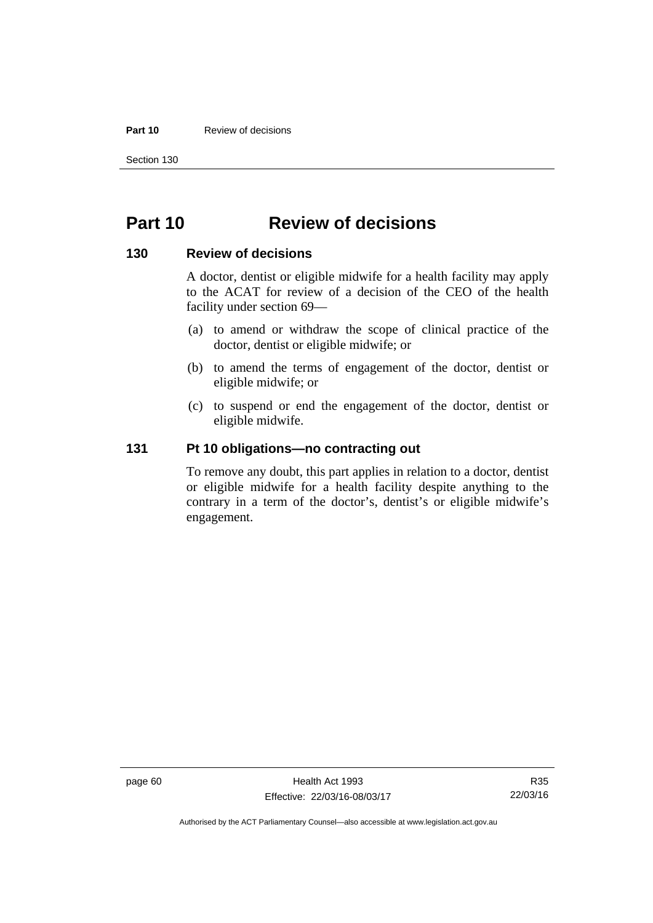#### **Part 10** Review of decisions

Section 130

# **Part 10 Review of decisions**

#### **130 Review of decisions**

A doctor, dentist or eligible midwife for a health facility may apply to the ACAT for review of a decision of the CEO of the health facility under section 69—

- (a) to amend or withdraw the scope of clinical practice of the doctor, dentist or eligible midwife; or
- (b) to amend the terms of engagement of the doctor, dentist or eligible midwife; or
- (c) to suspend or end the engagement of the doctor, dentist or eligible midwife.

#### **131 Pt 10 obligations—no contracting out**

To remove any doubt, this part applies in relation to a doctor, dentist or eligible midwife for a health facility despite anything to the contrary in a term of the doctor's, dentist's or eligible midwife's engagement.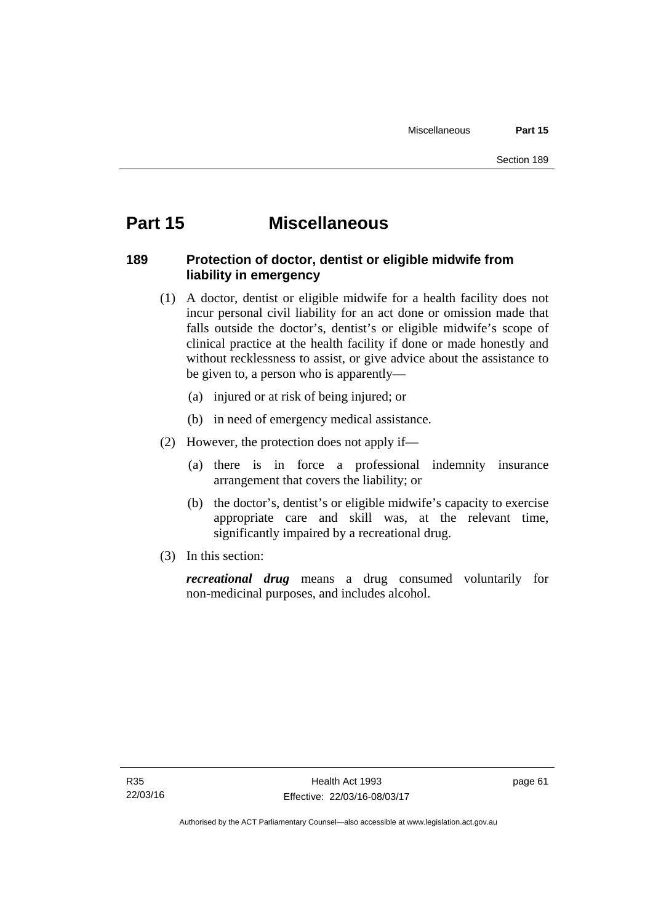# **Part 15 Miscellaneous**

## **189 Protection of doctor, dentist or eligible midwife from liability in emergency**

- (1) A doctor, dentist or eligible midwife for a health facility does not incur personal civil liability for an act done or omission made that falls outside the doctor's, dentist's or eligible midwife's scope of clinical practice at the health facility if done or made honestly and without recklessness to assist, or give advice about the assistance to be given to, a person who is apparently—
	- (a) injured or at risk of being injured; or
	- (b) in need of emergency medical assistance.
- (2) However, the protection does not apply if—
	- (a) there is in force a professional indemnity insurance arrangement that covers the liability; or
	- (b) the doctor's, dentist's or eligible midwife's capacity to exercise appropriate care and skill was, at the relevant time, significantly impaired by a recreational drug.
- (3) In this section:

*recreational drug* means a drug consumed voluntarily for non-medicinal purposes, and includes alcohol.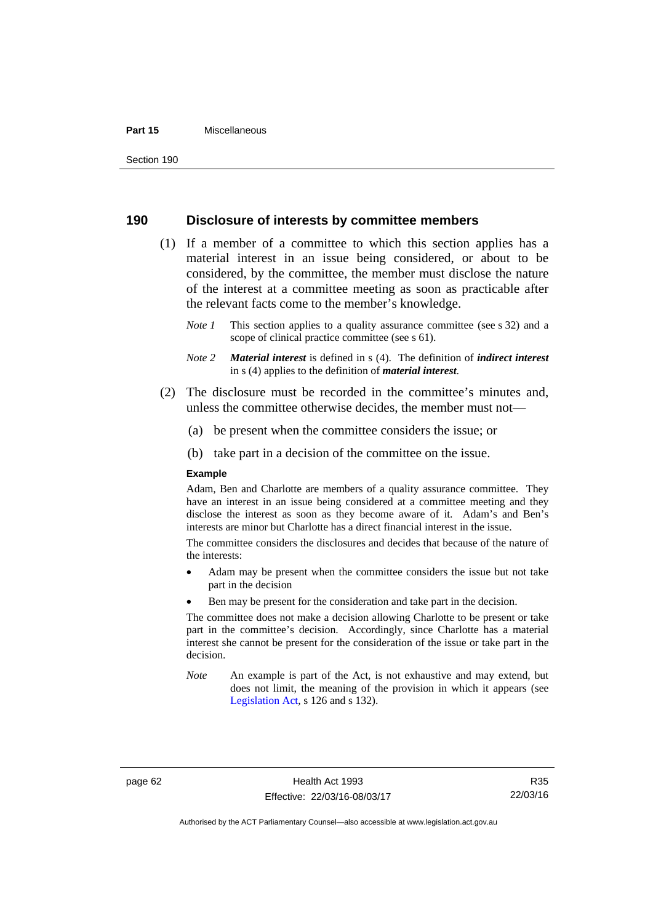#### **Part 15** Miscellaneous

#### **190 Disclosure of interests by committee members**

- (1) If a member of a committee to which this section applies has a material interest in an issue being considered, or about to be considered, by the committee, the member must disclose the nature of the interest at a committee meeting as soon as practicable after the relevant facts come to the member's knowledge.
	- *Note 1* This section applies to a quality assurance committee (see s 32) and a scope of clinical practice committee (see s 61).
	- *Note 2 Material interest* is defined in s (4). The definition of *indirect interest* in s (4) applies to the definition of *material interest*.
- (2) The disclosure must be recorded in the committee's minutes and, unless the committee otherwise decides, the member must not—
	- (a) be present when the committee considers the issue; or
	- (b) take part in a decision of the committee on the issue.

#### **Example**

Adam, Ben and Charlotte are members of a quality assurance committee. They have an interest in an issue being considered at a committee meeting and they disclose the interest as soon as they become aware of it. Adam's and Ben's interests are minor but Charlotte has a direct financial interest in the issue.

The committee considers the disclosures and decides that because of the nature of the interests:

- Adam may be present when the committee considers the issue but not take part in the decision
- Ben may be present for the consideration and take part in the decision.

The committee does not make a decision allowing Charlotte to be present or take part in the committee's decision. Accordingly, since Charlotte has a material interest she cannot be present for the consideration of the issue or take part in the decision.

*Note* An example is part of the Act, is not exhaustive and may extend, but does not limit, the meaning of the provision in which it appears (see [Legislation Act,](http://www.legislation.act.gov.au/a/2001-14) s 126 and s 132).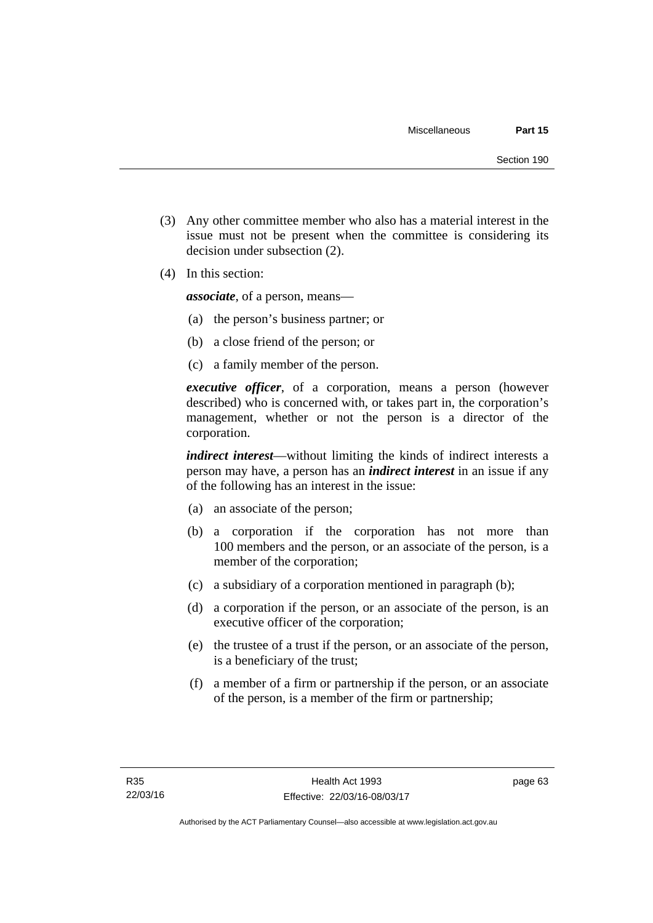- (3) Any other committee member who also has a material interest in the issue must not be present when the committee is considering its decision under subsection (2).
- (4) In this section:

*associate*, of a person, means—

- (a) the person's business partner; or
- (b) a close friend of the person; or
- (c) a family member of the person.

*executive officer*, of a corporation, means a person (however described) who is concerned with, or takes part in, the corporation's management, whether or not the person is a director of the corporation.

*indirect interest*—without limiting the kinds of indirect interests a person may have, a person has an *indirect interest* in an issue if any of the following has an interest in the issue:

- (a) an associate of the person;
- (b) a corporation if the corporation has not more than 100 members and the person, or an associate of the person, is a member of the corporation;
- (c) a subsidiary of a corporation mentioned in paragraph (b);
- (d) a corporation if the person, or an associate of the person, is an executive officer of the corporation;
- (e) the trustee of a trust if the person, or an associate of the person, is a beneficiary of the trust;
- (f) a member of a firm or partnership if the person, or an associate of the person, is a member of the firm or partnership;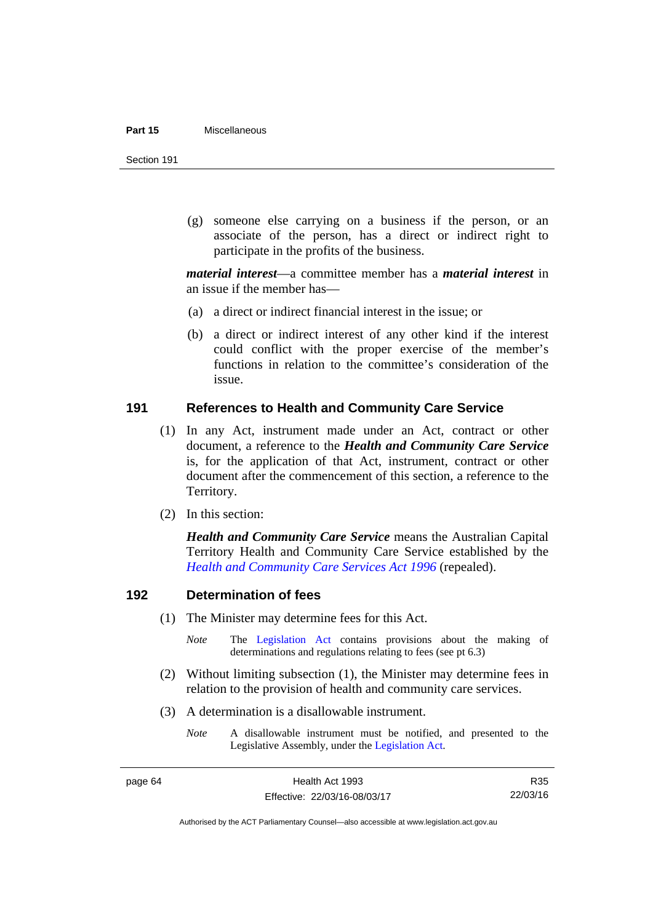#### **Part 15** Miscellaneous

Section 191

 (g) someone else carrying on a business if the person, or an associate of the person, has a direct or indirect right to participate in the profits of the business.

*material interest*—a committee member has a *material interest* in an issue if the member has—

- (a) a direct or indirect financial interest in the issue; or
- (b) a direct or indirect interest of any other kind if the interest could conflict with the proper exercise of the member's functions in relation to the committee's consideration of the issue.

#### **191 References to Health and Community Care Service**

- (1) In any Act, instrument made under an Act, contract or other document, a reference to the *Health and Community Care Service* is, for the application of that Act, instrument, contract or other document after the commencement of this section, a reference to the Territory.
- (2) In this section:

*Health and Community Care Service* means the Australian Capital Territory Health and Community Care Service established by the *[Health and Community Care Services Act 1996](http://www.legislation.act.gov.au/a/1996-34)* (repealed).

## **192 Determination of fees**

- (1) The Minister may determine fees for this Act.
	- *Note* The [Legislation Act](http://www.legislation.act.gov.au/a/2001-14) contains provisions about the making of determinations and regulations relating to fees (see pt 6.3)
- (2) Without limiting subsection (1), the Minister may determine fees in relation to the provision of health and community care services.
- (3) A determination is a disallowable instrument.
	- *Note* A disallowable instrument must be notified, and presented to the Legislative Assembly, under the [Legislation Act.](http://www.legislation.act.gov.au/a/2001-14)

R35 22/03/16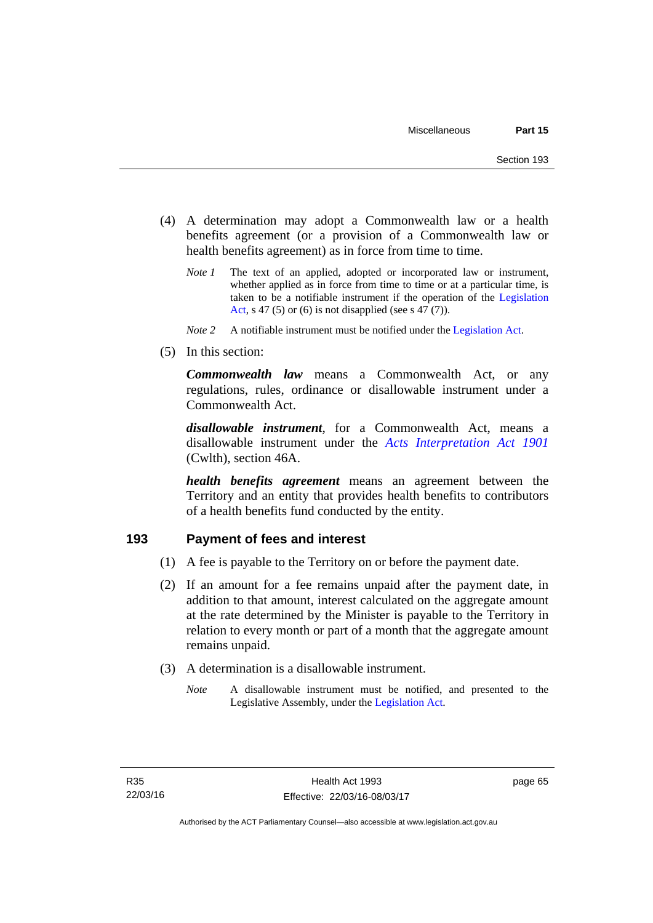- (4) A determination may adopt a Commonwealth law or a health benefits agreement (or a provision of a Commonwealth law or health benefits agreement) as in force from time to time.
	- *Note 1* The text of an applied, adopted or incorporated law or instrument, whether applied as in force from time to time or at a particular time, is taken to be a notifiable instrument if the operation of the [Legislation](http://www.legislation.act.gov.au/a/2001-14)  [Act](http://www.legislation.act.gov.au/a/2001-14), s 47 (5) or (6) is not disapplied (see s 47 (7)).
	- *Note 2* A notifiable instrument must be notified under the [Legislation Act](http://www.legislation.act.gov.au/a/2001-14).
- (5) In this section:

*Commonwealth law* means a Commonwealth Act, or any regulations, rules, ordinance or disallowable instrument under a Commonwealth Act.

*disallowable instrument*, for a Commonwealth Act, means a disallowable instrument under the *[Acts Interpretation Act 1901](http://www.comlaw.gov.au/Details/C2012C00001)* (Cwlth), section 46A.

*health benefits agreement* means an agreement between the Territory and an entity that provides health benefits to contributors of a health benefits fund conducted by the entity.

# **193 Payment of fees and interest**

- (1) A fee is payable to the Territory on or before the payment date.
- (2) If an amount for a fee remains unpaid after the payment date, in addition to that amount, interest calculated on the aggregate amount at the rate determined by the Minister is payable to the Territory in relation to every month or part of a month that the aggregate amount remains unpaid.
- (3) A determination is a disallowable instrument.
	- *Note* A disallowable instrument must be notified, and presented to the Legislative Assembly, under the [Legislation Act.](http://www.legislation.act.gov.au/a/2001-14)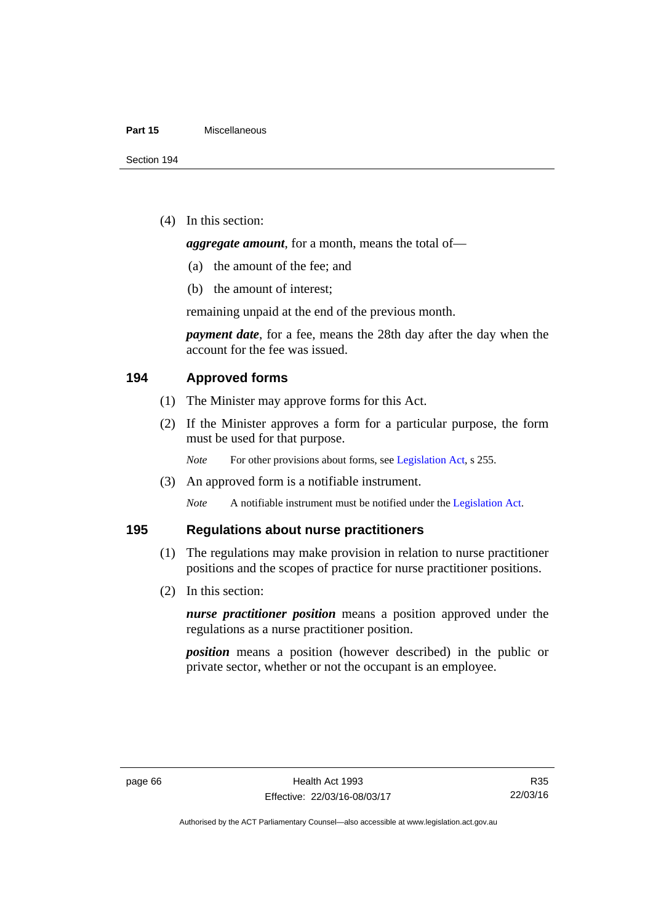#### **Part 15** Miscellaneous

(4) In this section:

*aggregate amount*, for a month, means the total of—

- (a) the amount of the fee; and
- (b) the amount of interest;

remaining unpaid at the end of the previous month.

*payment date*, for a fee, means the 28th day after the day when the account for the fee was issued.

# **194 Approved forms**

- (1) The Minister may approve forms for this Act.
- (2) If the Minister approves a form for a particular purpose, the form must be used for that purpose.

*Note* For other provisions about forms, see [Legislation Act,](http://www.legislation.act.gov.au/a/2001-14) s 255.

(3) An approved form is a notifiable instrument.

*Note* A notifiable instrument must be notified under the [Legislation Act](http://www.legislation.act.gov.au/a/2001-14).

# **195 Regulations about nurse practitioners**

- (1) The regulations may make provision in relation to nurse practitioner positions and the scopes of practice for nurse practitioner positions.
- (2) In this section:

*nurse practitioner position* means a position approved under the regulations as a nurse practitioner position.

*position* means a position (however described) in the public or private sector, whether or not the occupant is an employee.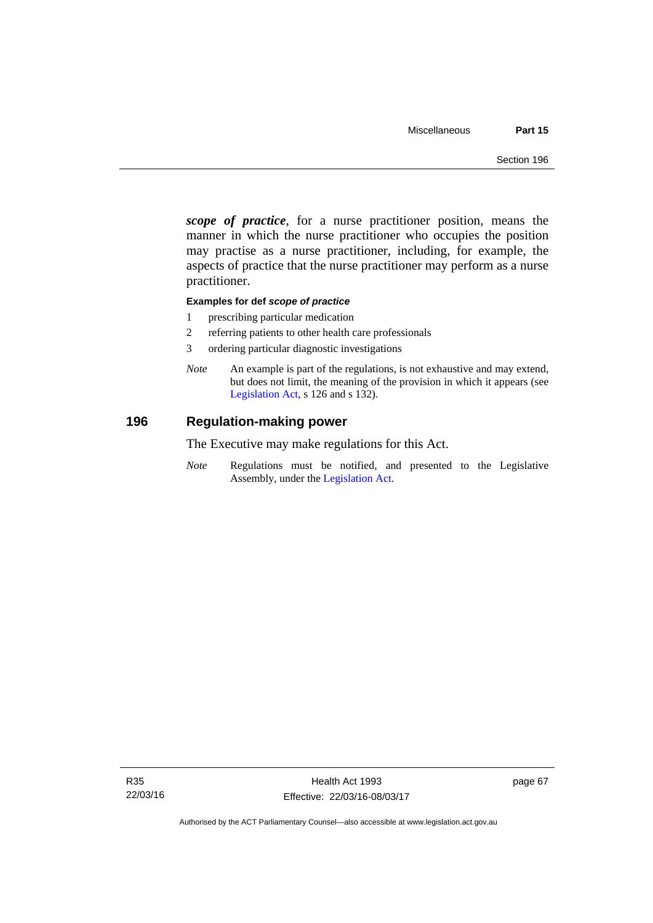*scope of practice*, for a nurse practitioner position, means the manner in which the nurse practitioner who occupies the position may practise as a nurse practitioner, including, for example, the aspects of practice that the nurse practitioner may perform as a nurse practitioner.

## **Examples for def** *scope of practice*

- 1 prescribing particular medication
- 2 referring patients to other health care professionals
- 3 ordering particular diagnostic investigations
- *Note* An example is part of the regulations, is not exhaustive and may extend, but does not limit, the meaning of the provision in which it appears (see [Legislation Act,](http://www.legislation.act.gov.au/a/2001-14) s 126 and s 132).

# **196 Regulation-making power**

The Executive may make regulations for this Act.

*Note* Regulations must be notified, and presented to the Legislative Assembly, under the [Legislation Act](http://www.legislation.act.gov.au/a/2001-14).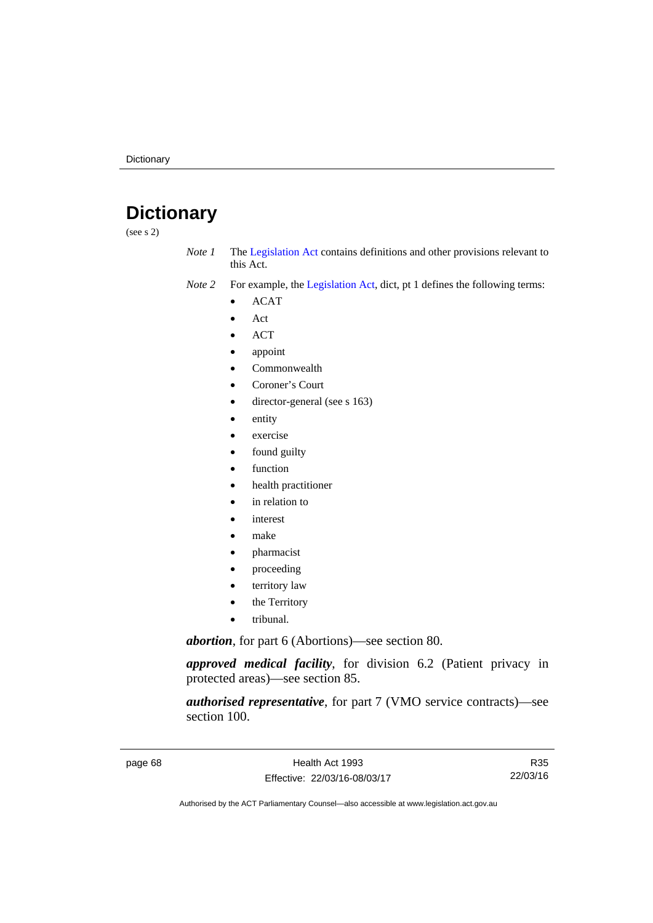# **Dictionary**

(see s 2)

- *Note 1* The [Legislation Act](http://www.legislation.act.gov.au/a/2001-14) contains definitions and other provisions relevant to this Act.
- *Note 2* For example, the [Legislation Act,](http://www.legislation.act.gov.au/a/2001-14) dict, pt 1 defines the following terms:
	- ACAT
	- Act
	- ACT
	- appoint
	- Commonwealth
	- Coroner's Court
	- director-general (see s 163)
	- entity
	- exercise
	- found guilty
	- function
	- health practitioner
	- in relation to
	- interest
	- make
	- pharmacist
	- proceeding
	- territory law
	- the Territory
	- tribunal.

*abortion*, for part 6 (Abortions)—see section 80.

*approved medical facility*, for division 6.2 (Patient privacy in protected areas)—see section 85.

*authorised representative*, for part 7 (VMO service contracts)—see section 100.

page 68 Health Act 1993 Effective: 22/03/16-08/03/17

R35 22/03/16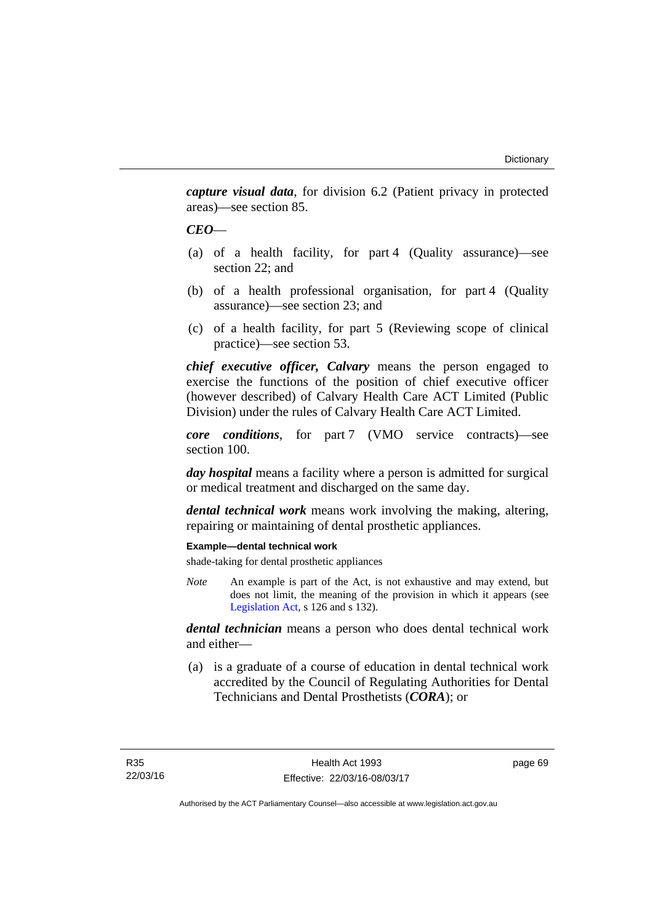*capture visual data*, for division 6.2 (Patient privacy in protected areas)—see section 85.

# *CEO*—

- (a) of a health facility, for part 4 (Quality assurance)—see section 22; and
- (b) of a health professional organisation, for part 4 (Quality assurance)—see section 23; and
- (c) of a health facility, for part 5 (Reviewing scope of clinical practice)—see section 53.

*chief executive officer, Calvary* means the person engaged to exercise the functions of the position of chief executive officer (however described) of Calvary Health Care ACT Limited (Public Division) under the rules of Calvary Health Care ACT Limited.

*core conditions*, for part 7 (VMO service contracts)—see section 100.

*day hospital* means a facility where a person is admitted for surgical or medical treatment and discharged on the same day.

*dental technical work* means work involving the making, altering, repairing or maintaining of dental prosthetic appliances.

## **Example—dental technical work**

shade-taking for dental prosthetic appliances

*Note* An example is part of the Act, is not exhaustive and may extend, but does not limit, the meaning of the provision in which it appears (see [Legislation Act,](http://www.legislation.act.gov.au/a/2001-14) s 126 and s 132).

*dental technician* means a person who does dental technical work and either—

 (a) is a graduate of a course of education in dental technical work accredited by the Council of Regulating Authorities for Dental Technicians and Dental Prosthetists (*CORA*); or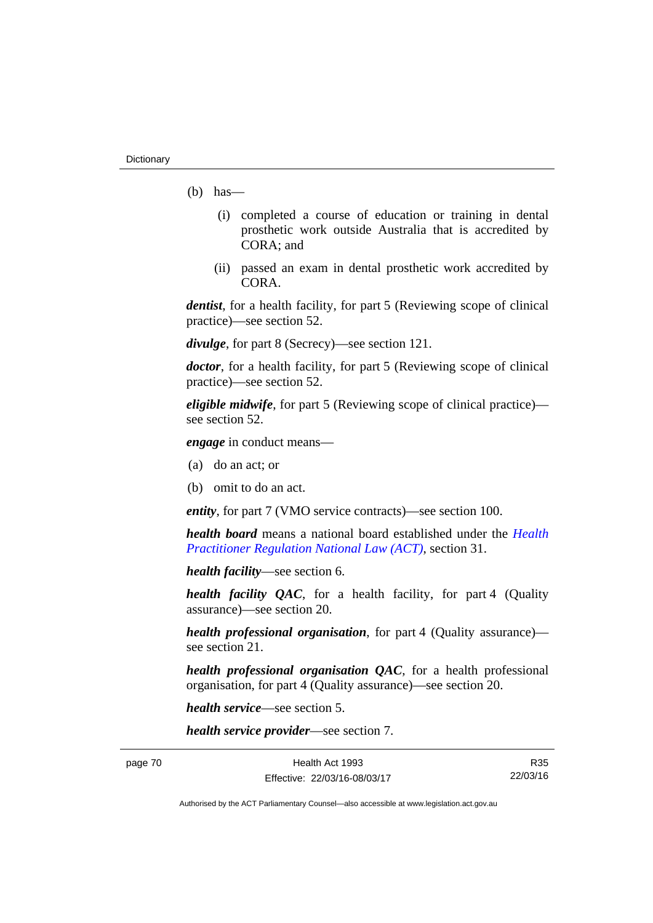- $(b)$  has
	- (i) completed a course of education or training in dental prosthetic work outside Australia that is accredited by CORA; and
	- (ii) passed an exam in dental prosthetic work accredited by CORA.

*dentist*, for a health facility, for part 5 (Reviewing scope of clinical practice)—see section 52.

*divulge*, for part 8 (Secrecy)—see section 121.

*doctor*, for a health facility, for part 5 (Reviewing scope of clinical practice)—see section 52.

*eligible midwife*, for part 5 (Reviewing scope of clinical practice) see section 52.

*engage* in conduct means—

- (a) do an act; or
- (b) omit to do an act.

*entity*, for part 7 (VMO service contracts)—see section 100.

*health board* means a national board established under the *[Health](http://www.legislation.act.gov.au/a/db_39269/default.asp)  [Practitioner Regulation National Law \(ACT\)](http://www.legislation.act.gov.au/a/db_39269/default.asp)*, section 31.

*health facility*—see section 6.

*health facility QAC*, for a health facility, for part 4 (Quality assurance)—see section 20.

*health professional organisation*, for part 4 (Quality assurance) see section 21.

*health professional organisation QAC*, for a health professional organisation, for part 4 (Quality assurance)—see section 20.

*health service*—see section 5.

*health service provider*—see section 7.

page 70 Health Act 1993 Effective: 22/03/16-08/03/17

R35 22/03/16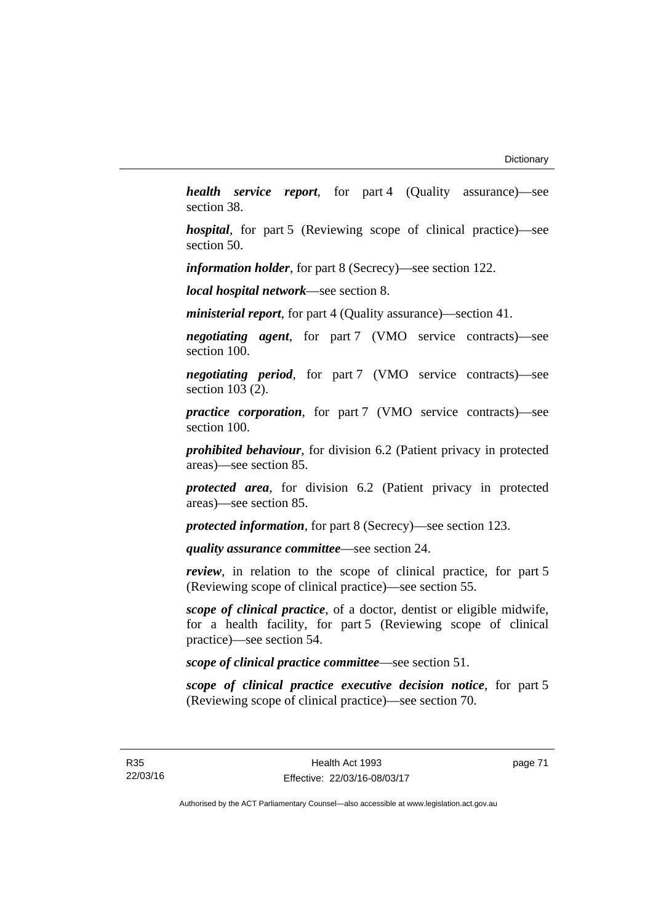*health service report*, for part 4 (Quality assurance)—see section 38.

*hospital*, for part 5 (Reviewing scope of clinical practice)—see section 50.

*information holder*, for part 8 (Secrecy)—see section 122.

*local hospital network*—see section 8.

*ministerial report*, for part 4 (Quality assurance)—section 41.

*negotiating agent*, for part 7 (VMO service contracts)—see section 100.

*negotiating period*, for part 7 (VMO service contracts)—see section 103 (2).

*practice corporation*, for part 7 (VMO service contracts)—see section 100.

*prohibited behaviour*, for division 6.2 (Patient privacy in protected areas)—see section 85.

*protected area*, for division 6.2 (Patient privacy in protected areas)—see section 85.

*protected information*, for part 8 (Secrecy)—see section 123.

*quality assurance committee*—see section 24.

*review*, in relation to the scope of clinical practice, for part 5 (Reviewing scope of clinical practice)—see section 55.

*scope of clinical practice*, of a doctor, dentist or eligible midwife, for a health facility, for part 5 (Reviewing scope of clinical practice)—see section 54.

*scope of clinical practice committee*—see section 51.

*scope of clinical practice executive decision notice*, for part 5 (Reviewing scope of clinical practice)—see section 70.

page 71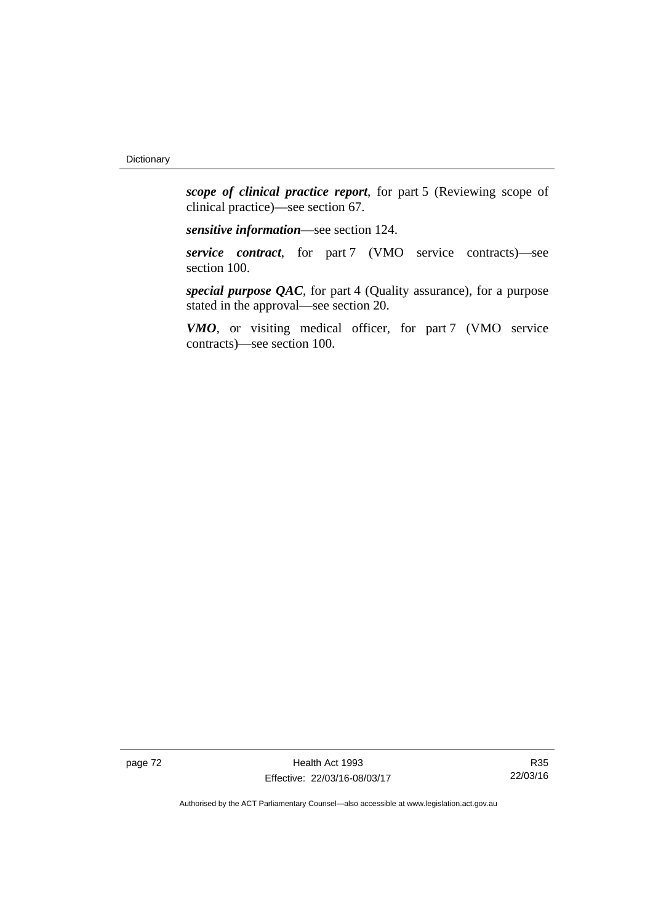*scope of clinical practice report*, for part 5 (Reviewing scope of clinical practice)—see section 67.

*sensitive information*—see section 124.

*service contract*, for part 7 (VMO service contracts)—see section 100.

*special purpose QAC*, for part 4 (Quality assurance), for a purpose stated in the approval—see section 20.

*VMO*, or visiting medical officer, for part 7 (VMO service contracts)—see section 100.

page 72 Health Act 1993 Effective: 22/03/16-08/03/17

R35 22/03/16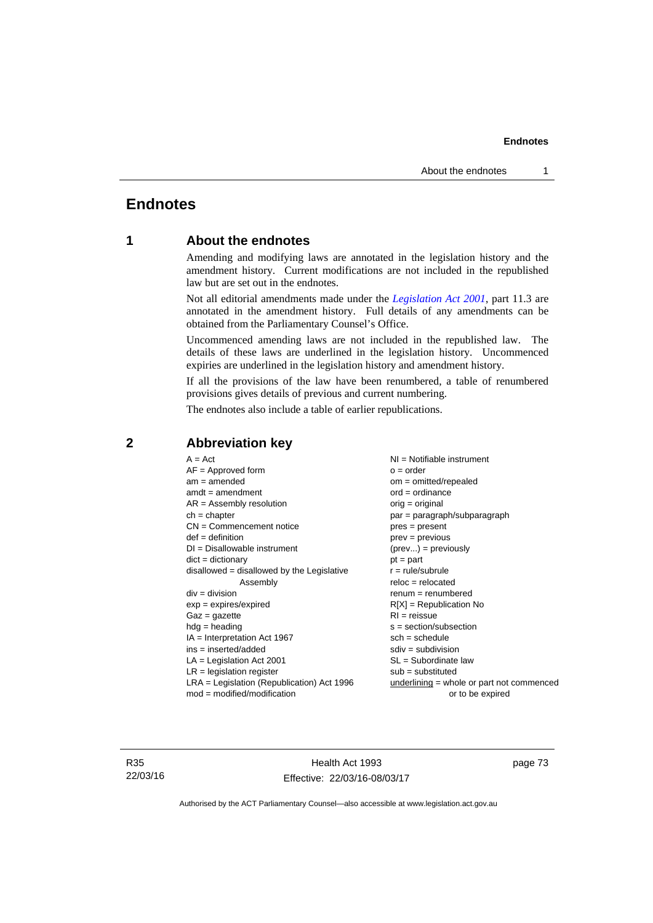# **Endnotes**

# **1 About the endnotes**

Amending and modifying laws are annotated in the legislation history and the amendment history. Current modifications are not included in the republished law but are set out in the endnotes.

Not all editorial amendments made under the *[Legislation Act 2001](http://www.legislation.act.gov.au/a/2001-14)*, part 11.3 are annotated in the amendment history. Full details of any amendments can be obtained from the Parliamentary Counsel's Office.

Uncommenced amending laws are not included in the republished law. The details of these laws are underlined in the legislation history. Uncommenced expiries are underlined in the legislation history and amendment history.

If all the provisions of the law have been renumbered, a table of renumbered provisions gives details of previous and current numbering.

The endnotes also include a table of earlier republications.

| $A = Act$                                    | $NI =$ Notifiable instrument                |
|----------------------------------------------|---------------------------------------------|
| $AF =$ Approved form                         | $o = order$                                 |
| $am = amended$                               | $om = omitted/repealed$                     |
| $amdt = amendment$                           | $ord = ordinance$                           |
| $AR = Assembly resolution$                   | $orig = original$                           |
| $ch = chapter$                               | par = paragraph/subparagraph                |
| $CN =$ Commencement notice                   | $pres = present$                            |
| $def = definition$                           | $prev = previous$                           |
| $DI = Disallowable instrument$               | $(\text{prev}) = \text{previously}$         |
| $dict = dictionary$                          | $pt = part$                                 |
| $disallowed = disallowed by the Legislative$ | $r = rule/subrule$                          |
| Assembly                                     | $reloc = relocated$                         |
| $div =$ division                             | $remum = renumbered$                        |
| $exp = expires/expired$                      | $R[X]$ = Republication No                   |
| $Gaz = gazette$                              | $RI = reissue$                              |
| $h dq =$ heading                             | $s = section/subsection$                    |
| $IA = Interpretation Act 1967$               | $sch = schedule$                            |
| ins = inserted/added                         | $sdiv = subdivision$                        |
| $LA =$ Legislation Act 2001                  | $SL = Subordinate$ law                      |
| $LR =$ legislation register                  | $sub =$ substituted                         |
| $LRA =$ Legislation (Republication) Act 1996 | $underlining = whole or part not commenced$ |
| $mod = modified/modification$                | or to be expired                            |
|                                              |                                             |

# **2 Abbreviation key**

R35 22/03/16

Health Act 1993 Effective: 22/03/16-08/03/17 page 73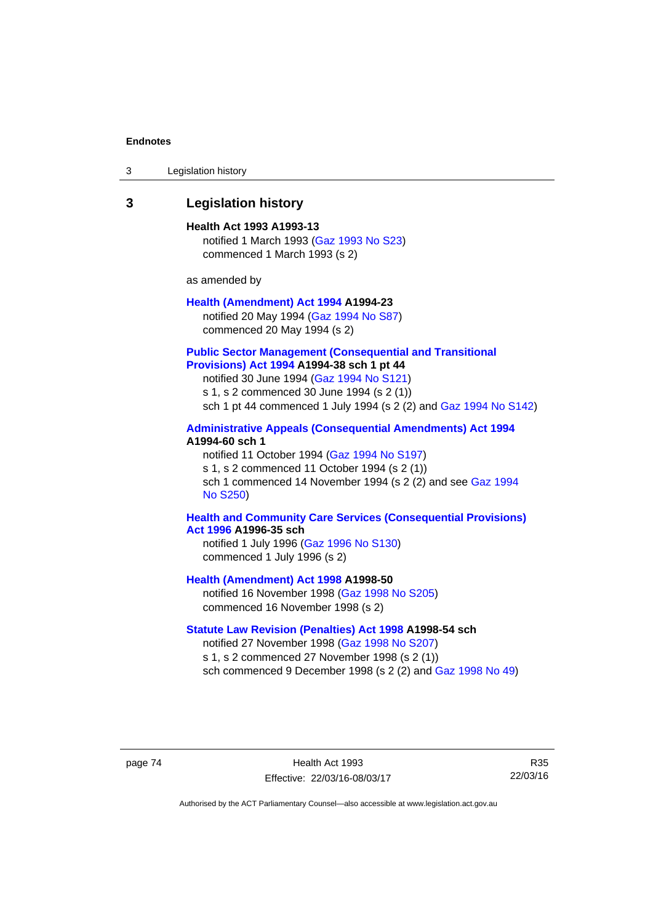| 3 | Legislation history |  |
|---|---------------------|--|
|---|---------------------|--|

# **3 Legislation history**

**Health Act 1993 A1993-13**  notified 1 March 1993 [\(Gaz 1993 No S23\)](http://www.legislation.act.gov.au/gaz/1993-S23/default.asp) commenced 1 March 1993 (s 2)

as amended by

# **[Health \(Amendment\) Act 1994](http://www.legislation.act.gov.au/a/1994-23) A1994-23**  notified 20 May 1994 ([Gaz 1994 No S87](http://www.legislation.act.gov.au/gaz/1994-S87/default.asp))

commenced 20 May 1994 (s 2)

## **[Public Sector Management \(Consequential and Transitional](http://www.legislation.act.gov.au/a/1994-38)  [Provisions\) Act 1994](http://www.legislation.act.gov.au/a/1994-38) A1994-38 sch 1 pt 44**

notified 30 June 1994 ([Gaz 1994 No S121\)](http://www.legislation.act.gov.au/gaz/1994-S121/default.asp)

s 1, s 2 commenced 30 June 1994 (s 2 (1))

sch 1 pt 44 commenced 1 July 1994 (s 2 (2) and [Gaz 1994 No S142\)](http://www.legislation.act.gov.au/gaz/1994-S142/default.asp)

# **[Administrative Appeals \(Consequential Amendments\) Act 1994](http://www.legislation.act.gov.au/a/1994-60) A1994-60 sch 1**

notified 11 October 1994 ([Gaz 1994 No S197\)](http://www.legislation.act.gov.au/gaz/1994-S197/default.asp) s 1, s 2 commenced 11 October 1994 (s 2 (1)) sch 1 commenced 14 November 1994 (s 2 (2) and see [Gaz 1994](http://www.legislation.act.gov.au/gaz/1994-S250/default.asp)  [No S250\)](http://www.legislation.act.gov.au/gaz/1994-S250/default.asp)

## **[Health and Community Care Services \(Consequential Provisions\)](http://www.legislation.act.gov.au/a/1996-35)  [Act 1996](http://www.legislation.act.gov.au/a/1996-35) A1996-35 sch**

notified 1 July 1996 [\(Gaz 1996 No S130](http://www.legislation.act.gov.au/gaz/1996-S130/default.asp)) commenced 1 July 1996 (s 2)

**[Health \(Amendment\) Act 1998](http://www.legislation.act.gov.au/a/1998-50) A1998-50** 

notified 16 November 1998 [\(Gaz 1998 No S205](http://www.legislation.act.gov.au/gaz/1998-S205/default.asp)) commenced 16 November 1998 (s 2)

## **[Statute Law Revision \(Penalties\) Act 1998](http://www.legislation.act.gov.au/a/1998-54) A1998-54 sch**

notified 27 November 1998 [\(Gaz 1998 No S207](http://www.legislation.act.gov.au/gaz/1998-S207/default.asp)) s 1, s 2 commenced 27 November 1998 (s 2 (1)) sch commenced 9 December 1998 (s 2 (2) and [Gaz 1998 No 49\)](http://www.legislation.act.gov.au/gaz/1998-49/default.asp)

page 74 Health Act 1993 Effective: 22/03/16-08/03/17

R35 22/03/16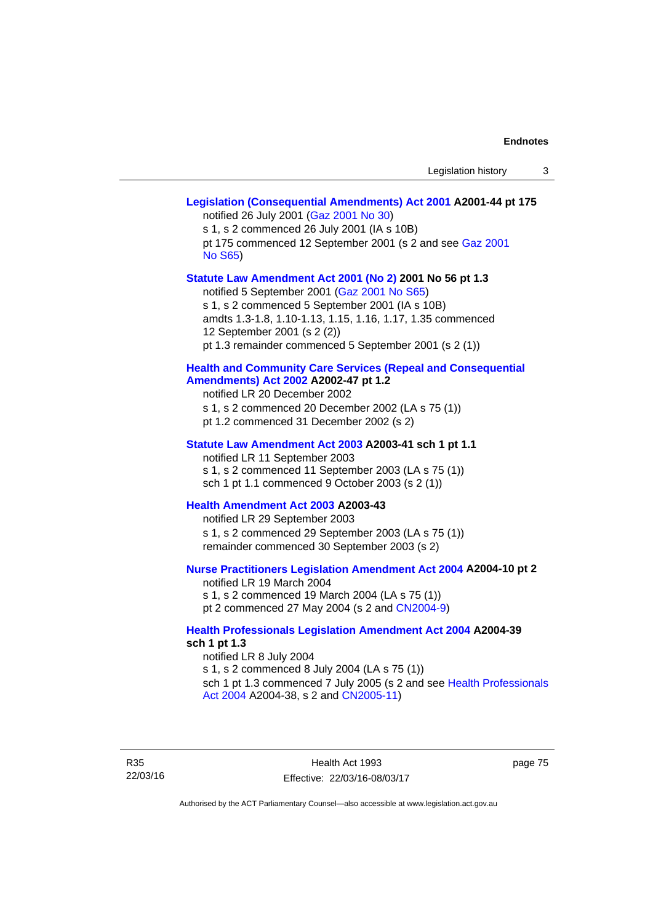# **[Legislation \(Consequential Amendments\) Act 2001](http://www.legislation.act.gov.au/a/2001-44) A2001-44 pt 175**  notified 26 July 2001 ([Gaz 2001 No 30\)](http://www.legislation.act.gov.au/gaz/2001-30/default.asp) s 1, s 2 commenced 26 July 2001 (IA s 10B) pt 175 commenced 12 September 2001 (s 2 and see [Gaz 2001](http://www.legislation.act.gov.au/gaz/2001-S65/default.asp)  [No S65](http://www.legislation.act.gov.au/gaz/2001-S65/default.asp)) **[Statute Law Amendment Act 2001 \(No 2\)](http://www.legislation.act.gov.au/a/2001-56) 2001 No 56 pt 1.3**  notified 5 September 2001 [\(Gaz 2001 No S65\)](http://www.legislation.act.gov.au/gaz/2001-S65/default.asp) s 1, s 2 commenced 5 September 2001 (IA s 10B) amdts 1.3-1.8, 1.10-1.13, 1.15, 1.16, 1.17, 1.35 commenced 12 September 2001 (s 2 (2)) pt 1.3 remainder commenced 5 September 2001 (s 2 (1)) **[Health and Community Care Services \(Repeal and Consequential](http://www.legislation.act.gov.au/a/2002-47)  [Amendments\) Act 2002](http://www.legislation.act.gov.au/a/2002-47) A2002-47 pt 1.2**  notified LR 20 December 2002 s 1, s 2 commenced 20 December 2002 (LA s 75 (1)) pt 1.2 commenced 31 December 2002 (s 2) **[Statute Law Amendment Act 2003](http://www.legislation.act.gov.au/a/2003-41) A2003-41 sch 1 pt 1.1**  notified LR 11 September 2003 s 1, s 2 commenced 11 September 2003 (LA s 75 (1)) sch 1 pt 1.1 commenced 9 October 2003 (s 2 (1)) **[Health Amendment Act 2003](http://www.legislation.act.gov.au/a/2003-43) A2003-43**  notified LR 29 September 2003 s 1, s 2 commenced 29 September 2003 (LA s 75 (1)) remainder commenced 30 September 2003 (s 2) **[Nurse Practitioners Legislation Amendment Act 2004](http://www.legislation.act.gov.au/a/2004-10) A2004-10 pt 2**  notified LR 19 March 2004 s 1, s 2 commenced 19 March 2004 (LA s 75 (1)) pt 2 commenced 27 May 2004 (s 2 and [CN2004-9\)](http://www.legislation.act.gov.au/cn/2004-9/default.asp) **[Health Professionals Legislation Amendment Act 2004](http://www.legislation.act.gov.au/a/2004-39) A2004-39 sch 1 pt 1.3**  notified LR 8 July 2004 s 1, s 2 commenced 8 July 2004 (LA s 75 (1)) sch 1 pt 1.3 commenced 7 July 2005 (s 2 and see [Health Professionals](http://www.legislation.act.gov.au/a/2004-38)  [Act 2004](http://www.legislation.act.gov.au/a/2004-38) A2004-38, s 2 and [CN2005-11\)](http://www.legislation.act.gov.au/cn/2005-11/default.asp)

R35 22/03/16

Health Act 1993 Effective: 22/03/16-08/03/17 page 75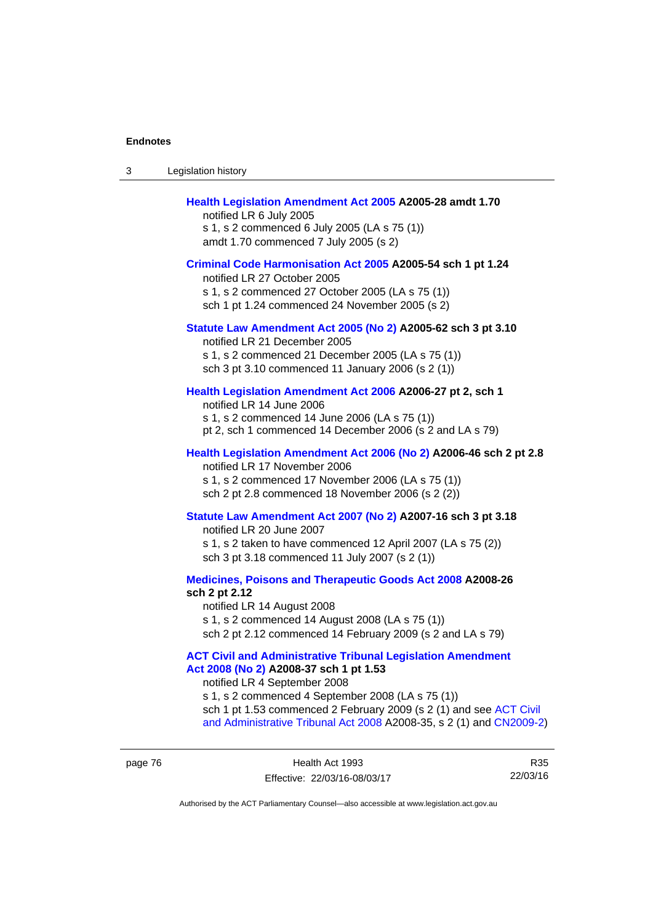| 3 | Legislation history                                                                                                                                                                                                                                                                                                                             |
|---|-------------------------------------------------------------------------------------------------------------------------------------------------------------------------------------------------------------------------------------------------------------------------------------------------------------------------------------------------|
|   | Health Legislation Amendment Act 2005 A2005-28 amdt 1.70<br>notified LR 6 July 2005<br>s 1, s 2 commenced 6 July 2005 (LA s 75 (1))<br>amdt 1.70 commenced 7 July 2005 (s 2)                                                                                                                                                                    |
|   | Criminal Code Harmonisation Act 2005 A2005-54 sch 1 pt 1.24<br>notified LR 27 October 2005<br>s 1, s 2 commenced 27 October 2005 (LA s 75 (1))<br>sch 1 pt 1.24 commenced 24 November 2005 (s 2)                                                                                                                                                |
|   | Statute Law Amendment Act 2005 (No 2) A2005-62 sch 3 pt 3.10<br>notified LR 21 December 2005<br>s 1, s 2 commenced 21 December 2005 (LA s 75 (1))<br>sch 3 pt 3.10 commenced 11 January 2006 (s 2 (1))                                                                                                                                          |
|   | Health Legislation Amendment Act 2006 A2006-27 pt 2, sch 1<br>notified LR 14 June 2006<br>s 1, s 2 commenced 14 June 2006 (LA s 75 (1))<br>pt 2, sch 1 commenced 14 December 2006 (s 2 and LA s 79)                                                                                                                                             |
|   | Health Legislation Amendment Act 2006 (No 2) A2006-46 sch 2 pt 2.8<br>notified LR 17 November 2006<br>s 1, s 2 commenced 17 November 2006 (LA s 75 (1))<br>sch 2 pt 2.8 commenced 18 November 2006 (s 2 (2))                                                                                                                                    |
|   | Statute Law Amendment Act 2007 (No 2) A2007-16 sch 3 pt 3.18<br>notified LR 20 June 2007<br>s 1, s 2 taken to have commenced 12 April 2007 (LA s 75 (2))<br>sch 3 pt 3.18 commenced 11 July 2007 (s 2 (1))                                                                                                                                      |
|   | Medicines, Poisons and Therapeutic Goods Act 2008 A2008-26<br>sch 2 pt 2.12<br>notified LR 14 August 2008<br>s 1, s 2 commenced 14 August 2008 (LA s 75 (1))<br>sch 2 pt 2.12 commenced 14 February 2009 (s 2 and LA s 79)                                                                                                                      |
|   | <b>ACT Civil and Administrative Tribunal Legislation Amendment</b><br>Act 2008 (No 2) A2008-37 sch 1 pt 1.53<br>notified LR 4 September 2008<br>s 1, s 2 commenced 4 September 2008 (LA s 75 (1))<br>sch 1 pt 1.53 commenced 2 February 2009 (s 2 (1) and see ACT Civil<br>and Administrative Tribunal Act 2008 A2008-35, s 2 (1) and CN2009-2) |

page 76 **Health Act 1993** Effective: 22/03/16-08/03/17

R35 22/03/16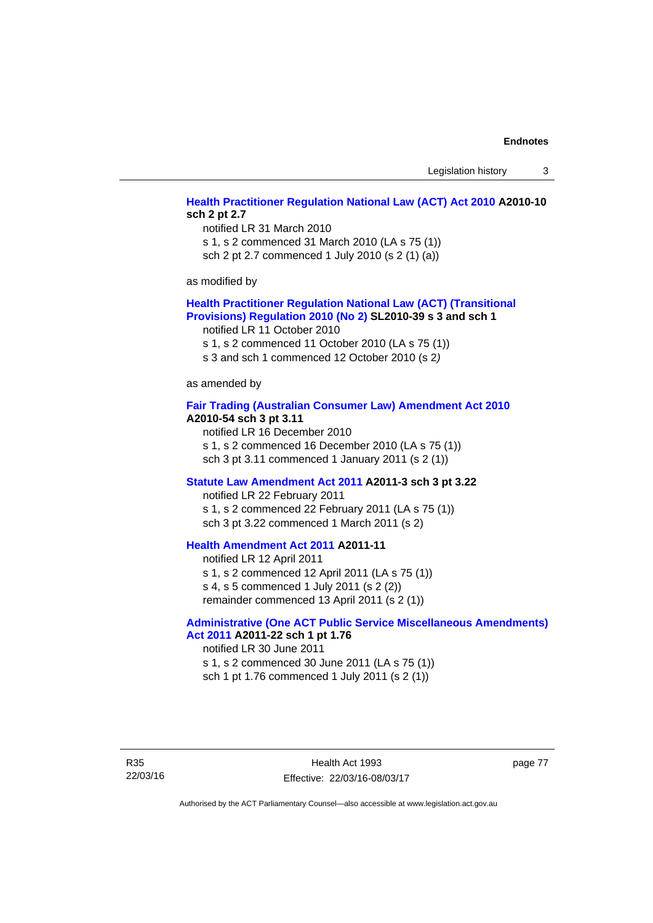Legislation history 3

# **[Health Practitioner Regulation National Law \(ACT\) Act 2010](http://www.legislation.act.gov.au/a/2010-10) A2010-10 sch 2 pt 2.7**

notified LR 31 March 2010 s 1, s 2 commenced 31 March 2010 (LA s 75 (1)) sch 2 pt 2.7 commenced 1 July 2010 (s 2 (1) (a))

as modified by

### **[Health Practitioner Regulation National Law \(ACT\) \(Transitional](http://www.legislation.act.gov.au/sl/2010-39)  [Provisions\) Regulation 2010 \(No 2\)](http://www.legislation.act.gov.au/sl/2010-39) SL2010-39 s 3 and sch 1**

notified LR 11 October 2010

s 1, s 2 commenced 11 October 2010 (LA s 75 (1))

s 3 and sch 1 commenced 12 October 2010 (s 2*)*

as amended by

#### **[Fair Trading \(Australian Consumer Law\) Amendment Act 2010](http://www.legislation.act.gov.au/a/2010-54) A2010-54 sch 3 pt 3.11**

notified LR 16 December 2010 s 1, s 2 commenced 16 December 2010 (LA s 75 (1)) sch 3 pt 3.11 commenced 1 January 2011 (s 2 (1))

#### **[Statute Law Amendment Act 2011](http://www.legislation.act.gov.au/a/2011-3) A2011-3 sch 3 pt 3.22**

notified LR 22 February 2011 s 1, s 2 commenced 22 February 2011 (LA s 75 (1)) sch 3 pt 3.22 commenced 1 March 2011 (s 2)

# **[Health Amendment Act 2011](http://www.legislation.act.gov.au/a/2011-11) A2011-11**

notified LR 12 April 2011 s 1, s 2 commenced 12 April 2011 (LA s 75 (1)) s 4, s 5 commenced 1 July 2011 (s 2 (2)) remainder commenced 13 April 2011 (s 2 (1))

# **[Administrative \(One ACT Public Service Miscellaneous Amendments\)](http://www.legislation.act.gov.au/a/2011-22)**

**[Act 2011](http://www.legislation.act.gov.au/a/2011-22) A2011-22 sch 1 pt 1.76**  notified LR 30 June 2011 s 1, s 2 commenced 30 June 2011 (LA s 75 (1))

sch 1 pt 1.76 commenced 1 July 2011 (s 2 (1))

R35 22/03/16 page 77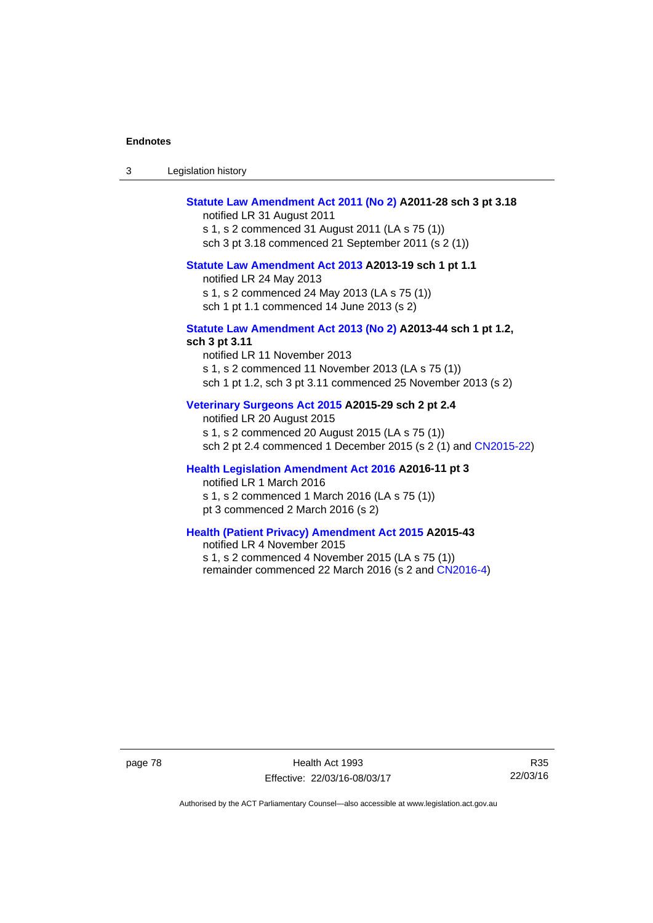| Legislation history<br>-3 |  |
|---------------------------|--|
|---------------------------|--|

# **[Statute Law Amendment Act 2011 \(No 2\)](http://www.legislation.act.gov.au/a/2011-28) A2011-28 sch 3 pt 3.18**

notified LR 31 August 2011 s 1, s 2 commenced 31 August 2011 (LA s 75 (1)) sch 3 pt 3.18 commenced 21 September 2011 (s 2 (1))

#### **[Statute Law Amendment Act 2013](http://www.legislation.act.gov.au/a/2013-19) A2013-19 sch 1 pt 1.1**

notified LR 24 May 2013

s 1, s 2 commenced 24 May 2013 (LA s 75 (1))

sch 1 pt 1.1 commenced 14 June 2013 (s 2)

#### **[Statute Law Amendment Act 2013 \(No 2\)](http://www.legislation.act.gov.au/a/2013-44) A2013-44 sch 1 pt 1.2, sch 3 pt 3.11**

notified LR 11 November 2013 s 1, s 2 commenced 11 November 2013 (LA s 75 (1)) sch 1 pt 1.2, sch 3 pt 3.11 commenced 25 November 2013 (s 2)

## **[Veterinary Surgeons Act 2015](http://www.legislation.act.gov.au/a/2015-29/default.asp) A2015-29 sch 2 pt 2.4**

notified LR 20 August 2015 s 1, s 2 commenced 20 August 2015 (LA s 75 (1)) sch 2 pt 2.4 commenced 1 December 2015 (s 2 (1) and [CN2015-22](http://www.legislation.act.gov.au/cn/2015-22/default.asp))

## **[Health Legislation Amendment Act 2016](http://www.legislation.act.gov.au/a/2016-11/default.asp) A2016-11 pt 3**

notified LR 1 March 2016

s 1, s 2 commenced 1 March 2016 (LA s 75 (1))

pt 3 commenced 2 March 2016 (s 2)

## **[Health \(Patient Privacy\) Amendment Act 2015](http://www.legislation.act.gov.au/a/2015-43/default.asp) A2015-43**

notified LR 4 November 2015 s 1, s 2 commenced 4 November 2015 (LA s 75 (1)) remainder commenced 22 March 2016 (s 2 and [CN2016-4](http://www.legislation.act.gov.au/cn/2016-4/default.asp))

page 78 Health Act 1993 Effective: 22/03/16-08/03/17

R35 22/03/16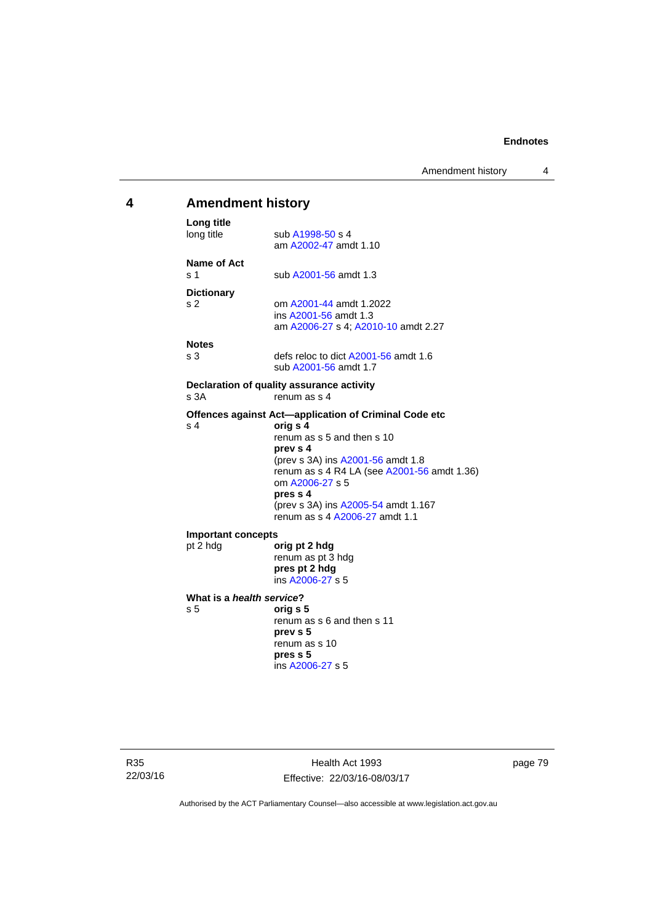# **4 Amendment history Long title**  sub [A1998-50](http://www.legislation.act.gov.au/a/1998-50) s 4 am [A2002-47](http://www.legislation.act.gov.au/a/2002-47) amdt 1.10 **Name of Act**  s 1 sub [A2001-56](http://www.legislation.act.gov.au/a/2001-56) amdt 1.3 **Dictionary**  s 2 om [A2001-44](http://www.legislation.act.gov.au/a/2001-44) amdt 1.2022 ins [A2001-56](http://www.legislation.act.gov.au/a/2001-56) amdt 1.3 am [A2006-27](http://www.legislation.act.gov.au/a/2006-27) s 4; [A2010-10](http://www.legislation.act.gov.au/a/2010-10) amdt 2.27 **Notes**  s 3 defs reloc to dict [A2001-56](http://www.legislation.act.gov.au/a/2001-56) amdt 1.6 sub [A2001-56](http://www.legislation.act.gov.au/a/2001-56) amdt 1.7 **Declaration of quality assurance activity**  s 3A renum as s 4 **Offences against Act—application of Criminal Code etc**  s 4 **orig s 4** renum as s 5 and then s 10 **prev s 4**  (prev s 3A) ins [A2001-56](http://www.legislation.act.gov.au/a/2001-56) amdt 1.8 renum as s 4 R4 LA (see [A2001-56](http://www.legislation.act.gov.au/a/2001-56) amdt 1.36) om [A2006-27](http://www.legislation.act.gov.au/a/2006-27) s 5 **pres s 4**  (prev s 3A) ins [A2005-54](http://www.legislation.act.gov.au/a/2005-54) amdt 1.167 renum as s 4 [A2006-27](http://www.legislation.act.gov.au/a/2006-27) amdt 1.1 **Important concepts**  pt 2 hdg **orig pt 2 hdg** renum as pt 3 hdg **pres pt 2 hdg**  ins [A2006-27](http://www.legislation.act.gov.au/a/2006-27) s 5 **What is a** *health service***?**  s 5 **orig s 5**  renum as s 6 and then s 11 **prev s 5**  renum as s 10 **pres s 5**  ins [A2006-27](http://www.legislation.act.gov.au/a/2006-27) s 5

R35 22/03/16

Health Act 1993 Effective: 22/03/16-08/03/17 page 79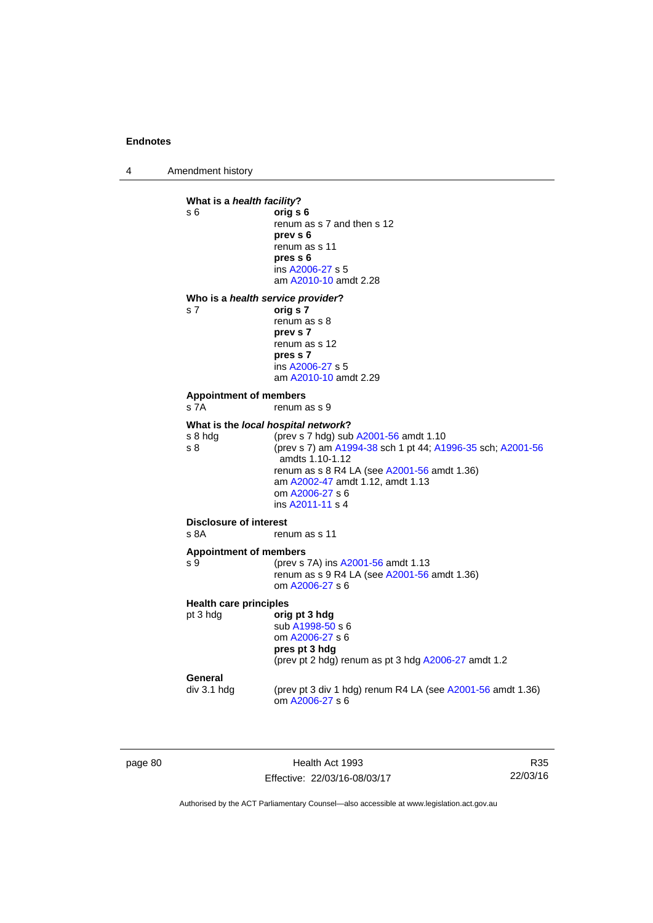4 Amendment history



page 80 Health Act 1993 Effective: 22/03/16-08/03/17

R35 22/03/16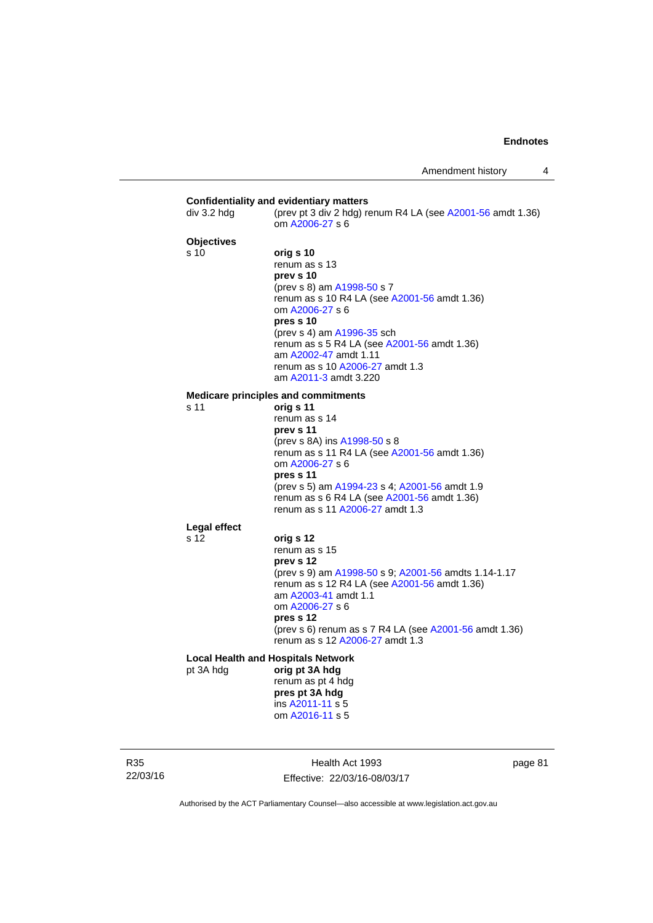| div 3.2 hdg               | (prev pt 3 div 2 hdg) renum R4 LA (see A2001-56 amdt 1.36)<br>om A2006-27 s 6                                                                                                                                                                                                                                           |
|---------------------------|-------------------------------------------------------------------------------------------------------------------------------------------------------------------------------------------------------------------------------------------------------------------------------------------------------------------------|
| <b>Objectives</b><br>s 10 | orig s 10<br>renum as s 13<br>prev s 10<br>(prev s 8) am A1998-50 s 7<br>renum as s 10 R4 LA (see A2001-56 amdt 1.36)<br>om A2006-27 s 6<br>pres s 10<br>(prev s 4) am A1996-35 sch<br>renum as s 5 R4 LA (see A2001-56 amdt 1.36)<br>am A2002-47 amdt 1.11<br>renum as s 10 A2006-27 amdt 1.3<br>am A2011-3 amdt 3.220 |
| s 11                      | <b>Medicare principles and commitments</b>                                                                                                                                                                                                                                                                              |
|                           | orig s 11<br>renum as s 14<br>prev s 11<br>(prev s 8A) ins A1998-50 s 8<br>renum as s 11 R4 LA (see A2001-56 amdt 1.36)<br>om A2006-27 s 6<br>pres s 11<br>(prev s 5) am A1994-23 s 4; A2001-56 amdt 1.9<br>renum as s 6 R4 LA (see A2001-56 amdt 1.36)<br>renum as s 11 A2006-27 amdt 1.3                              |
| Legal effect<br>s 12      |                                                                                                                                                                                                                                                                                                                         |
|                           | orig s 12<br>renum as s 15<br>prev s 12<br>(prev s 9) am A1998-50 s 9; A2001-56 amdts 1.14-1.17<br>renum as s 12 R4 LA (see A2001-56 amdt 1.36)<br>am A2003-41 amdt 1.1<br>om A2006-27 s 6<br>pres s 12<br>(prev s 6) renum as s 7 R4 LA (see A2001-56 amdt 1.36)<br>renum as s 12 A2006-27 amdt 1.3                    |
|                           | <b>Local Health and Hospitals Network</b>                                                                                                                                                                                                                                                                               |
| pt 3A hdg                 | orig pt 3A hdg<br>renum as pt 4 hdg<br>pres pt 3A hdg<br>ins A2011-11 s 5<br>om A2016-11 s 5                                                                                                                                                                                                                            |

R35 22/03/16

Health Act 1993 Effective: 22/03/16-08/03/17 page 81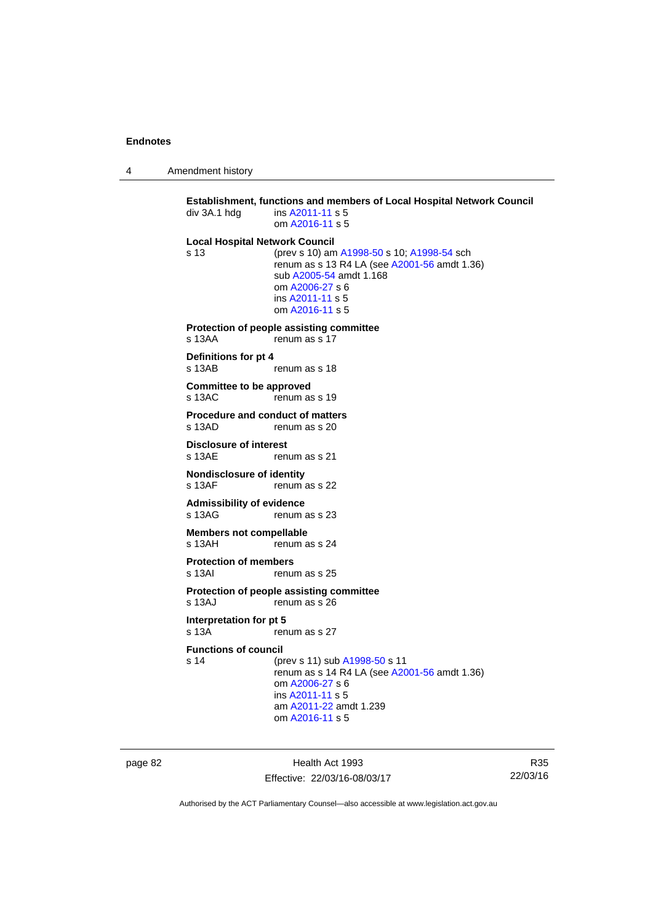4 Amendment history

**Establishment, functions and members of Local Hospital Network Council**  div 3A.1 hdg ins [A2011-11](http://www.legislation.act.gov.au/a/2011-11) s 5 om [A2016-11](http://www.legislation.act.gov.au/a/2016-11) s 5 **Local Hospital Network Council** s 13 (prev s 10) am [A1998-50](http://www.legislation.act.gov.au/a/1998-50) s 10; [A1998-54](http://www.legislation.act.gov.au/a/1998-54) sch renum as s 13 R4 LA (see [A2001-56](http://www.legislation.act.gov.au/a/2001-56) amdt 1.36) sub [A2005-54](http://www.legislation.act.gov.au/a/2005-54) amdt 1.168 om [A2006-27](http://www.legislation.act.gov.au/a/2006-27) s 6 ins [A2011-11](http://www.legislation.act.gov.au/a/2011-11) s 5 om [A2016-11](http://www.legislation.act.gov.au/a/2016-11) s 5 **Protection of people assisting committee**  s 13AA renum as s 17 **Definitions for pt 4**  s 13AB renum as s 18 **Committee to be approved**  s 13AC renum as s 19 **Procedure and conduct of matters**  s 13AD renum as s 20 **Disclosure of interest**  s 13AE renum as s 21 **Nondisclosure of identity**  s 13AF renum as s 22 **Admissibility of evidence**  s 13AG renum as s 23 **Members not compellable**  s 13AH renum as s 24 **Protection of members**  renum as s 25 **Protection of people assisting committee**  s 13AJ renum as s 26 **Interpretation for pt 5**<br>s 13A **rep** renum as s 27 **Functions of council** s 14 (prev s 11) sub [A1998-50](http://www.legislation.act.gov.au/a/1998-50) s 11 renum as s 14 R4 LA (see [A2001-56](http://www.legislation.act.gov.au/a/2001-56) amdt 1.36) om [A2006-27](http://www.legislation.act.gov.au/a/2006-27) s 6 ins [A2011-11](http://www.legislation.act.gov.au/a/2011-11) s 5 am [A2011-22](http://www.legislation.act.gov.au/a/2011-22) amdt 1.239 om [A2016-11](http://www.legislation.act.gov.au/a/2016-11) s 5

page 82 Health Act 1993 Effective: 22/03/16-08/03/17

R35 22/03/16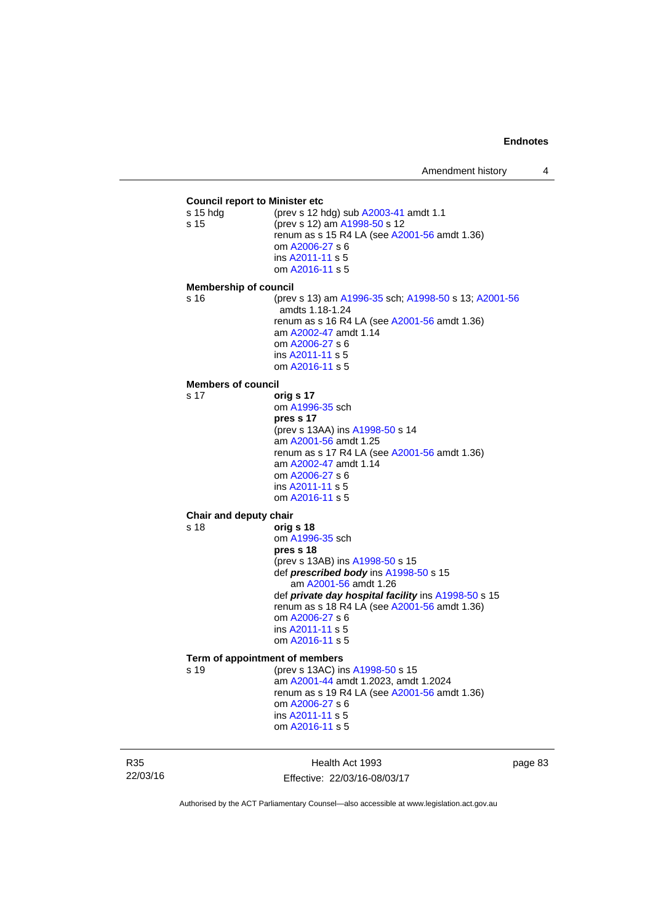**Council report to Minister etc** s 15 hdg (prev s 12 hdg) sub [A2003-41](http://www.legislation.act.gov.au/a/2003-41) amdt 1.1 s 15 (prev s 12) am [A1998-50](http://www.legislation.act.gov.au/a/1998-50) s 12 renum as s 15 R4 LA (see [A2001-56](http://www.legislation.act.gov.au/a/2001-56) amdt 1.36) om [A2006-27](http://www.legislation.act.gov.au/a/2006-27) s 6 ins [A2011-11](http://www.legislation.act.gov.au/a/2011-11) s 5 om [A2016-11](http://www.legislation.act.gov.au/a/2016-11) s 5 **Membership of council** s 16 (prev s 13) am [A1996-35](http://www.legislation.act.gov.au/a/1996-35) sch; [A1998-50](http://www.legislation.act.gov.au/a/1998-50) s 13; [A2001-56](http://www.legislation.act.gov.au/a/2001-56) amdts 1.18-1.24 renum as s 16 R4 LA (see [A2001-56](http://www.legislation.act.gov.au/a/2001-56) amdt 1.36) am [A2002-47](http://www.legislation.act.gov.au/a/2002-47) amdt 1.14 om [A2006-27](http://www.legislation.act.gov.au/a/2006-27) s 6 ins [A2011-11](http://www.legislation.act.gov.au/a/2011-11) s 5 om [A2016-11](http://www.legislation.act.gov.au/a/2016-11) s 5 **Members of council** s 17 **orig s 17** om [A1996-35](http://www.legislation.act.gov.au/a/1996-35) sch **pres s 17**  (prev s 13AA) ins [A1998-50](http://www.legislation.act.gov.au/a/1998-50) s 14 am [A2001-56](http://www.legislation.act.gov.au/a/2001-56) amdt 1.25 renum as s 17 R4 LA (see [A2001-56](http://www.legislation.act.gov.au/a/2001-56) amdt 1.36) am [A2002-47](http://www.legislation.act.gov.au/a/2002-47) amdt 1.14 om [A2006-27](http://www.legislation.act.gov.au/a/2006-27) s 6 ins [A2011-11](http://www.legislation.act.gov.au/a/2011-11) s 5 om [A2016-11](http://www.legislation.act.gov.au/a/2016-11) s 5 **Chair and deputy chair** s 18 **orig s 18** om [A1996-35](http://www.legislation.act.gov.au/a/1996-35) sch **pres s 18**  (prev s 13AB) ins [A1998-50](http://www.legislation.act.gov.au/a/1998-50) s 15 def *prescribed body* ins [A1998-50](http://www.legislation.act.gov.au/a/1998-50) s 15 am [A2001-56](http://www.legislation.act.gov.au/a/2001-56) amdt 1.26 def *private day hospital facility* ins [A1998-50](http://www.legislation.act.gov.au/a/1998-50) s 15 renum as s 18 R4 LA (see [A2001-56](http://www.legislation.act.gov.au/a/2001-56) amdt 1.36) om [A2006-27](http://www.legislation.act.gov.au/a/2006-27) s 6 ins [A2011-11](http://www.legislation.act.gov.au/a/2011-11) s 5 om [A2016-11](http://www.legislation.act.gov.au/a/2016-11) s 5 **Term of appointment of members** s 19 (prev s 13AC) ins [A1998-50](http://www.legislation.act.gov.au/a/1998-50) s 15 am [A2001-44](http://www.legislation.act.gov.au/a/2001-44) amdt 1.2023, amdt 1.2024 renum as s 19 R4 LA (see [A2001-56](http://www.legislation.act.gov.au/a/2001-56) amdt 1.36) om [A2006-27](http://www.legislation.act.gov.au/a/2006-27) s 6 ins [A2011-11](http://www.legislation.act.gov.au/a/2011-11) s 5 om [A2016-11](http://www.legislation.act.gov.au/a/2016-11) s 5

R35 22/03/16

Health Act 1993 Effective: 22/03/16-08/03/17 page 83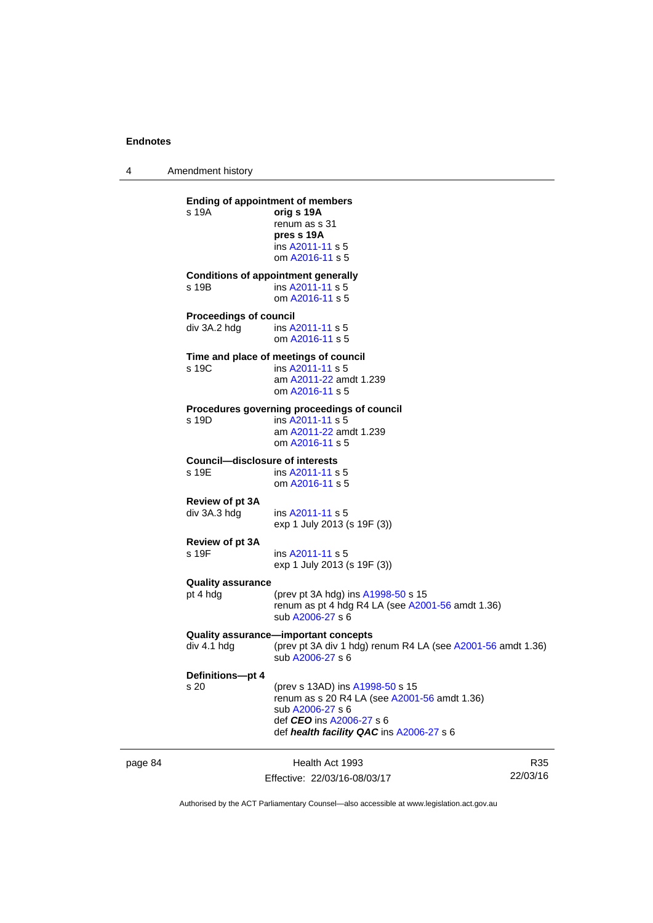4 Amendment history

page 84 Health Act 1993 Effective: 22/03/16-08/03/17 R35 22/03/16 **Ending of appointment of members**  s 19A **orig s 19A** renum as s 31 **pres s 19A**  ins [A2011-11](http://www.legislation.act.gov.au/a/2011-11) s 5 om [A2016-11](http://www.legislation.act.gov.au/a/2016-11) s 5 **Conditions of appointment generally**  s 19B ins [A2011-11](http://www.legislation.act.gov.au/a/2011-11) s 5 om [A2016-11](http://www.legislation.act.gov.au/a/2016-11) s 5 **Proceedings of council**  div 3A.2 hdg ins [A2011-11](http://www.legislation.act.gov.au/a/2011-11) s 5 om [A2016-11](http://www.legislation.act.gov.au/a/2016-11) s 5 **Time and place of meetings of council**  s 19C ins [A2011-11](http://www.legislation.act.gov.au/a/2011-11) s 5 am [A2011-22](http://www.legislation.act.gov.au/a/2011-22) amdt 1.239 om [A2016-11](http://www.legislation.act.gov.au/a/2016-11) s 5 **Procedures governing proceedings of council**  s 19D ins [A2011-11](http://www.legislation.act.gov.au/a/2011-11) s 5 am [A2011-22](http://www.legislation.act.gov.au/a/2011-22) amdt 1.239 om [A2016-11](http://www.legislation.act.gov.au/a/2016-11) s 5 **Council—disclosure of interests**  ins [A2011-11](http://www.legislation.act.gov.au/a/2011-11) s 5 om [A2016-11](http://www.legislation.act.gov.au/a/2016-11) s 5 **Review of pt 3A**  div 3A.3 hdg ins [A2011-11](http://www.legislation.act.gov.au/a/2011-11) s 5 exp 1 July 2013 (s 19F (3)) **Review of pt 3A**  s 19F ins [A2011-11](http://www.legislation.act.gov.au/a/2011-11) s 5 exp 1 July 2013 (s 19F (3)) **Quality assurance** (prev pt 3A hdg) ins  $A1998-50$  s 15 renum as pt 4 hdg R4 LA (see [A2001-56](http://www.legislation.act.gov.au/a/2001-56) amdt 1.36) sub [A2006-27](http://www.legislation.act.gov.au/a/2006-27) s 6 **Quality assurance—important concepts**   $div 4.1$  hdg  $(over v 3A$  div 1 hdg) renum R4 LA (see [A2001-56](http://www.legislation.act.gov.au/a/2001-56) amdt 1.36) sub [A2006-27](http://www.legislation.act.gov.au/a/2006-27) s 6 **Definitions—pt 4** s 20 (prev s 13AD) ins [A1998-50](http://www.legislation.act.gov.au/a/1998-50) s 15 renum as s 20 R4 LA (see [A2001-56](http://www.legislation.act.gov.au/a/2001-56) amdt 1.36) sub [A2006-27](http://www.legislation.act.gov.au/a/2006-27) s 6 def *CEO* ins [A2006-27](http://www.legislation.act.gov.au/a/2006-27) s 6 def *health facility QAC* ins [A2006-27](http://www.legislation.act.gov.au/a/2006-27) s 6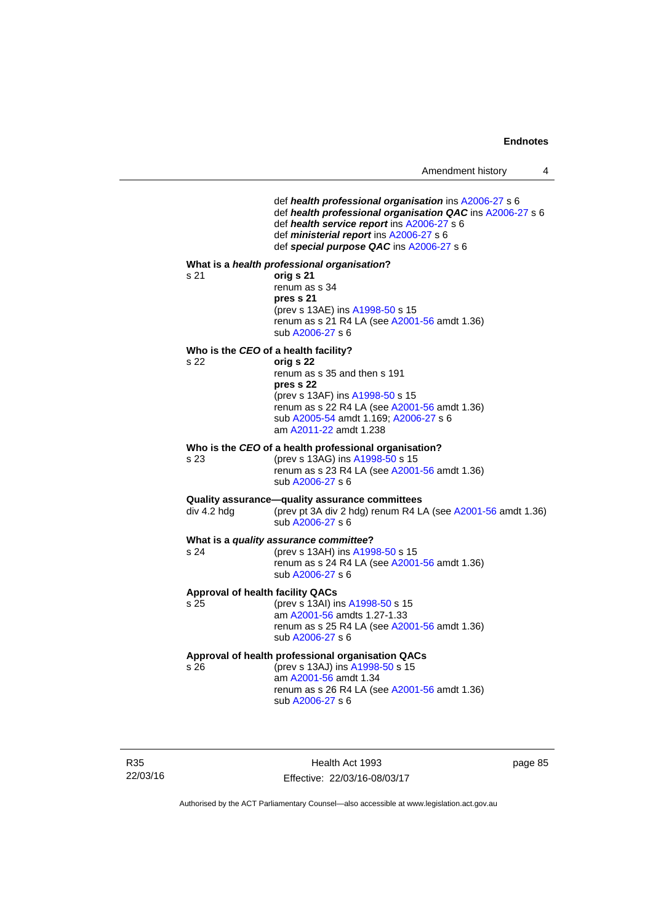def *health professional organisation* ins [A2006-27](http://www.legislation.act.gov.au/a/2006-27) s 6 def *health professional organisation QAC* ins [A2006-27](http://www.legislation.act.gov.au/a/2006-27) s 6 def *health service report* ins [A2006-27](http://www.legislation.act.gov.au/a/2006-27) s 6 def *ministerial report* ins [A2006-27](http://www.legislation.act.gov.au/a/2006-27) s 6 def *special purpose QAC* ins [A2006-27](http://www.legislation.act.gov.au/a/2006-27) s 6 **What is a** *health professional organisation***?** s 21 **orig s 21**  renum as s 34 **pres s 21**  (prev s 13AE) ins [A1998-50](http://www.legislation.act.gov.au/a/1998-50) s 15 renum as s 21 R4 LA (see [A2001-56](http://www.legislation.act.gov.au/a/2001-56) amdt 1.36) sub [A2006-27](http://www.legislation.act.gov.au/a/2006-27) s 6 **Who is the** *CEO* **of a health facility?** s 22 **orig s 22**  renum as s 35 and then s 191 **pres s 22**  (prev s 13AF) ins [A1998-50](http://www.legislation.act.gov.au/a/1998-50) s 15 renum as s 22 R4 LA (see [A2001-56](http://www.legislation.act.gov.au/a/2001-56) amdt 1.36) sub [A2005-54](http://www.legislation.act.gov.au/a/2005-54) amdt 1.169; [A2006-27](http://www.legislation.act.gov.au/a/2006-27) s 6 am [A2011-22](http://www.legislation.act.gov.au/a/2011-22) amdt 1.238 **Who is the** *CEO* **of a health professional organisation?** s 23 (prev s 13AG) ins [A1998-50](http://www.legislation.act.gov.au/a/1998-50) s 15 renum as s 23 R4 LA (see [A2001-56](http://www.legislation.act.gov.au/a/2001-56) amdt 1.36) sub [A2006-27](http://www.legislation.act.gov.au/a/2006-27) s 6 **Quality assurance—quality assurance committees**<br>div 4.2 hdg (prev pt 3A div 2 hdg) renum R4 L (prev pt 3A div 2 hdg) renum R4 LA (see  $A2001-56$  amdt 1.36) sub [A2006-27](http://www.legislation.act.gov.au/a/2006-27) s 6 **What is a** *quality assurance committee***?** s 24 (prev s 13AH) ins [A1998-50](http://www.legislation.act.gov.au/a/1998-50) s 15 renum as s 24 R4 LA (see [A2001-56](http://www.legislation.act.gov.au/a/2001-56) amdt 1.36) sub [A2006-27](http://www.legislation.act.gov.au/a/2006-27) s 6 **Approval of health facility QACs** s 25 (prev s 13AI) ins [A1998-50](http://www.legislation.act.gov.au/a/1998-50) s 15 am [A2001-56](http://www.legislation.act.gov.au/a/2001-56) amdts 1.27-1.33 renum as s 25 R4 LA (see [A2001-56](http://www.legislation.act.gov.au/a/2001-56) amdt 1.36) sub [A2006-27](http://www.legislation.act.gov.au/a/2006-27) s 6 **Approval of health professional organisation QACs** s 26 (prev s 13AJ) ins [A1998-50](http://www.legislation.act.gov.au/a/1998-50) s 15 am [A2001-56](http://www.legislation.act.gov.au/a/2001-56) amdt 1.34 renum as s 26 R4 LA (see [A2001-56](http://www.legislation.act.gov.au/a/2001-56) amdt 1.36) sub [A2006-27](http://www.legislation.act.gov.au/a/2006-27) s 6

R35 22/03/16

Health Act 1993 Effective: 22/03/16-08/03/17 page 85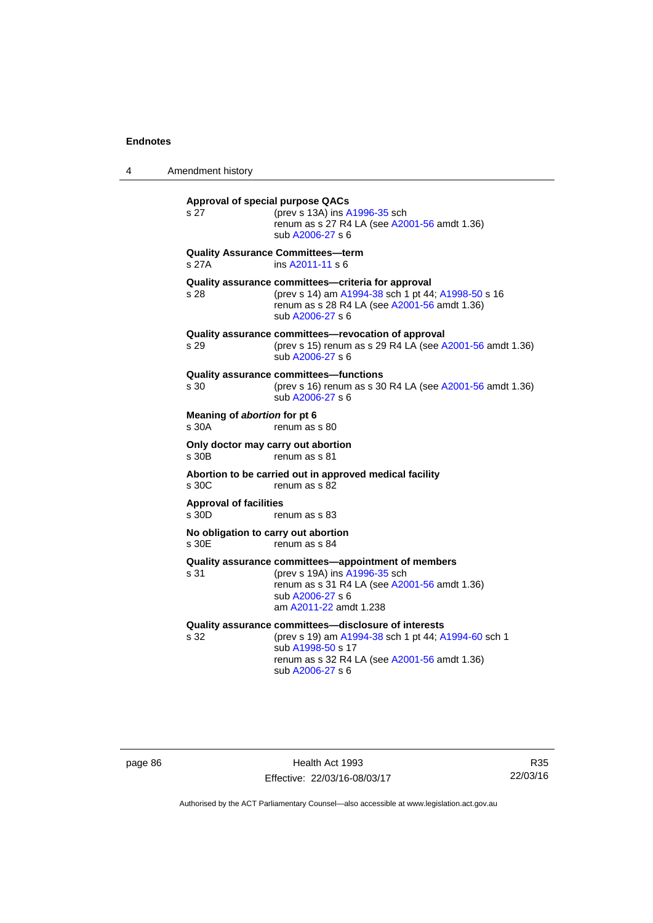| 4 | Amendment history |  |
|---|-------------------|--|
|---|-------------------|--|

| s 27                                         | <b>Approval of special purpose QACs</b><br>(prev s 13A) ins A1996-35 sch<br>renum as s 27 R4 LA (see A2001-56 amdt 1.36)<br>sub A2006-27 s 6                                                         |
|----------------------------------------------|------------------------------------------------------------------------------------------------------------------------------------------------------------------------------------------------------|
| s 27A                                        | <b>Quality Assurance Committees-term</b><br>ins A2011-11 s 6                                                                                                                                         |
| s 28                                         | Quality assurance committees-criteria for approval<br>(prev s 14) am A1994-38 sch 1 pt 44; A1998-50 s 16<br>renum as s 28 R4 LA (see A2001-56 amdt 1.36)<br>sub A2006-27 s 6                         |
| s 29                                         | Quality assurance committees-revocation of approval<br>(prev s 15) renum as s 29 R4 LA (see A2001-56 amdt 1.36)<br>sub A2006-27 s 6                                                                  |
| s 30                                         | Quality assurance committees-functions<br>(prev s 16) renum as s 30 R4 LA (see A2001-56 amdt 1.36)<br>sub A2006-27 s 6                                                                               |
| Meaning of abortion for pt 6<br>s 30A        | renum as s 80                                                                                                                                                                                        |
| s 30B                                        | Only doctor may carry out abortion<br>renum as s 81                                                                                                                                                  |
| s 30C                                        | Abortion to be carried out in approved medical facility<br>renum as s 82                                                                                                                             |
| <b>Approval of facilities</b><br>s 30D       | renum as s 83                                                                                                                                                                                        |
| No obligation to carry out abortion<br>s 30E | renum as s 84                                                                                                                                                                                        |
| s 31                                         | Quality assurance committees—appointment of members<br>(prev s 19A) ins A1996-35 sch<br>renum as s 31 R4 LA (see A2001-56 amdt 1.36)<br>sub A2006-27 s 6<br>am A2011-22 amdt 1.238                   |
| s 32                                         | Quality assurance committees-disclosure of interests<br>(prev s 19) am A1994-38 sch 1 pt 44; A1994-60 sch 1<br>sub A1998-50 s 17<br>renum as s 32 R4 LA (see A2001-56 amdt 1.36)<br>sub A2006-27 s 6 |

page 86 **Health Act 1993** Effective: 22/03/16-08/03/17

R35 22/03/16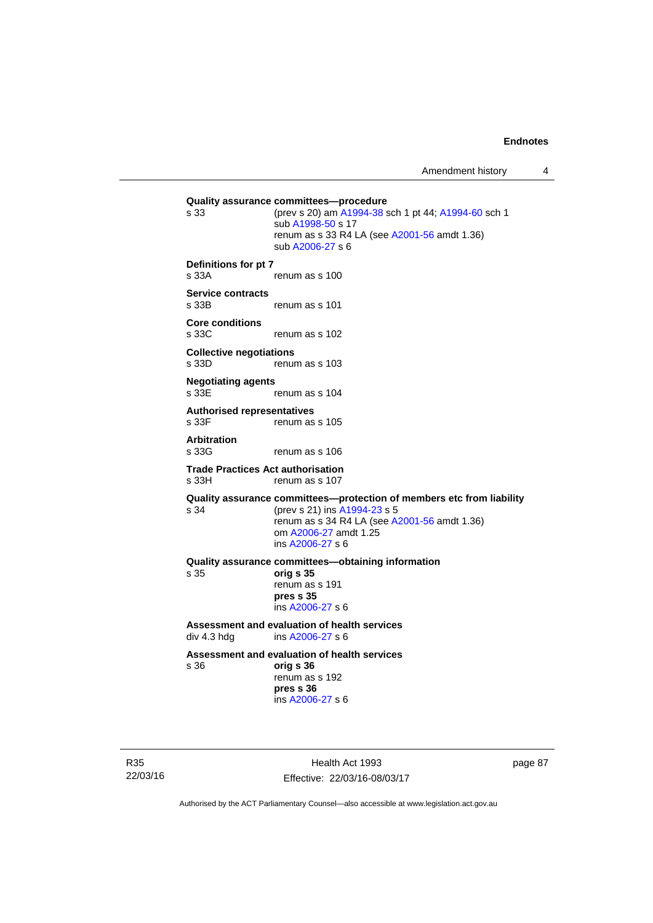**Quality assurance committees—procedure** s 33 (prev s 20) am [A1994-38](http://www.legislation.act.gov.au/a/1994-38) sch 1 pt 44; [A1994-60](http://www.legislation.act.gov.au/a/1994-60) sch 1 sub [A1998-50](http://www.legislation.act.gov.au/a/1998-50) s 17 renum as s 33 R4 LA (see [A2001-56](http://www.legislation.act.gov.au/a/2001-56) amdt 1.36) sub [A2006-27](http://www.legislation.act.gov.au/a/2006-27) s 6 **Definitions for pt 7**  s 33A renum as s 100 **Service contracts**  renum as s 101 **Core conditions**  s 33C renum as s 102 **Collective negotiations**  s 33D renum as s 103 **Negotiating agents**  s 33E renum as s 104 **Authorised representatives**  s 33F renum as s 105 **Arbitration**  s 33G renum as s 106 **Trade Practices Act authorisation**  s 33H renum as s 107 **Quality assurance committees—protection of members etc from liability** s 34 (prev s 21) ins [A1994-23](http://www.legislation.act.gov.au/a/1994-23) s 5 renum as s 34 R4 LA (see [A2001-56](http://www.legislation.act.gov.au/a/2001-56) amdt 1.36) om [A2006-27](http://www.legislation.act.gov.au/a/2006-27) amdt 1.25 ins [A2006-27](http://www.legislation.act.gov.au/a/2006-27) s 6 **Quality assurance committees—obtaining information** s 35 **orig s 35**  renum as s 191 **pres s 35**  ins [A2006-27](http://www.legislation.act.gov.au/a/2006-27) s 6 **Assessment and evaluation of health services**  div 4.3 hdg ins [A2006-27](http://www.legislation.act.gov.au/a/2006-27) s 6 **Assessment and evaluation of health services**  s 36 **orig s 36**  renum as s 192 **pres s 36**  ins [A2006-27](http://www.legislation.act.gov.au/a/2006-27) s 6

R35 22/03/16

Health Act 1993 Effective: 22/03/16-08/03/17 page 87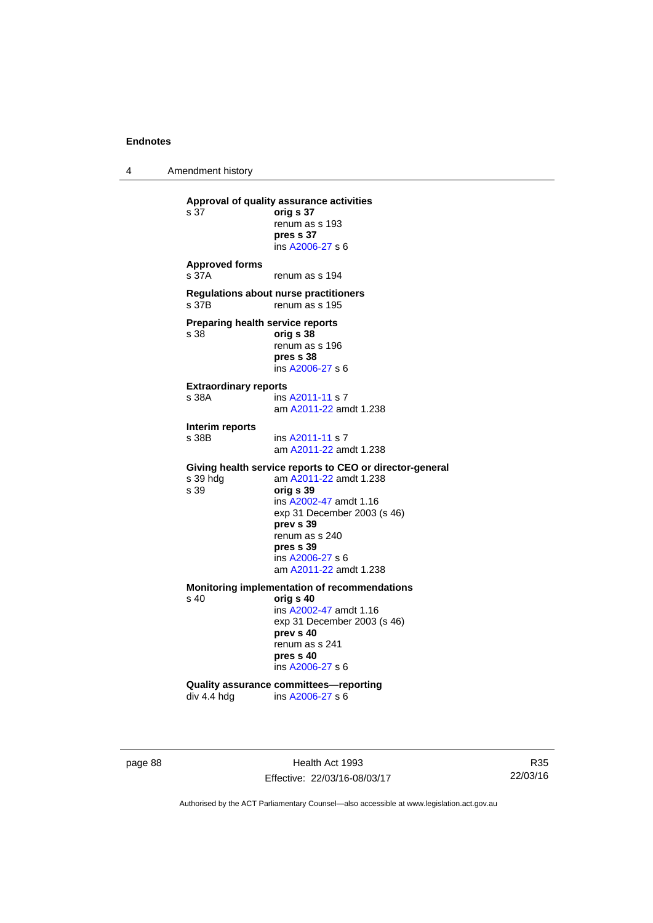4 Amendment history

```
Approval of quality assurance activities 
s 37 orig s 37 
                    renum as s 193 
                  pres s 37 
                    ins A2006-27 s 6
Approved forms 
s 37A renum as s 194
Regulations about nurse practitioners 
                  renum as s 195
Preparing health service reports 
s 38 orig s 38
                   renum as s 196 
                  pres s 38 
                    ins A2006-27 s 6
Extraordinary reports 
A2011-11 s 7
                    am A2011-22 amdt 1.238
Interim reports 
                   A2011-11 s 7
                   am A2011-22 amdt 1.238
Giving health service reports to CEO or director-general<br>s 39 hdg am A2011-22 amdt 1.238
 A2011-22 amdt 1.238<br>s 39 orig s 39
                   s 39 orig s 39 
                   ins A2002-47 amdt 1.16 
                   exp 31 December 2003 (s 46) 
                   prev s 39 
                   renum as s 240 
                   pres s 39 
                    ins A2006-27 s 6
                    am A2011-22 amdt 1.238
Monitoring implementation of recommendations 
s 40 orig s 40 
                   ins A2002-47 amdt 1.16 
                   exp 31 December 2003 (s 46) 
                   prev s 40 
                  renum as s 241 
                   pres s 40 
                    ins A2006-27 s 6
Quality assurance committees—reporting<br>div 4.4 hdg ins A2006-27 s 6
                  A2006-27 s 6
```
page 88 Health Act 1993 Effective: 22/03/16-08/03/17

R35 22/03/16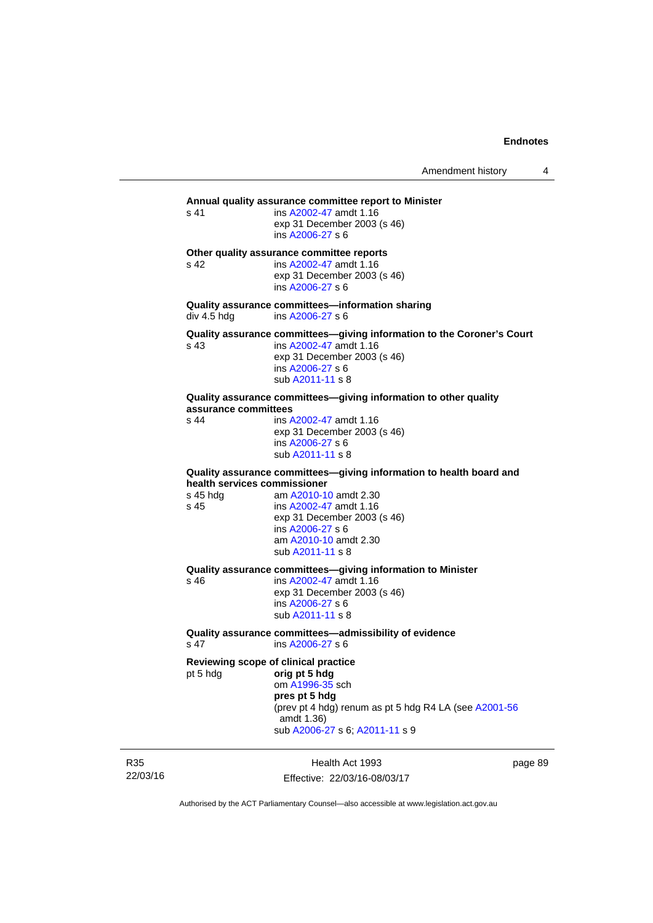```
Annual quality assurance committee report to Minister 
s 41 ins A2002-47 amdt 1.16 
                 exp 31 December 2003 (s 46) 
                  ins A2006-27 s 6
Other quality assurance committee reports 
s 42 ins A2002-47 amdt 1.16 
                 exp 31 December 2003 (s 46) 
                  ins A2006-27 s 6
Quality assurance committees—information sharing 
A2006-27 s 6
Quality assurance committees—giving information to the Coroner's Court 
s 43 ins A2002-47 amdt 1.16 
                 exp 31 December 2003 (s 46) 
                  ins A2006-27 s 6
                  sub A2011-11 s 8 
Quality assurance committees—giving information to other quality 
assurance committees 
s 44 A2002-47 amdt 1.16
                 exp 31 December 2003 (s 46) 
                  ins A2006-27 s 6
                  sub A2011-11 s 8 
Quality assurance committees—giving information to health board and 
health services commissioner 
s 45 hdg am A2010-10 amdt 2.30
s 45 ins A2002-47 amdt 1.16 
                 exp 31 December 2003 (s 46) 
                  ins A2006-27 s 6
                  am A2010-10 amdt 2.30
                  sub A2011-11 s 8 
Quality assurance committees—giving information to Minister 
s 46 ins A2002-47 amdt 1.16 
                 exp 31 December 2003 (s 46) 
                  ins A2006-27 s 6
                  sub A2011-11 s 8 
Quality assurance committees—admissibility of evidence 
                 A2006-27 s 6
Reviewing scope of clinical practice 
pt 5 hdg orig pt 5 hdg
                  om A1996-35 sch 
                 pres pt 5 hdg 
                 (prev pt 4 hdg) renum as pt 5 hdg R4 LA (see A2001-56
                  amdt 1.36)
                  sub A2006-27 s 6; A2011-11 s 9
```
R35 22/03/16

Health Act 1993 Effective: 22/03/16-08/03/17 page 89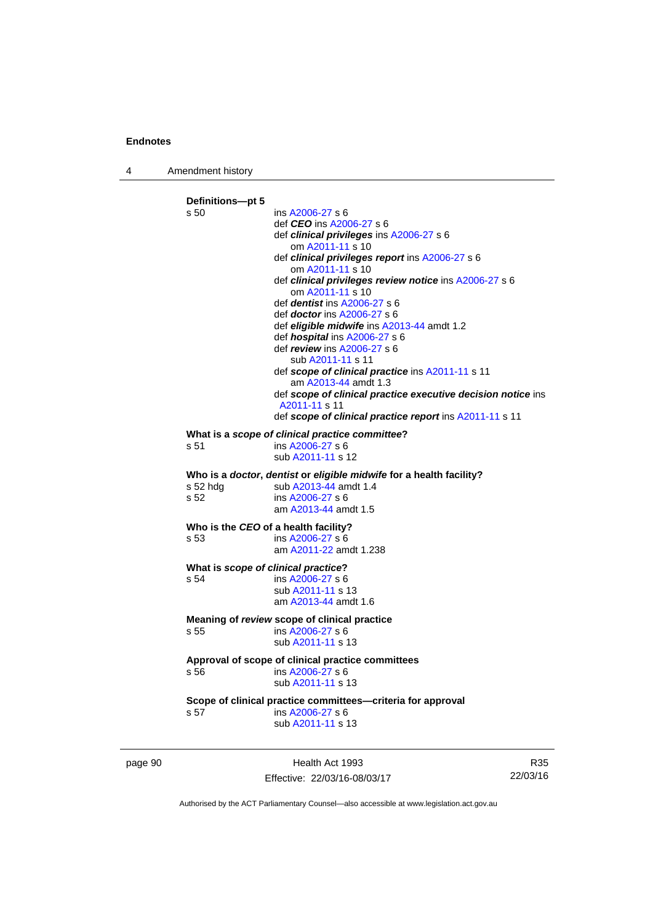4 Amendment history



Effective: 22/03/16-08/03/17

22/03/16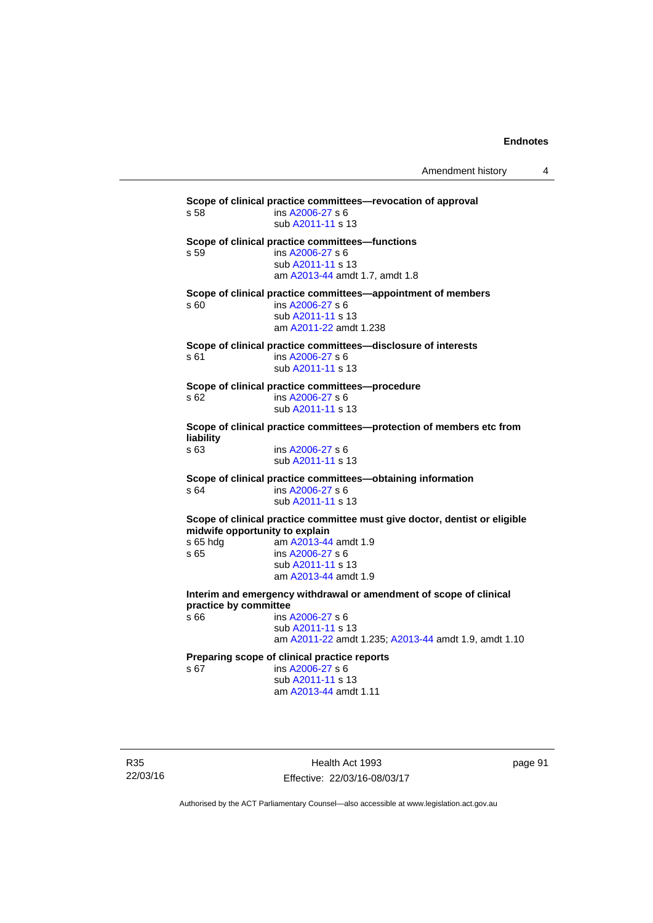Amendment history 4

**Scope of clinical practice committees—revocation of approval**  s 58 ins [A2006-27](http://www.legislation.act.gov.au/a/2006-27) s 6 sub [A2011-11](http://www.legislation.act.gov.au/a/2011-11) s 13 **Scope of clinical practice committees—functions**  s 59 ins [A2006-27](http://www.legislation.act.gov.au/a/2006-27) s 6 sub [A2011-11](http://www.legislation.act.gov.au/a/2011-11) s 13 am [A2013-44](http://www.legislation.act.gov.au/a/2013-44) amdt 1.7, amdt 1.8 **Scope of clinical practice committees—appointment of members**  $\sin 60$  ins A2006-27 s 6 ins [A2006-27](http://www.legislation.act.gov.au/a/2006-27) s 6 sub [A2011-11](http://www.legislation.act.gov.au/a/2011-11) s 13 am [A2011-22](http://www.legislation.act.gov.au/a/2011-22) amdt 1.238 **Scope of clinical practice committees—disclosure of interests**  s 61 ins [A2006-27](http://www.legislation.act.gov.au/a/2006-27) s 6 sub [A2011-11](http://www.legislation.act.gov.au/a/2011-11) s 13 **Scope of clinical practice committees—procedure**  s 62 ins [A2006-27](http://www.legislation.act.gov.au/a/2006-27) s 6 sub [A2011-11](http://www.legislation.act.gov.au/a/2011-11) s 13 **Scope of clinical practice committees—protection of members etc from liability**  ins [A2006-27](http://www.legislation.act.gov.au/a/2006-27) s 6 sub [A2011-11](http://www.legislation.act.gov.au/a/2011-11) s 13 **Scope of clinical practice committees—obtaining information**  s 64 ins [A2006-27](http://www.legislation.act.gov.au/a/2006-27) s 6 sub [A2011-11](http://www.legislation.act.gov.au/a/2011-11) s 13 **Scope of clinical practice committee must give doctor, dentist or eligible midwife opportunity to explain**  s 65 hdg am [A2013-44](http://www.legislation.act.gov.au/a/2013-44) amdt 1.9 s 65 ins [A2006-27](http://www.legislation.act.gov.au/a/2006-27) s 6 sub [A2011-11](http://www.legislation.act.gov.au/a/2011-11) s 13 am [A2013-44](http://www.legislation.act.gov.au/a/2013-44) amdt 1.9 **Interim and emergency withdrawal or amendment of scope of clinical practice by committee**  s 66 ins [A2006-27](http://www.legislation.act.gov.au/a/2006-27) s 6 sub [A2011-11](http://www.legislation.act.gov.au/a/2011-11) s 13 am [A2011-22](http://www.legislation.act.gov.au/a/2011-22) amdt 1.235; [A2013-44](http://www.legislation.act.gov.au/a/2013-44) amdt 1.9, amdt 1.10 **Preparing scope of clinical practice reports**  ins [A2006-27](http://www.legislation.act.gov.au/a/2006-27) s 6 sub [A2011-11](http://www.legislation.act.gov.au/a/2011-11) s 13 am [A2013-44](http://www.legislation.act.gov.au/a/2013-44) amdt 1.11

R35 22/03/16

Health Act 1993 Effective: 22/03/16-08/03/17 page 91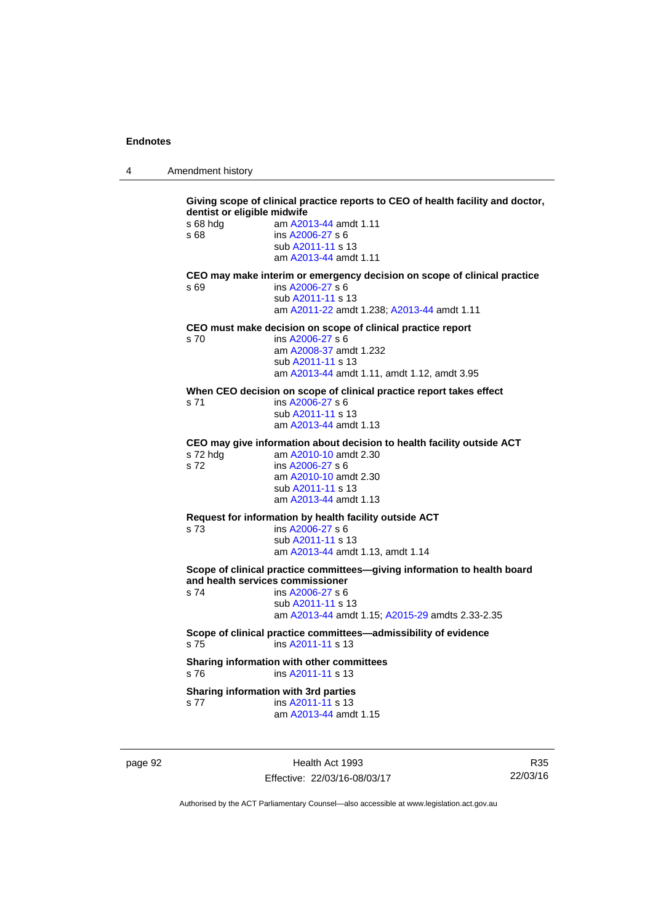4 Amendment history

| s 68 hda<br>s 68<br>s 69 | am A2013-44 amdt 1.11<br>ins A2006-27 s 6<br>sub A2011-11 s 13<br>am A2013-44 amdt 1.11<br>CEO may make interim or emergency decision on scope of clinical practice |
|--------------------------|---------------------------------------------------------------------------------------------------------------------------------------------------------------------|
|                          |                                                                                                                                                                     |
|                          |                                                                                                                                                                     |
|                          |                                                                                                                                                                     |
|                          |                                                                                                                                                                     |
|                          | ins A2006-27 s 6<br>sub A2011-11 s 13                                                                                                                               |
|                          | am A2011-22 amdt 1.238; A2013-44 amdt 1.11                                                                                                                          |
|                          | CEO must make decision on scope of clinical practice report                                                                                                         |
| s 70                     | ins A2006-27 s 6                                                                                                                                                    |
|                          | am A2008-37 amdt 1.232                                                                                                                                              |
|                          | sub A2011-11 s 13<br>am A2013-44 amdt 1.11, amdt 1.12, amdt 3.95                                                                                                    |
|                          |                                                                                                                                                                     |
| s 71                     | When CEO decision on scope of clinical practice report takes effect<br>ins A2006-27 s 6                                                                             |
|                          | sub A2011-11 s 13                                                                                                                                                   |
|                          | am A2013-44 amdt 1.13                                                                                                                                               |
|                          | CEO may give information about decision to health facility outside ACT                                                                                              |
| s 72 hdg                 | am A2010-10 amdt 2.30                                                                                                                                               |
| s 72                     | ins A2006-27 s 6                                                                                                                                                    |
|                          | am A2010-10 amdt 2.30<br>sub A2011-11 s 13                                                                                                                          |
|                          | am A2013-44 amdt 1.13                                                                                                                                               |
|                          | Request for information by health facility outside ACT                                                                                                              |
| s 73                     | ins A2006-27 s 6                                                                                                                                                    |
|                          | sub A2011-11 s 13                                                                                                                                                   |
|                          | am A2013-44 amdt 1.13, amdt 1.14                                                                                                                                    |
|                          | Scope of clinical practice committees-giving information to health board<br>and health services commissioner                                                        |
| s 74                     | ins A2006-27 s 6                                                                                                                                                    |
|                          | sub A2011-11 s 13                                                                                                                                                   |
|                          | am A2013-44 amdt 1.15; A2015-29 amdts 2.33-2.35                                                                                                                     |
|                          | Scope of clinical practice committees-admissibility of evidence                                                                                                     |
| s 75                     | ins A2011-11 s 13                                                                                                                                                   |
|                          | Sharing information with other committees                                                                                                                           |
| s 76                     | ins A2011-11 s 13                                                                                                                                                   |
|                          | Sharing information with 3rd parties                                                                                                                                |
| s 77                     | ins A2011-11 s 13<br>am A2013-44 amdt 1.15                                                                                                                          |

page 92 **Health Act 1993** Effective: 22/03/16-08/03/17

R35 22/03/16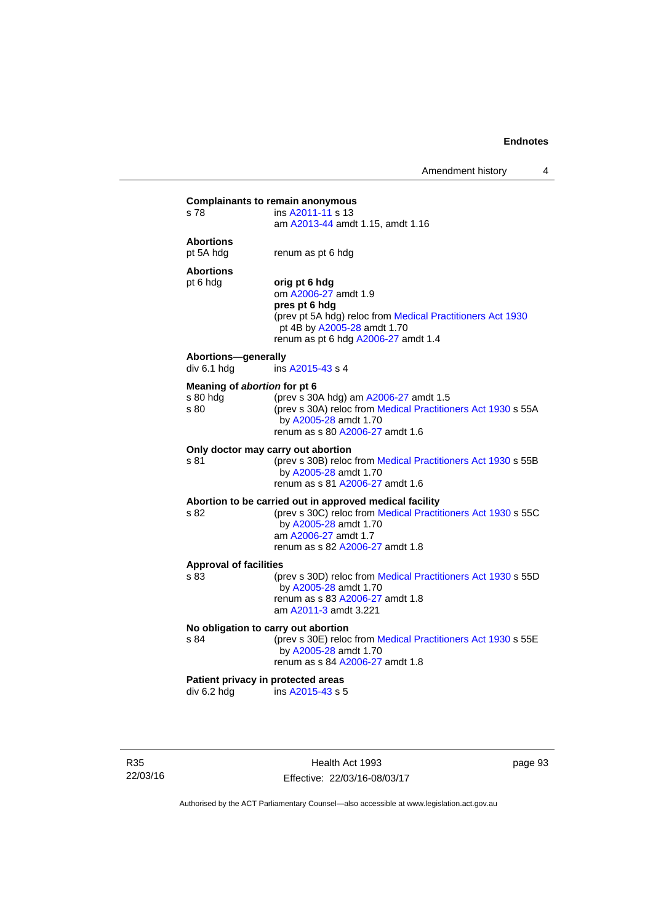| s 78                                             | ins A2011-11 s 13<br>am A2013-44 amdt 1.15, amdt 1.16                                                                                                                                                       |
|--------------------------------------------------|-------------------------------------------------------------------------------------------------------------------------------------------------------------------------------------------------------------|
| <b>Abortions</b><br>pt 5A hdg                    | renum as pt 6 hdg                                                                                                                                                                                           |
| <b>Abortions</b><br>pt 6 hdg                     | orig pt 6 hdg<br>om A2006-27 amdt 1.9<br>pres pt 6 hdg<br>(prev pt 5A hdg) reloc from Medical Practitioners Act 1930<br>pt 4B by A2005-28 amdt 1.70<br>renum as pt 6 hdg A2006-27 amdt 1.4                  |
| Abortions-generally<br>div 6.1 hdg               | ins A2015-43 s 4                                                                                                                                                                                            |
| Meaning of abortion for pt 6<br>s 80 hdg<br>s 80 | (prev s 30A hdg) am A2006-27 amdt 1.5<br>(prev s 30A) reloc from Medical Practitioners Act 1930 s 55A<br>by A2005-28 amdt 1.70<br>renum as s 80 A2006-27 amdt 1.6                                           |
| s 81                                             | Only doctor may carry out abortion<br>(prev s 30B) reloc from Medical Practitioners Act 1930 s 55B<br>by A2005-28 amdt 1.70<br>renum as s 81 A2006-27 amdt 1.6                                              |
| s 82                                             | Abortion to be carried out in approved medical facility<br>(prev s 30C) reloc from Medical Practitioners Act 1930 s 55C<br>by A2005-28 amdt 1.70<br>am A2006-27 amdt 1.7<br>renum as s 82 A2006-27 amdt 1.8 |
| <b>Approval of facilities</b><br>s 83            | (prev s 30D) reloc from Medical Practitioners Act 1930 s 55D<br>by A2005-28 amdt 1.70<br>renum as s 83 A2006-27 amdt 1.8<br>am A2011-3 amdt 3.221                                                           |
| s 84                                             | No obligation to carry out abortion<br>(prev s 30E) reloc from Medical Practitioners Act 1930 s 55E<br>by A2005-28 amdt 1.70<br>renum as s 84 A2006-27 amdt 1.8                                             |
| div 6.2 hdg                                      | Patient privacy in protected areas<br>ins A2015-43 s 5                                                                                                                                                      |

R35 22/03/16

Health Act 1993 Effective: 22/03/16-08/03/17 page 93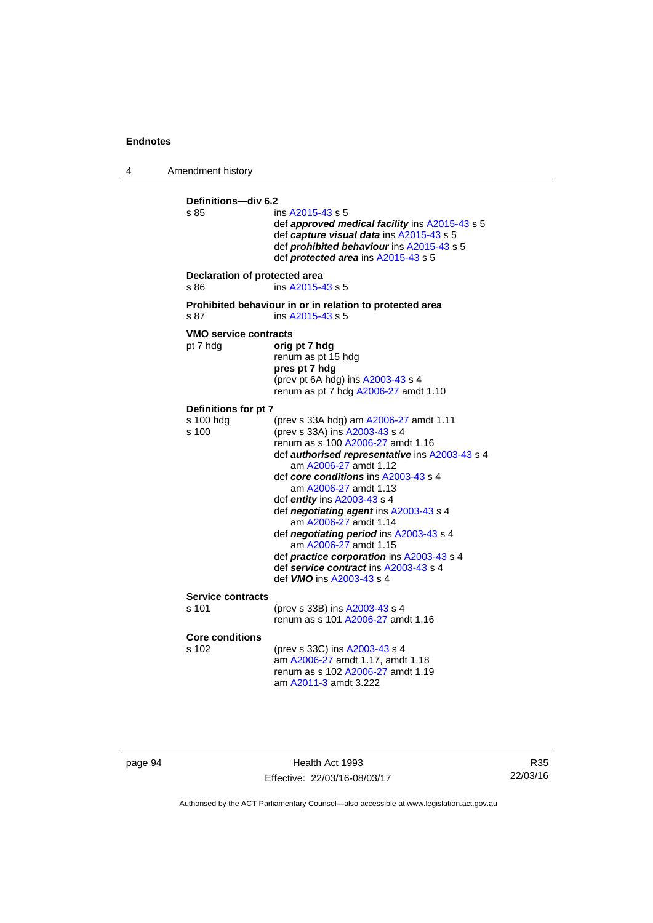4 Amendment history **Definitions—div 6.2**  ins [A2015-43](http://www.legislation.act.gov.au/a/2015-43/default.asp) s 5 def *approved medical facility* ins [A2015-43](http://www.legislation.act.gov.au/a/2015-43/default.asp) s 5 def *capture visual data* ins [A2015-43](http://www.legislation.act.gov.au/a/2015-43/default.asp) s 5 def *prohibited behaviour* ins [A2015-43](http://www.legislation.act.gov.au/a/2015-43/default.asp) s 5 def *protected area* ins [A2015-43](http://www.legislation.act.gov.au/a/2015-43/default.asp) s 5 **Declaration of protected area**  s 86 ins [A2015-43](http://www.legislation.act.gov.au/a/2015-43/default.asp) s 5 **Prohibited behaviour in or in relation to protected area**  s 87 ins [A2015-43](http://www.legislation.act.gov.au/a/2015-43/default.asp) s 5 **VMO service contracts**  pt 7 hdg **orig pt 7 hdg**  renum as pt 15 hdg **pres pt 7 hdg**  (prev pt 6A hdg) ins [A2003-43](http://www.legislation.act.gov.au/a/2003-43) s 4 renum as pt 7 hdg [A2006-27](http://www.legislation.act.gov.au/a/2006-27) amdt 1.10 **Definitions for pt 7**  s 100 hdg (prev s 33A hdg) am [A2006-27](http://www.legislation.act.gov.au/a/2006-27) amdt 1.11<br>s 100 (prev s 33A) ins A2003-43 s 4 (prev s 33A) ins [A2003-43](http://www.legislation.act.gov.au/a/2003-43) s 4 renum as s 100 [A2006-27](http://www.legislation.act.gov.au/a/2006-27) amdt 1.16 def *authorised representative* ins [A2003-43](http://www.legislation.act.gov.au/a/2003-43) s 4 am [A2006-27](http://www.legislation.act.gov.au/a/2006-27) amdt 1.12 def *core conditions* ins [A2003-43](http://www.legislation.act.gov.au/a/2003-43) s 4 am [A2006-27](http://www.legislation.act.gov.au/a/2006-27) amdt 1.13 def *entity* ins [A2003-43](http://www.legislation.act.gov.au/a/2003-43) s 4 def *negotiating agent* ins [A2003-43](http://www.legislation.act.gov.au/a/2003-43) s 4 am [A2006-27](http://www.legislation.act.gov.au/a/2006-27) amdt 1.14 def *negotiating period* ins [A2003-43](http://www.legislation.act.gov.au/a/2003-43) s 4 am [A2006-27](http://www.legislation.act.gov.au/a/2006-27) amdt 1.15 def *practice corporation* ins [A2003-43](http://www.legislation.act.gov.au/a/2003-43) s 4 def *service contract* ins [A2003-43](http://www.legislation.act.gov.au/a/2003-43) s 4 def *VMO* ins [A2003-43](http://www.legislation.act.gov.au/a/2003-43) s 4 **Service contracts**  s 101 (prev s 33B) ins [A2003-43](http://www.legislation.act.gov.au/a/2003-43) s 4 renum as s 101 [A2006-27](http://www.legislation.act.gov.au/a/2006-27) amdt 1.16 **Core conditions**  s 102 (prev s 33C) ins [A2003-43](http://www.legislation.act.gov.au/a/2003-43) s 4 am [A2006-27](http://www.legislation.act.gov.au/a/2006-27) amdt 1.17, amdt 1.18 renum as s 102 [A2006-27](http://www.legislation.act.gov.au/a/2006-27) amdt 1.19 am [A2011-3](http://www.legislation.act.gov.au/a/2011-3) amdt 3.222

page 94 Health Act 1993 Effective: 22/03/16-08/03/17

R35 22/03/16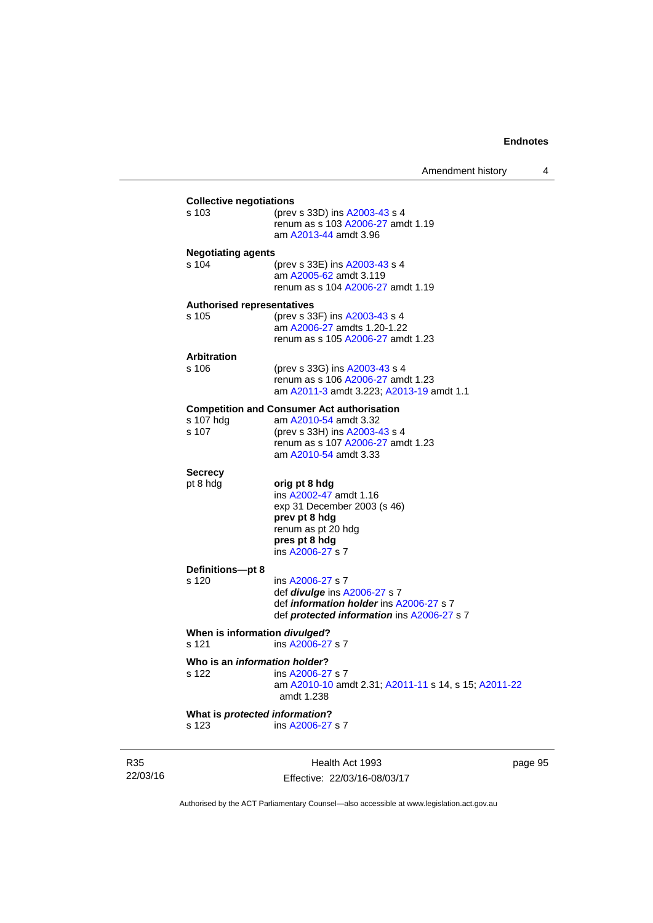| s 123                                        | What is protected information?<br>ins A2006-27 s 7                                                                                                             |
|----------------------------------------------|----------------------------------------------------------------------------------------------------------------------------------------------------------------|
| s 122                                        | Who is an <i>information holder</i> ?<br>ins A2006-27 s 7<br>am A2010-10 amdt 2.31; A2011-11 s 14, s 15; A2011-22<br>amdt 1.238                                |
| s 121                                        | When is information divulged?<br>ins A2006-27 s 7                                                                                                              |
| s 120                                        | ins A2006-27 s 7<br>def <i>divulge</i> ins A2006-27 s 7<br>def <i>information holder</i> ins A2006-27 s 7<br>def <i>protected information</i> ins A2006-27 s 7 |
| Definitions-pt 8                             | ins A2006-27 s 7                                                                                                                                               |
| <b>Secrecy</b><br>pt 8 hdg                   | orig pt 8 hdg<br>ins A2002-47 amdt 1.16<br>exp 31 December 2003 (s 46)<br>prev pt 8 hdg<br>renum as pt 20 hdg<br>pres pt 8 hdg                                 |
|                                              | renum as s 107 A2006-27 amdt 1.23<br>am A2010-54 amdt 3.33                                                                                                     |
| s 107 hdg<br>s 107                           | <b>Competition and Consumer Act authorisation</b><br>am A2010-54 amdt 3.32<br>(prev s 33H) ins A2003-43 s 4                                                    |
| s 106                                        | (prev s 33G) ins A2003-43 s 4<br>renum as s 106 A2006-27 amdt 1.23<br>am A2011-3 amdt 3.223; A2013-19 amdt 1.1                                                 |
| <b>Arbitration</b>                           |                                                                                                                                                                |
| <b>Authorised representatives</b><br>$s$ 105 | (prev s 33F) ins A2003-43 s 4<br>am A2006-27 amdts 1.20-1.22<br>renum as s 105 A2006-27 amdt 1.23                                                              |
|                                              | am A2005-62 amdt 3.119<br>renum as s 104 A2006-27 amdt 1.19                                                                                                    |
| <b>Negotiating agents</b><br>s 104           | (prev s 33E) ins A2003-43 s 4                                                                                                                                  |
| s 103                                        | (prev s 33D) ins A2003-43 s 4<br>renum as s 103 A2006-27 amdt 1.19<br>am A2013-44 amdt 3.96                                                                    |

R35 22/03/16

Effective: 22/03/16-08/03/17

page 95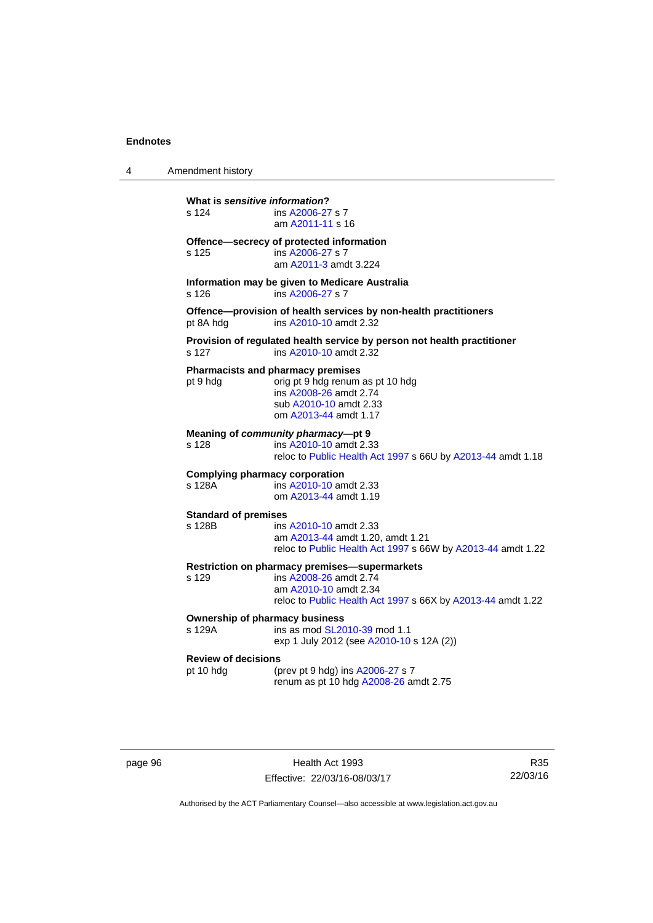| 4 | Amendment history |
|---|-------------------|
|---|-------------------|

| What is sensitive information?<br>s 124<br>ins A2006-27 s 7<br>am A2011-11 s 16 |                                                                                                                                                                 |  |  |
|---------------------------------------------------------------------------------|-----------------------------------------------------------------------------------------------------------------------------------------------------------------|--|--|
| s 125                                                                           | Offence-secrecy of protected information<br>ins A2006-27 s 7<br>am A2011-3 amdt 3.224                                                                           |  |  |
| s 126                                                                           | Information may be given to Medicare Australia<br>ins A2006-27 s 7                                                                                              |  |  |
| pt 8A hdg                                                                       | Offence-provision of health services by non-health practitioners<br>ins A2010-10 amdt 2.32                                                                      |  |  |
| s 127                                                                           | Provision of regulated health service by person not health practitioner<br>ins A2010-10 amdt 2.32                                                               |  |  |
| pt 9 hdg                                                                        | <b>Pharmacists and pharmacy premises</b><br>orig pt 9 hdg renum as pt 10 hdg<br>ins A2008-26 amdt 2.74<br>sub A2010-10 amdt 2.33<br>om A2013-44 amdt 1.17       |  |  |
| s 128                                                                           | Meaning of community pharmacy-pt 9<br>ins A2010-10 amdt 2.33<br>reloc to Public Health Act 1997 s 66U by A2013-44 amdt 1.18                                     |  |  |
| <b>Complying pharmacy corporation</b><br>s 128A                                 | ins A2010-10 amdt 2.33<br>om A2013-44 amdt 1.19                                                                                                                 |  |  |
| <b>Standard of premises</b><br>s 128B                                           | ins A2010-10 amdt 2.33<br>am A2013-44 amdt 1.20, amdt 1.21<br>reloc to Public Health Act 1997 s 66W by A2013-44 amdt 1.22                                       |  |  |
| s 129                                                                           | Restriction on pharmacy premises-supermarkets<br>ins A2008-26 amdt 2.74<br>am A2010-10 amdt 2.34<br>reloc to Public Health Act 1997 s 66X by A2013-44 amdt 1.22 |  |  |
| <b>Ownership of pharmacy business</b><br>s 129A                                 | ins as mod SL2010-39 mod 1.1<br>exp 1 July 2012 (see A2010-10 s 12A (2))                                                                                        |  |  |
| <b>Review of decisions</b><br>pt 10 hdg                                         | (prev pt 9 hdg) ins A2006-27 s 7<br>renum as pt 10 hdg A2008-26 amdt 2.75                                                                                       |  |  |

| page 96 |  |  |
|---------|--|--|
|---------|--|--|

page 96 Health Act 1993 Effective: 22/03/16-08/03/17

R35 22/03/16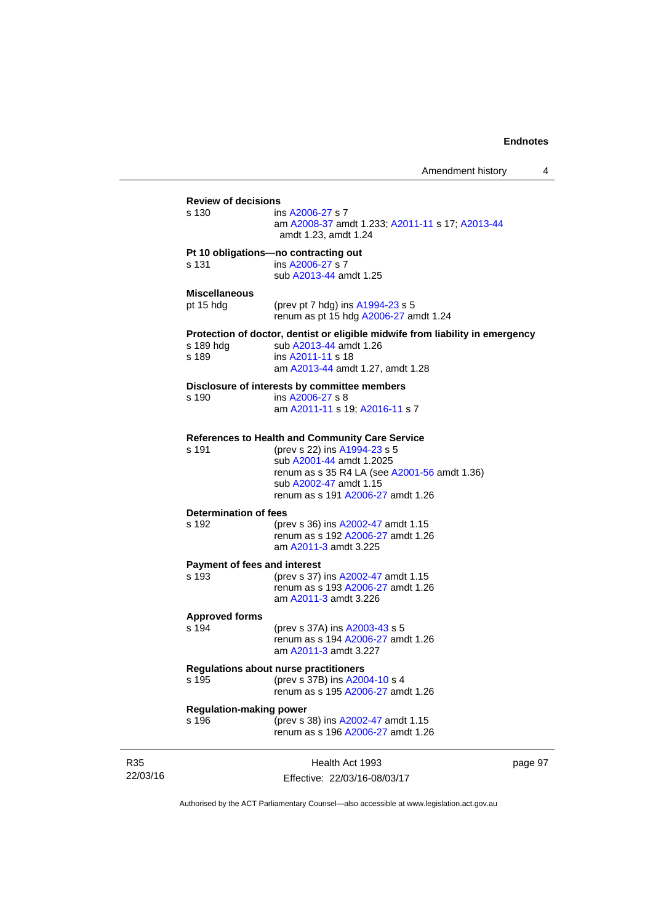| <b>Review of decisions</b>   |                                                                               |         |
|------------------------------|-------------------------------------------------------------------------------|---------|
|                              |                                                                               |         |
| s 130                        | ins A2006-27 s 7                                                              |         |
|                              | am A2008-37 amdt 1.233; A2011-11 s 17; A2013-44                               |         |
|                              | amdt 1.23, amdt 1.24                                                          |         |
|                              | Pt 10 obligations-no contracting out                                          |         |
| s 131                        | ins A2006-27 s 7                                                              |         |
|                              | sub A2013-44 amdt 1.25                                                        |         |
|                              |                                                                               |         |
| <b>Miscellaneous</b>         |                                                                               |         |
| pt 15 hdg                    | (prev pt 7 hdg) ins A1994-23 s 5                                              |         |
|                              | renum as pt 15 hdg A2006-27 amdt 1.24                                         |         |
|                              | Protection of doctor, dentist or eligible midwife from liability in emergency |         |
| s 189 hdg                    | sub A2013-44 amdt 1.26                                                        |         |
| s 189                        | ins A2011-11 s 18                                                             |         |
|                              |                                                                               |         |
|                              | am A2013-44 amdt 1.27, amdt 1.28                                              |         |
|                              | Disclosure of interests by committee members                                  |         |
| s 190                        | ins A2006-27 s 8                                                              |         |
|                              | am A2011-11 s 19; A2016-11 s 7                                                |         |
|                              |                                                                               |         |
|                              | References to Health and Community Care Service                               |         |
| s 191                        | (prev s 22) ins A1994-23 s 5                                                  |         |
|                              | sub A2001-44 amdt 1.2025                                                      |         |
|                              | renum as s 35 R4 LA (see A2001-56 amdt 1.36)                                  |         |
|                              | sub A2002-47 amdt 1.15                                                        |         |
|                              | renum as s 191 A2006-27 amdt 1.26                                             |         |
|                              |                                                                               |         |
| <b>Determination of fees</b> |                                                                               |         |
| s 192                        | (prev s 36) ins A2002-47 amdt 1.15                                            |         |
|                              | renum as s 192 A2006-27 amdt 1.26                                             |         |
|                              | am A2011-3 amdt 3.225                                                         |         |
|                              | <b>Payment of fees and interest</b>                                           |         |
| s 193                        | (prev s 37) ins A2002-47 amdt 1.15                                            |         |
|                              | renum as s 193 A2006-27 amdt 1.26                                             |         |
|                              |                                                                               |         |
|                              | am A2011-3 amdt 3.226                                                         |         |
| <b>Approved forms</b>        |                                                                               |         |
| s 194                        | (prev s 37A) ins A2003-43 s 5                                                 |         |
|                              | renum as s 194 A2006-27 amdt 1.26                                             |         |
|                              | am A2011-3 amdt 3.227                                                         |         |
|                              |                                                                               |         |
|                              | Regulations about nurse practitioners                                         |         |
| s 195                        | (prev s 37B) ins A2004-10 s 4                                                 |         |
|                              | renum as s 195 A2006-27 amdt 1.26                                             |         |
|                              | <b>Regulation-making power</b>                                                |         |
| s 196                        | (prev s 38) ins A2002-47 amdt 1.15                                            |         |
|                              | renum as s 196 A2006-27 amdt 1.26                                             |         |
|                              |                                                                               |         |
|                              |                                                                               |         |
|                              | Health Act 1993                                                               | page 97 |
|                              |                                                                               |         |

22/03/16

R35

Effective: 22/03/16-08/03/17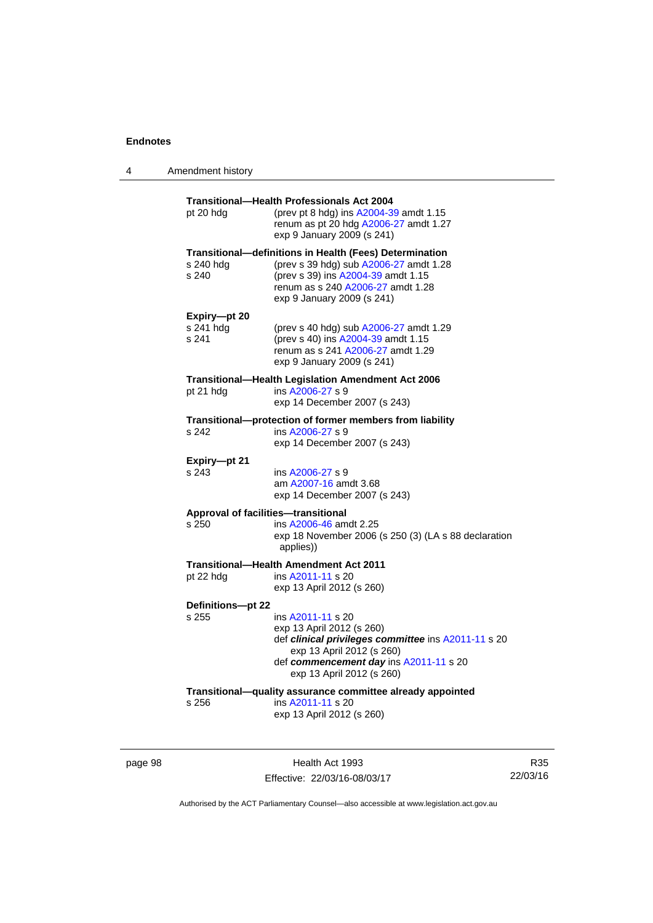| 4 | Amendment history                  |                                                                                                                                                                                                                   |
|---|------------------------------------|-------------------------------------------------------------------------------------------------------------------------------------------------------------------------------------------------------------------|
|   | pt 20 hdg                          | <b>Transitional-Health Professionals Act 2004</b><br>(prev pt 8 hdg) ins A2004-39 amdt 1.15<br>renum as pt 20 hdg A2006-27 amdt 1.27<br>exp 9 January 2009 (s 241)                                                |
|   | s 240 hdg<br>s 240                 | <b>Transitional—definitions in Health (Fees) Determination</b><br>(prev s 39 hdg) sub A2006-27 amdt 1.28<br>(prev s 39) ins A2004-39 amdt 1.15<br>renum as s 240 A2006-27 amdt 1.28<br>exp 9 January 2009 (s 241) |
|   | Expiry-pt 20<br>s 241 hdg<br>s 241 | (prev s 40 hdg) sub A2006-27 amdt 1.29<br>(prev s 40) ins A2004-39 amdt 1.15<br>renum as s 241 A2006-27 amdt 1.29<br>exp 9 January 2009 (s 241)                                                                   |
|   | pt 21 hdg                          | <b>Transitional—Health Legislation Amendment Act 2006</b><br>ins A2006-27 s 9<br>exp 14 December 2007 (s 243)                                                                                                     |
|   | s 242                              | Transitional-protection of former members from liability<br>ins A2006-27 s 9<br>exp 14 December 2007 (s 243)                                                                                                      |
|   | Expiry-pt 21<br>s 243              | ins A2006-27 s 9<br>am A2007-16 amdt 3.68<br>exp 14 December 2007 (s 243)                                                                                                                                         |
|   | s 250                              | Approval of facilities-transitional<br>ins A2006-46 amdt 2.25<br>exp 18 November 2006 (s 250 (3) (LA s 88 declaration<br>applies))                                                                                |
|   | pt 22 hdg                          | <b>Transitional-Health Amendment Act 2011</b><br>ins A2011-11 s 20<br>exp 13 April 2012 (s 260)                                                                                                                   |
|   | Definitions-pt 22<br>s 255         | ins A2011-11 s 20<br>exp 13 April 2012 (s 260)<br>def clinical privileges committee ins A2011-11 s 20<br>exp 13 April 2012 (s 260)<br>def commencement day ins A2011-11 s 20<br>exp 13 April 2012 (s 260)         |
|   | s 256                              | Transitional-quality assurance committee already appointed<br>ins A2011-11 s 20<br>exp 13 April 2012 (s 260)                                                                                                      |

page 98 Health Act 1993 Effective: 22/03/16-08/03/17

R35 22/03/16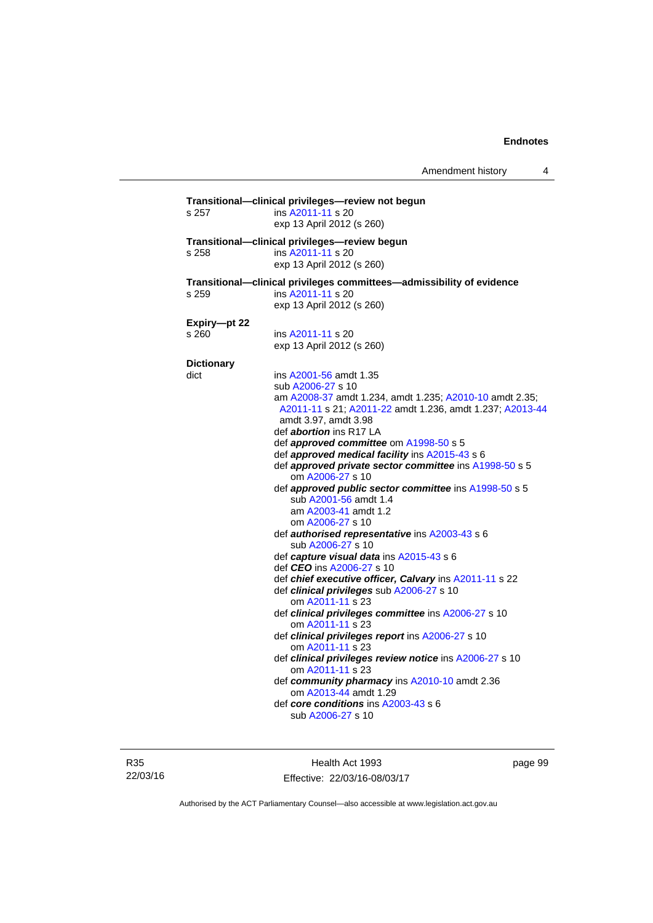| s 257             | Transitional-clinical privileges-review not begun<br>ins A2011-11 s 20<br>exp 13 April 2012 (s 260) |
|-------------------|-----------------------------------------------------------------------------------------------------|
|                   | Transitional--clinical privileges-review begun                                                      |
| s 258             | ins A2011-11 s 20                                                                                   |
|                   | exp 13 April 2012 (s 260)                                                                           |
|                   |                                                                                                     |
|                   | Transitional--clinical privileges committees--admissibility of evidence                             |
| s 259             | ins A2011-11 s 20                                                                                   |
|                   | exp 13 April 2012 (s 260)                                                                           |
| Expiry-pt 22      |                                                                                                     |
| s 260             | ins A2011-11 s 20                                                                                   |
|                   | exp 13 April 2012 (s 260)                                                                           |
|                   |                                                                                                     |
| <b>Dictionary</b> |                                                                                                     |
| dict              | ins A2001-56 amdt 1.35                                                                              |
|                   | sub A2006-27 s 10                                                                                   |
|                   | am A2008-37 amdt 1.234, amdt 1.235; A2010-10 amdt 2.35;                                             |
|                   | A2011-11 s 21; A2011-22 amdt 1.236, amdt 1.237; A2013-44                                            |
|                   | amdt 3.97, amdt 3.98                                                                                |
|                   | def <i>abortion</i> ins R17 LA                                                                      |
|                   | def approved committee om A1998-50 s 5                                                              |
|                   | def approved medical facility ins A2015-43 s 6                                                      |
|                   | def approved private sector committee ins A1998-50 s 5                                              |
|                   | om A2006-27 s 10                                                                                    |
|                   | def approved public sector committee ins A1998-50 s 5                                               |
|                   | sub A2001-56 amdt 1.4                                                                               |
|                   | am A2003-41 amdt 1.2                                                                                |
|                   | om A2006-27 s 10                                                                                    |
|                   | def authorised representative ins A2003-43 s 6                                                      |
|                   | sub A2006-27 s 10                                                                                   |
|                   | def capture visual data ins A2015-43 s 6                                                            |
|                   | def CEO ins A2006-27 s 10                                                                           |
|                   | def chief executive officer, Calvary ins A2011-11 s 22                                              |
|                   | def clinical privileges sub A2006-27 s 10                                                           |
|                   | om A2011-11 s 23                                                                                    |
|                   | def clinical privileges committee ins A2006-27 s 10                                                 |
|                   | om A2011-11 s 23                                                                                    |
|                   | def clinical privileges report ins A2006-27 s 10                                                    |
|                   | om A2011-11 s 23                                                                                    |
|                   | def clinical privileges review notice ins A2006-27 s 10                                             |
|                   | om A2011-11 s 23                                                                                    |
|                   | def community pharmacy ins A2010-10 amdt 2.36                                                       |
|                   | om A2013-44 amdt 1.29                                                                               |
|                   | def core conditions ins A2003-43 s 6                                                                |
|                   | sub A2006-27 s 10                                                                                   |
|                   |                                                                                                     |
|                   |                                                                                                     |

R35 22/03/16

Health Act 1993 Effective: 22/03/16-08/03/17 page 99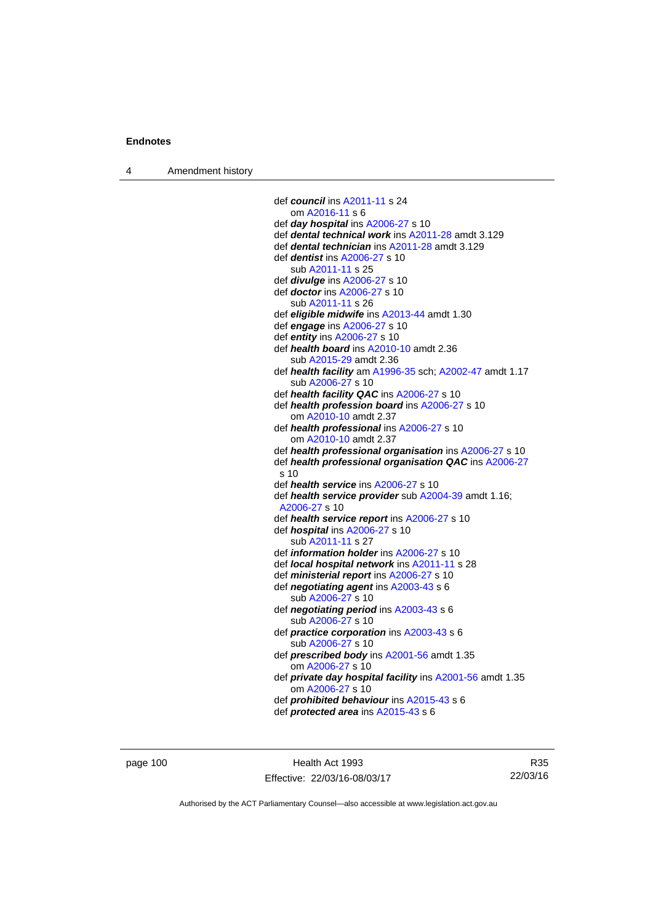4 Amendment history

```
 def council ins A2011-11 s 24 
    om A2016-11 s 6 
 def day hospital ins A2006-27 s 10 
 def dental technical work ins A2011-28 amdt 3.129 
 def dental technician ins A2011-28 amdt 3.129 
 def dentist ins A2006-27 s 10 
    sub A2011-11 s 25 
 def divulge ins A2006-27 s 10 
 def doctor ins A2006-27 s 10 
    sub A2011-11 s 26 
 def eligible midwife ins A2013-44 amdt 1.30 
 def engage ins A2006-27 s 10 
 def entity ins A2006-27 s 10 
 def health board ins A2010-10 amdt 2.36
    sub A2015-29 amdt 2.36 
 def health facility am A1996-35 sch; A2002-47 amdt 1.17 
    sub A2006-27 s 10 
 def health facility QAC ins A2006-27 s 10 
 def health profession board ins A2006-27 s 10 
    om A2010-10 amdt 2.37
 def health professional ins A2006-27 s 10 
    om A2010-10 amdt 2.37
 def health professional organisation ins A2006-27 s 10 
 def health professional organisation QAC ins A2006-27
 s 10 
 def health service ins A2006-27 s 10 
 def health service provider sub A2004-39 amdt 1.16; 
 A2006-27 s 10 
 def health service report ins A2006-27 s 10 
 def hospital ins A2006-27 s 10 
    sub A2011-11 s 27 
 def information holder ins A2006-27 s 10 
 def local hospital network ins A2011-11 s 28 
 def ministerial report ins A2006-27 s 10 
 def negotiating agent ins A2003-43 s 6 
   A2006-27 s 10
 def negotiating period ins A2003-43 s 6 
    sub A2006-27 s 10 
 def practice corporation ins A2003-43 s 6 
    sub A2006-27 s 10 
 def prescribed body ins A2001-56 amdt 1.35 
    om A2006-27 s 10 
 def private day hospital facility ins A2001-56 amdt 1.35 
    om A2006-27 s 10 
 def prohibited behaviour ins A2015-43 s 6 
 def protected area ins A2015-43 s 6
```
page 100 Health Act 1993 Effective: 22/03/16-08/03/17

R35 22/03/16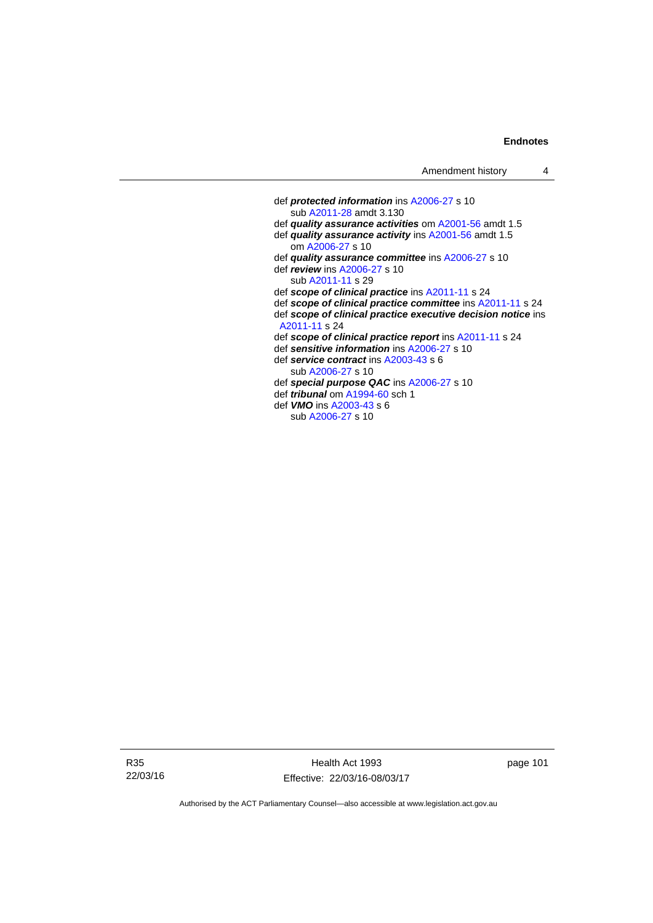### **Endnotes**

| def <b>protected information</b> ins A2006-27 s 10           |
|--------------------------------------------------------------|
| sub A2011-28 amdt 3.130                                      |
| def quality assurance activities om A2001-56 amdt 1.5        |
| def quality assurance activity ins A2001-56 amdt 1.5         |
| om A2006-27 s 10                                             |
| def quality assurance committee ins A2006-27 s 10            |
| def <i>review</i> ins A2006-27 s 10                          |
| sub A2011-11 s 29                                            |
| def scope of clinical practice ins A2011-11 s 24             |
| def scope of clinical practice committee ins A2011-11 s 24   |
| def scope of clinical practice executive decision notice ins |
| A2011-11 s 24                                                |
| def scope of clinical practice report ins A2011-11 s 24      |
| def sensitive information ins A2006-27 s 10                  |
| def service contract ins A2003-43 s 6                        |
| sub A2006-27 s 10                                            |
| def special purpose QAC ins A2006-27 s 10                    |
| def <i>tribunal</i> om A1994-60 sch 1                        |
| def <b>VMO</b> ins A2003-43 s 6                              |
| sub A2006-27 s 10                                            |
|                                                              |

R35 22/03/16

Health Act 1993 Effective: 22/03/16-08/03/17 page 101

Authorised by the ACT Parliamentary Counsel—also accessible at www.legislation.act.gov.au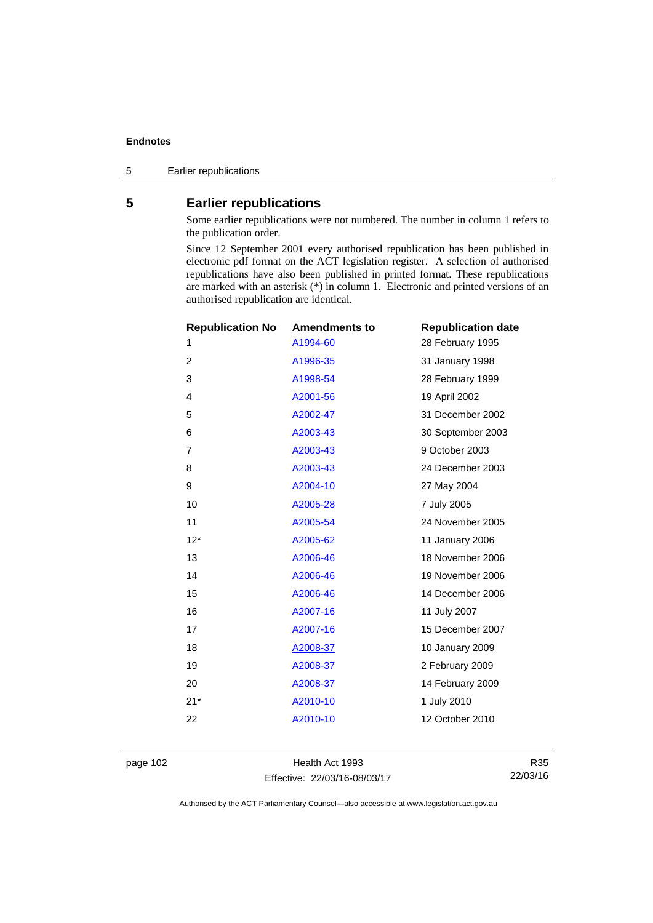#### **Endnotes**

5 Earlier republications

# **5 Earlier republications**

Some earlier republications were not numbered. The number in column 1 refers to the publication order.

Since 12 September 2001 every authorised republication has been published in electronic pdf format on the ACT legislation register. A selection of authorised republications have also been published in printed format. These republications are marked with an asterisk (\*) in column 1. Electronic and printed versions of an authorised republication are identical.

| <b>Republication No</b> | <b>Amendments to</b> | <b>Republication date</b> |
|-------------------------|----------------------|---------------------------|
| 1                       | A1994-60             | 28 February 1995          |
| 2                       | A1996-35             | 31 January 1998           |
| 3                       | A1998-54             | 28 February 1999          |
| $\overline{4}$          | A2001-56             | 19 April 2002             |
| 5                       | A2002-47             | 31 December 2002          |
| 6                       | A2003-43             | 30 September 2003         |
| 7                       | A2003-43             | 9 October 2003            |
| 8                       | A2003-43             | 24 December 2003          |
| 9                       | A2004-10             | 27 May 2004               |
| 10                      | A2005-28             | 7 July 2005               |
| 11                      | A2005-54             | 24 November 2005          |
| $12*$                   | A2005-62             | 11 January 2006           |
| 13                      | A2006-46             | 18 November 2006          |
| 14                      | A2006-46             | 19 November 2006          |
| 15                      | A2006-46             | 14 December 2006          |
| 16                      | A2007-16             | 11 July 2007              |
| 17                      | A2007-16             | 15 December 2007          |
| 18                      | A2008-37             | 10 January 2009           |
| 19                      | A2008-37             | 2 February 2009           |
| 20                      | A2008-37             | 14 February 2009          |
| $21*$                   | A2010-10             | 1 July 2010               |
| 22                      | A2010-10             | 12 October 2010           |
|                         |                      |                           |

page 102 Health Act 1993 Effective: 22/03/16-08/03/17

R35 22/03/16

Authorised by the ACT Parliamentary Counsel—also accessible at www.legislation.act.gov.au